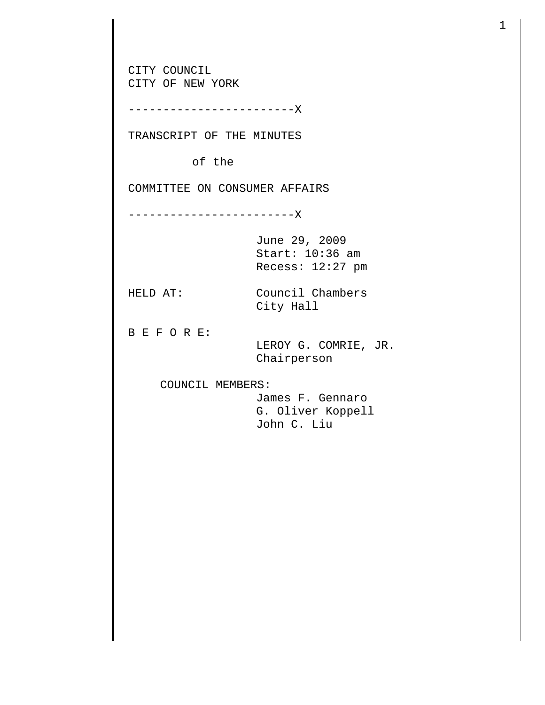CITY COUNCIL CITY OF NEW YORK ------------------------X TRANSCRIPT OF THE MINUTES of the COMMITTEE ON CONSUMER AFFAIRS ------------------------X June 29, 2009 Start: 10:36 am Recess: 12:27 pm HELD AT: Council Chambers City Hall B E F O R E: LEROY G. COMRIE, JR. Chairperson COUNCIL MEMBERS: James F. Gennaro G. Oliver Koppell John C. Liu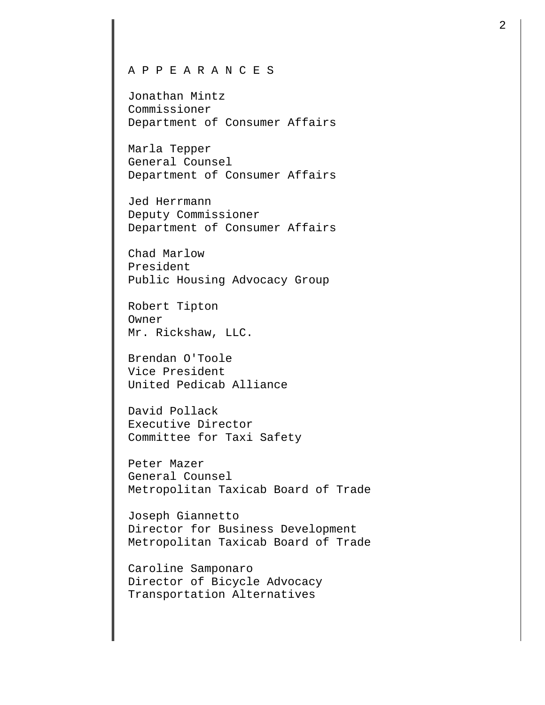## A P P E A R A N C E S

Jonathan Mintz Commissioner Department of Consumer Affairs

Marla Tepper General Counsel Department of Consumer Affairs

Jed Herrmann Deputy Commissioner Department of Consumer Affairs

Chad Marlow President Public Housing Advocacy Group

Robert Tipton Owner Mr. Rickshaw, LLC.

Brendan O'Toole Vice President United Pedicab Alliance

David Pollack Executive Director Committee for Taxi Safety

Peter Mazer General Counsel Metropolitan Taxicab Board of Trade

Joseph Giannetto Director for Business Development Metropolitan Taxicab Board of Trade

Caroline Samponaro Director of Bicycle Advocacy Transportation Alternatives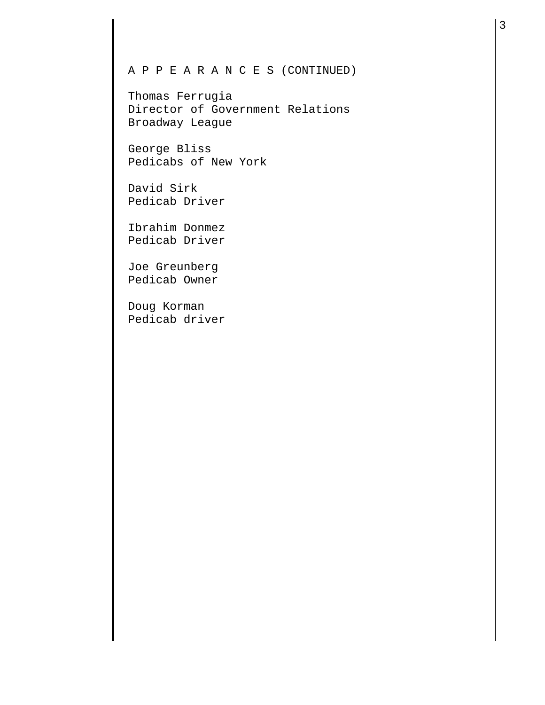## A P P E A R A N C E S (CONTINUED)

Thomas Ferrugia Director of Government Relations Broadway League

George Bliss Pedicabs of New York

David Sirk Pedicab Driver

Ibrahim Donmez Pedicab Driver

Joe Greunberg Pedicab Owner

Doug Korman Pedicab driver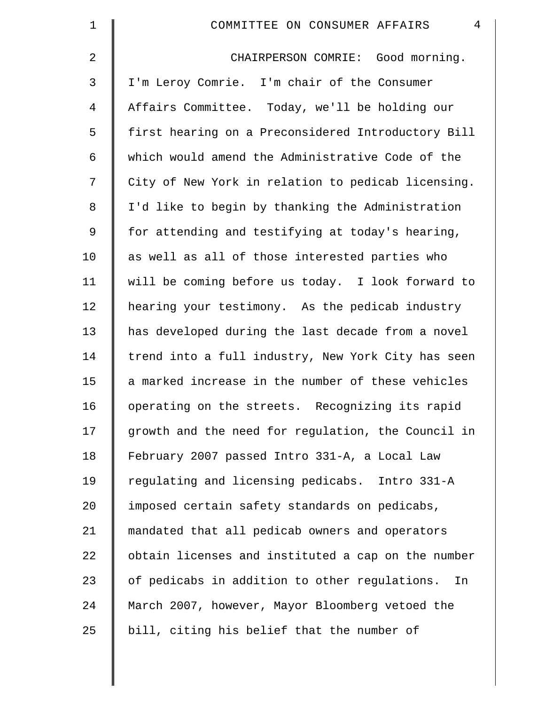| 1       | $\overline{4}$<br>COMMITTEE ON CONSUMER AFFAIRS     |
|---------|-----------------------------------------------------|
| 2       | CHAIRPERSON COMRIE: Good morning.                   |
| 3       | I'm Leroy Comrie. I'm chair of the Consumer         |
| 4       | Affairs Committee. Today, we'll be holding our      |
| 5       | first hearing on a Preconsidered Introductory Bill  |
| 6       | which would amend the Administrative Code of the    |
| 7       | City of New York in relation to pedicab licensing.  |
| $\,8\,$ | I'd like to begin by thanking the Administration    |
| 9       | for attending and testifying at today's hearing,    |
| 10      | as well as all of those interested parties who      |
| 11      | will be coming before us today. I look forward to   |
| 12      | hearing your testimony. As the pedicab industry     |
| 13      | has developed during the last decade from a novel   |
| 14      | trend into a full industry, New York City has seen  |
| 15      | a marked increase in the number of these vehicles   |
| 16      | operating on the streets. Recognizing its rapid     |
| 17      | growth and the need for regulation, the Council in  |
| 18      | February 2007 passed Intro 331-A, a Local Law       |
| 19      | regulating and licensing pedicabs. Intro 331-A      |
| $20 \,$ | imposed certain safety standards on pedicabs,       |
| 21      | mandated that all pedicab owners and operators      |
| 22      | obtain licenses and instituted a cap on the number  |
| 23      | of pedicabs in addition to other regulations.<br>In |
| 24      | March 2007, however, Mayor Bloomberg vetoed the     |
| 25      | bill, citing his belief that the number of          |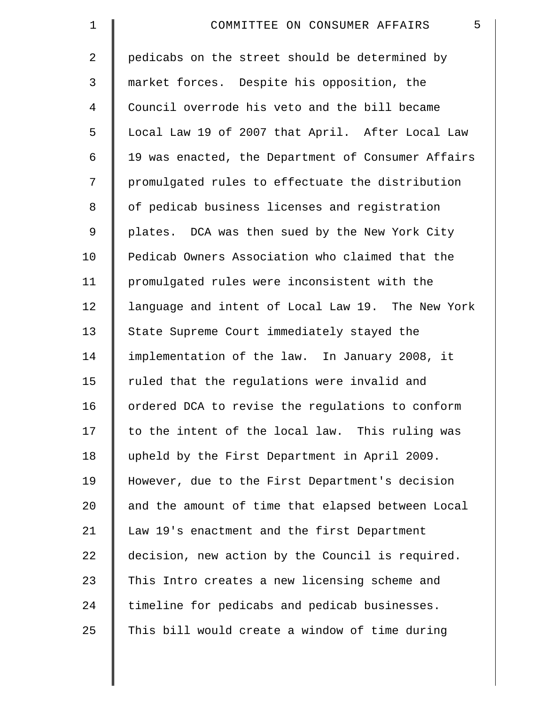| 1              | 5<br>COMMITTEE ON CONSUMER AFFAIRS                 |
|----------------|----------------------------------------------------|
| $\overline{a}$ | pedicabs on the street should be determined by     |
| 3              | market forces. Despite his opposition, the         |
| 4              | Council overrode his veto and the bill became      |
| 5              | Local Law 19 of 2007 that April. After Local Law   |
| 6              | 19 was enacted, the Department of Consumer Affairs |
| 7              | promulgated rules to effectuate the distribution   |
| 8              | of pedicab business licenses and registration      |
| $\mathsf 9$    | plates. DCA was then sued by the New York City     |
| 10             | Pedicab Owners Association who claimed that the    |
| 11             | promulgated rules were inconsistent with the       |
| 12             | language and intent of Local Law 19. The New York  |
| 13             | State Supreme Court immediately stayed the         |
| 14             | implementation of the law. In January 2008, it     |
| 15             | ruled that the regulations were invalid and        |
| 16             | ordered DCA to revise the regulations to conform   |
| 17             | to the intent of the local law. This ruling was    |
| 18             | upheld by the First Department in April 2009.      |
| 19             | However, due to the First Department's decision    |
| 20             | and the amount of time that elapsed between Local  |
| 21             | Law 19's enactment and the first Department        |
| 22             | decision, new action by the Council is required.   |
| 23             | This Intro creates a new licensing scheme and      |
| 24             | timeline for pedicabs and pedicab businesses.      |
| 25             | This bill would create a window of time during     |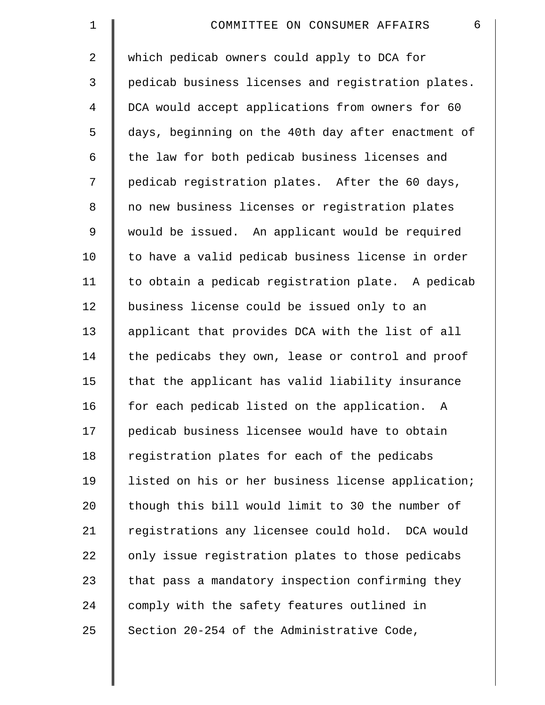| 1              | 6<br>COMMITTEE ON CONSUMER AFFAIRS                 |
|----------------|----------------------------------------------------|
| $\overline{2}$ | which pedicab owners could apply to DCA for        |
| 3              | pedicab business licenses and registration plates. |
| 4              | DCA would accept applications from owners for 60   |
| 5              | days, beginning on the 40th day after enactment of |
| 6              | the law for both pedicab business licenses and     |
| 7              | pedicab registration plates. After the 60 days,    |
| 8              | no new business licenses or registration plates    |
| 9              | would be issued. An applicant would be required    |
| 10             | to have a valid pedicab business license in order  |
| 11             | to obtain a pedicab registration plate. A pedicab  |
| 12             | business license could be issued only to an        |
| 13             | applicant that provides DCA with the list of all   |
| 14             | the pedicabs they own, lease or control and proof  |
| 15             | that the applicant has valid liability insurance   |
| 16             | for each pedicab listed on the application.<br>Α   |
| 17             | pedicab business licensee would have to obtain     |
| 18             | registration plates for each of the pedicabs       |
| 19             | listed on his or her business license application; |
| 20             | though this bill would limit to 30 the number of   |
| 21             | registrations any licensee could hold. DCA would   |
| 22             | only issue registration plates to those pedicabs   |
| 23             | that pass a mandatory inspection confirming they   |
| 24             | comply with the safety features outlined in        |
| 25             | Section 20-254 of the Administrative Code,         |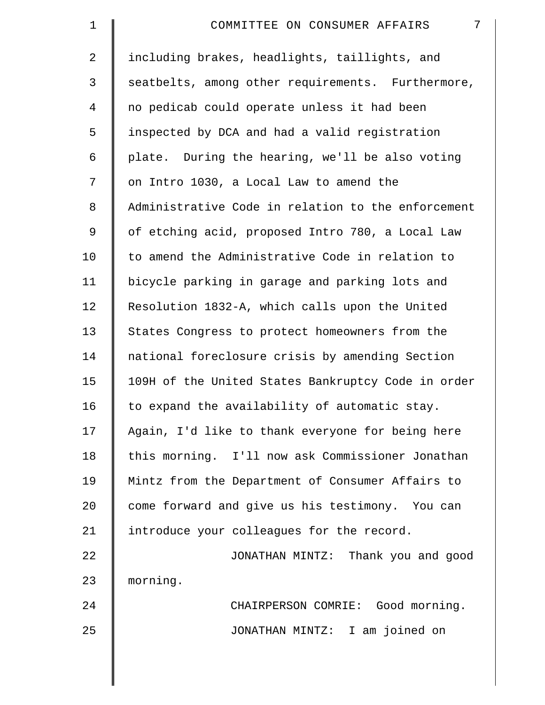| $\mathbf 1$    | 7<br>COMMITTEE ON CONSUMER AFFAIRS                 |
|----------------|----------------------------------------------------|
| $\overline{2}$ | including brakes, headlights, taillights, and      |
| 3              | seatbelts, among other requirements. Furthermore,  |
| 4              | no pedicab could operate unless it had been        |
| 5              | inspected by DCA and had a valid registration      |
| 6              | plate. During the hearing, we'll be also voting    |
| 7              | on Intro 1030, a Local Law to amend the            |
| 8              | Administrative Code in relation to the enforcement |
| 9              | of etching acid, proposed Intro 780, a Local Law   |
| 10             | to amend the Administrative Code in relation to    |
| 11             | bicycle parking in garage and parking lots and     |
| 12             | Resolution 1832-A, which calls upon the United     |
| 13             | States Congress to protect homeowners from the     |
| 14             | national foreclosure crisis by amending Section    |
| 15             | 109H of the United States Bankruptcy Code in order |
| 16             | to expand the availability of automatic stay.      |
| 17             | Again, I'd like to thank everyone for being here   |
| 18             | this morning. I'll now ask Commissioner Jonathan   |
| 19             | Mintz from the Department of Consumer Affairs to   |
| 20             | come forward and give us his testimony. You can    |
| 21             | introduce your colleagues for the record.          |
| 22             | JONATHAN MINTZ: Thank you and good                 |
| 23             | morning.                                           |
| 24             | CHAIRPERSON COMRIE: Good morning.                  |
| 25             | JONATHAN MINTZ: I am joined on                     |
|                |                                                    |

 $\parallel$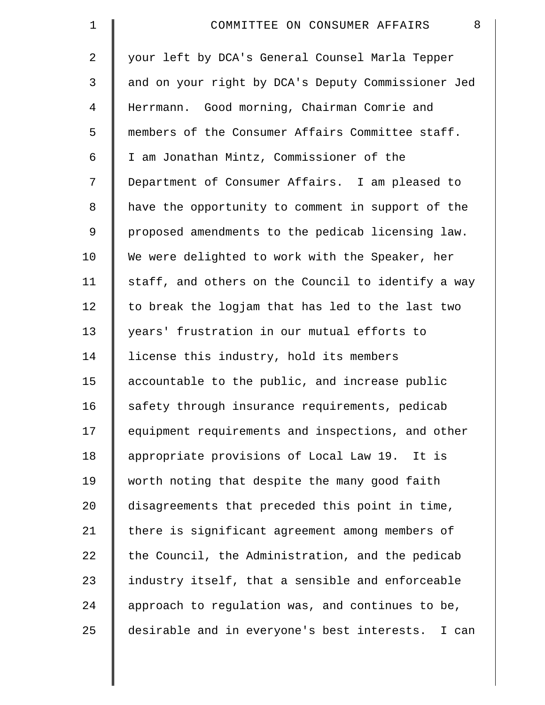| $\mathbf 1$    | 8<br>COMMITTEE ON CONSUMER AFFAIRS                   |
|----------------|------------------------------------------------------|
| $\overline{2}$ | your left by DCA's General Counsel Marla Tepper      |
| 3              | and on your right by DCA's Deputy Commissioner Jed   |
| 4              | Herrmann. Good morning, Chairman Comrie and          |
| 5              | members of the Consumer Affairs Committee staff.     |
| 6              | I am Jonathan Mintz, Commissioner of the             |
| 7              | Department of Consumer Affairs. I am pleased to      |
| 8              | have the opportunity to comment in support of the    |
| 9              | proposed amendments to the pedicab licensing law.    |
| 10             | We were delighted to work with the Speaker, her      |
| 11             | staff, and others on the Council to identify a way   |
| 12             | to break the logjam that has led to the last two     |
| 13             | years' frustration in our mutual efforts to          |
| 14             | license this industry, hold its members              |
| 15             | accountable to the public, and increase public       |
| 16             | safety through insurance requirements, pedicab       |
| 17             | equipment requirements and inspections, and other    |
| 18             | appropriate provisions of Local Law 19. It is        |
| 19             | worth noting that despite the many good faith        |
| 20             | disagreements that preceded this point in time,      |
| 21             | there is significant agreement among members of      |
| 22             | the Council, the Administration, and the pedicab     |
| 23             | industry itself, that a sensible and enforceable     |
| 24             | approach to regulation was, and continues to be,     |
| 25             | desirable and in everyone's best interests.<br>I can |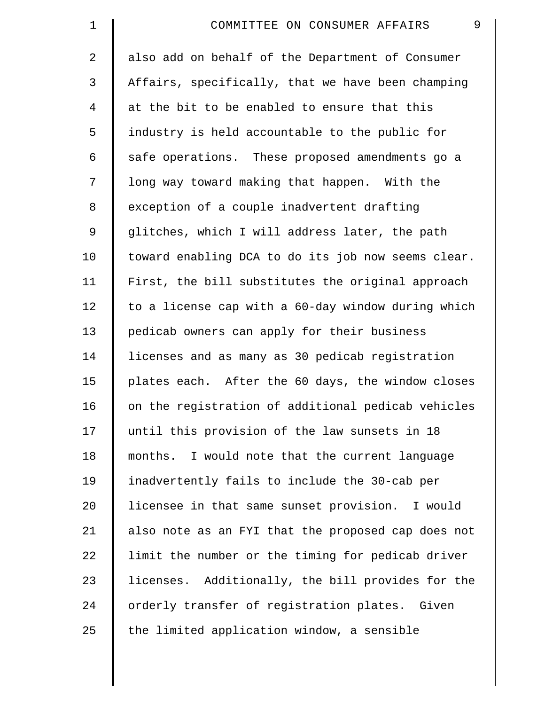| $\mathbf 1$    | 9<br>COMMITTEE ON CONSUMER AFFAIRS                 |
|----------------|----------------------------------------------------|
| $\overline{2}$ | also add on behalf of the Department of Consumer   |
| $\mathfrak{Z}$ | Affairs, specifically, that we have been champing  |
| $\overline{4}$ | at the bit to be enabled to ensure that this       |
| 5              | industry is held accountable to the public for     |
| 6              | safe operations. These proposed amendments go a    |
| 7              | long way toward making that happen. With the       |
| 8              | exception of a couple inadvertent drafting         |
| $\mathsf 9$    | glitches, which I will address later, the path     |
| 10             | toward enabling DCA to do its job now seems clear. |
| 11             | First, the bill substitutes the original approach  |
| 12             | to a license cap with a 60-day window during which |
| 13             | pedicab owners can apply for their business        |
| 14             | licenses and as many as 30 pedicab registration    |
| 15             | plates each. After the 60 days, the window closes  |
| 16             | on the registration of additional pedicab vehicles |
| 17             | until this provision of the law sunsets in 18      |
| 18             | months. I would note that the current language     |
| 19             | inadvertently fails to include the 30-cab per      |
| 20             | licensee in that same sunset provision. I would    |
| 21             | also note as an FYI that the proposed cap does not |
| 22             | limit the number or the timing for pedicab driver  |
| 23             | licenses. Additionally, the bill provides for the  |
| 24             | orderly transfer of registration plates. Given     |
| 25             | the limited application window, a sensible         |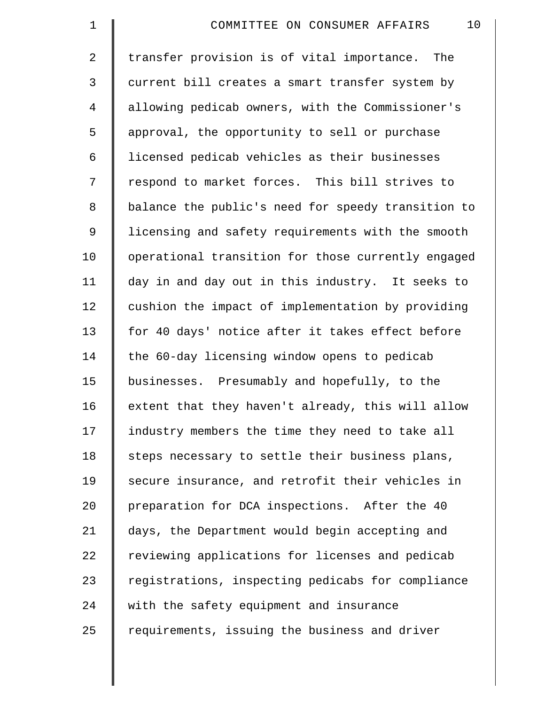| $\mathbf 1$    | 10<br>COMMITTEE ON CONSUMER AFFAIRS                |
|----------------|----------------------------------------------------|
| $\overline{2}$ | transfer provision is of vital importance.<br>The  |
| 3              | current bill creates a smart transfer system by    |
| 4              | allowing pedicab owners, with the Commissioner's   |
| 5              | approval, the opportunity to sell or purchase      |
| 6              | licensed pedicab vehicles as their businesses      |
| 7              | respond to market forces. This bill strives to     |
| 8              | balance the public's need for speedy transition to |
| 9              | licensing and safety requirements with the smooth  |
| 10             | operational transition for those currently engaged |
| 11             | day in and day out in this industry. It seeks to   |
| 12             | cushion the impact of implementation by providing  |
| 13             | for 40 days' notice after it takes effect before   |
| 14             | the 60-day licensing window opens to pedicab       |
| 15             | businesses. Presumably and hopefully, to the       |
| 16             | extent that they haven't already, this will allow  |
| 17             | industry members the time they need to take all    |
| 18             | steps necessary to settle their business plans,    |
| 19             | secure insurance, and retrofit their vehicles in   |
| 20             | preparation for DCA inspections. After the 40      |
| 21             | days, the Department would begin accepting and     |
| 22             | reviewing applications for licenses and pedicab    |
| 23             | registrations, inspecting pedicabs for compliance  |
| 24             | with the safety equipment and insurance            |
| 25             | requirements, issuing the business and driver      |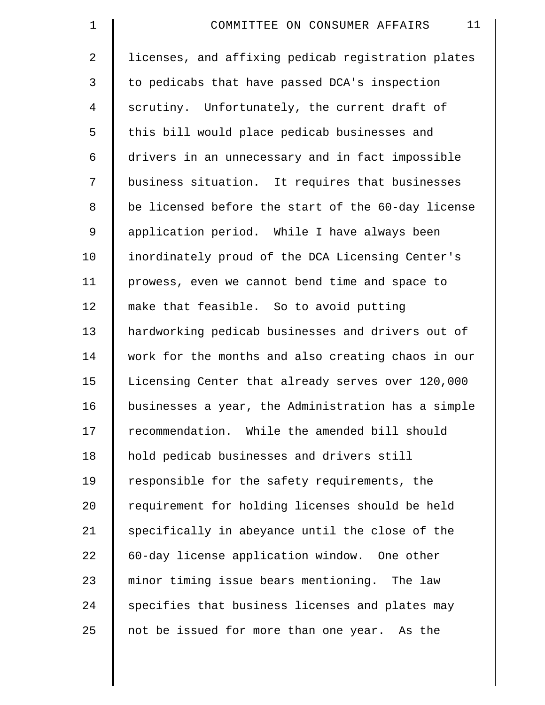| $\mathbf 1$ | 11<br>COMMITTEE ON CONSUMER AFFAIRS                |
|-------------|----------------------------------------------------|
| 2           | licenses, and affixing pedicab registration plates |
| 3           | to pedicabs that have passed DCA's inspection      |
| 4           | scrutiny. Unfortunately, the current draft of      |
| 5           | this bill would place pedicab businesses and       |
| 6           | drivers in an unnecessary and in fact impossible   |
| 7           | business situation. It requires that businesses    |
| 8           | be licensed before the start of the 60-day license |
| 9           | application period. While I have always been       |
| 10          | inordinately proud of the DCA Licensing Center's   |
| 11          | prowess, even we cannot bend time and space to     |
| 12          | make that feasible. So to avoid putting            |
| 13          | hardworking pedicab businesses and drivers out of  |
| 14          | work for the months and also creating chaos in our |
| 15          | Licensing Center that already serves over 120,000  |
| 16          | businesses a year, the Administration has a simple |
| 17          | recommendation. While the amended bill should      |
| 18          | hold pedicab businesses and drivers still          |
| 19          | responsible for the safety requirements, the       |
| 20          | requirement for holding licenses should be held    |
| 21          | specifically in abeyance until the close of the    |
| 22          | 60-day license application window. One other       |
| 23          | minor timing issue bears mentioning. The law       |
| 24          | specifies that business licenses and plates may    |
| 25          | not be issued for more than one year. As the       |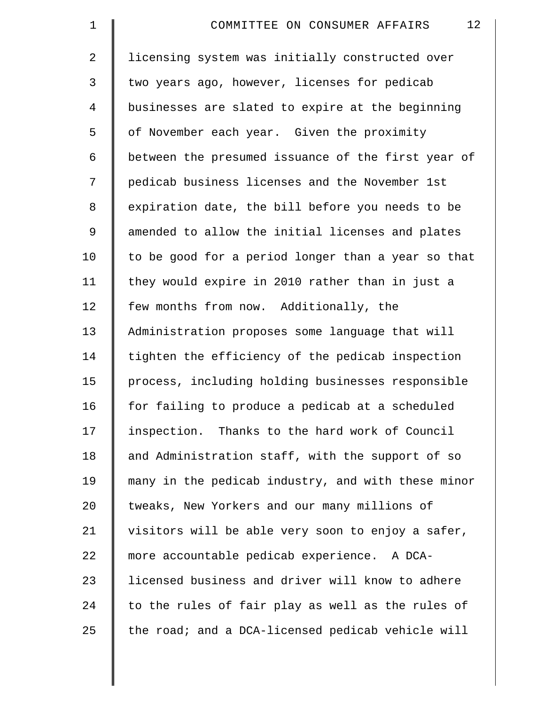| $\mathbf 1$    | 12<br>COMMITTEE ON CONSUMER AFFAIRS                |
|----------------|----------------------------------------------------|
| 2              | licensing system was initially constructed over    |
| 3              | two years ago, however, licenses for pedicab       |
| $\overline{4}$ | businesses are slated to expire at the beginning   |
| 5              | of November each year. Given the proximity         |
| 6              | between the presumed issuance of the first year of |
| 7              | pedicab business licenses and the November 1st     |
| 8              | expiration date, the bill before you needs to be   |
| 9              | amended to allow the initial licenses and plates   |
| 10             | to be good for a period longer than a year so that |
| 11             | they would expire in 2010 rather than in just a    |
| 12             | few months from now. Additionally, the             |
| 13             | Administration proposes some language that will    |
| 14             | tighten the efficiency of the pedicab inspection   |
| 15             | process, including holding businesses responsible  |
| 16             | for failing to produce a pedicab at a scheduled    |
| 17             | inspection. Thanks to the hard work of Council     |
| 18             | and Administration staff, with the support of so   |
| 19             | many in the pedicab industry, and with these minor |
| 20             | tweaks, New Yorkers and our many millions of       |
| 21             | visitors will be able very soon to enjoy a safer,  |
| 22             | more accountable pedicab experience. A DCA-        |
| 23             | licensed business and driver will know to adhere   |
| 24             | to the rules of fair play as well as the rules of  |
| 25             | the road; and a DCA-licensed pedicab vehicle will  |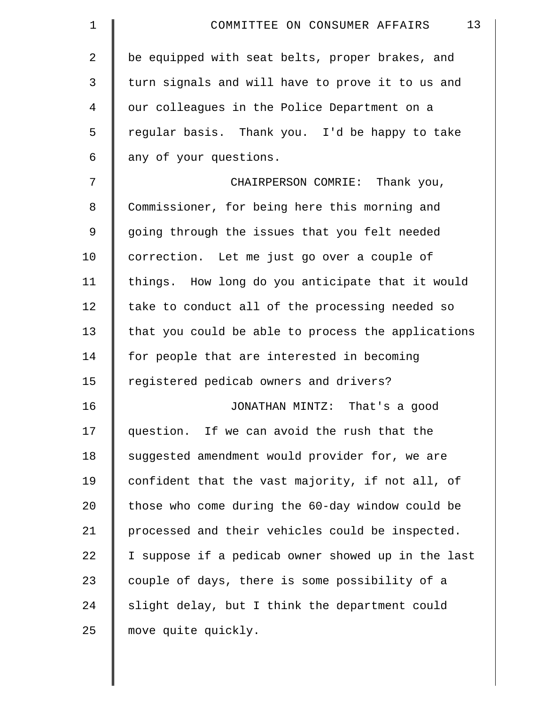| 1  | 13<br>COMMITTEE ON CONSUMER AFFAIRS                |
|----|----------------------------------------------------|
| 2  | be equipped with seat belts, proper brakes, and    |
| 3  | turn signals and will have to prove it to us and   |
| 4  | our colleagues in the Police Department on a       |
| 5  | regular basis. Thank you. I'd be happy to take     |
| 6  | any of your questions.                             |
| 7  | CHAIRPERSON COMRIE: Thank you,                     |
| 8  | Commissioner, for being here this morning and      |
| 9  | going through the issues that you felt needed      |
| 10 | correction. Let me just go over a couple of        |
| 11 | things. How long do you anticipate that it would   |
| 12 | take to conduct all of the processing needed so    |
| 13 | that you could be able to process the applications |
| 14 | for people that are interested in becoming         |
| 15 | registered pedicab owners and drivers?             |
| 16 | JONATHAN MINTZ:<br>That's a good                   |
| 17 | question. If we can avoid the rush that the        |
| 18 | suggested amendment would provider for, we are     |
| 19 | confident that the vast majority, if not all, of   |
| 20 | those who come during the 60-day window could be   |
| 21 | processed and their vehicles could be inspected.   |
| 22 | I suppose if a pedicab owner showed up in the last |
| 23 | couple of days, there is some possibility of a     |
| 24 | slight delay, but I think the department could     |
| 25 | move quite quickly.                                |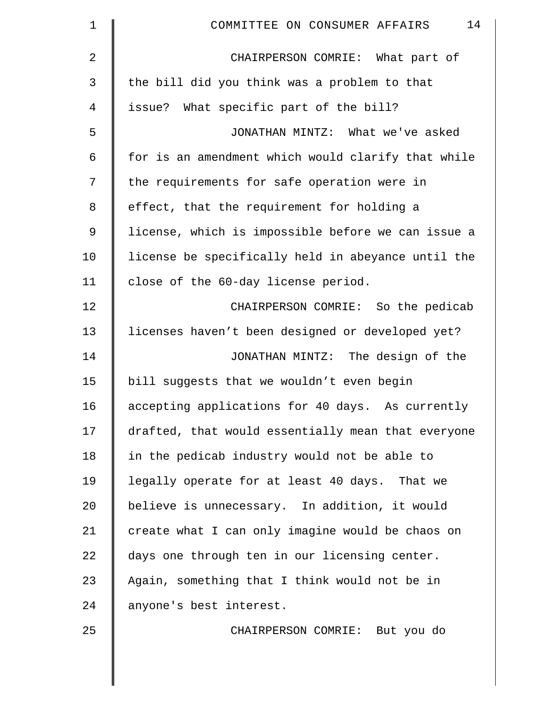| $\mathbf 1$ | 14<br>COMMITTEE ON CONSUMER AFFAIRS                |
|-------------|----------------------------------------------------|
| 2           | What part of<br>CHAIRPERSON COMRIE:                |
| 3           | the bill did you think was a problem to that       |
| 4           | issue? What specific part of the bill?             |
| 5           | JONATHAN MINTZ: What we've asked                   |
| 6           | for is an amendment which would clarify that while |
| 7           | the requirements for safe operation were in        |
| 8           | effect, that the requirement for holding a         |
| 9           | license, which is impossible before we can issue a |
| 10          | license be specifically held in abeyance until the |
| 11          | close of the 60-day license period.                |
| 12          | CHAIRPERSON COMRIE: So the pedicab                 |
| 13          | licenses haven't been designed or developed yet?   |
| 14          | JONATHAN MINTZ: The design of the                  |
| 15          | bill suggests that we wouldn't even begin          |
| 16          | accepting applications for 40 days. As currently   |
| 17          | drafted, that would essentially mean that everyone |
| 18          | in the pedicab industry would not be able to       |
| 19          | legally operate for at least 40 days. That we      |
| 20          | believe is unnecessary. In addition, it would      |
| 21          | create what I can only imagine would be chaos on   |
| 22          | days one through ten in our licensing center.      |
| 23          | Again, something that I think would not be in      |
| 24          | anyone's best interest.                            |
| 25          | CHAIRPERSON COMRIE: But you do                     |
|             |                                                    |
|             |                                                    |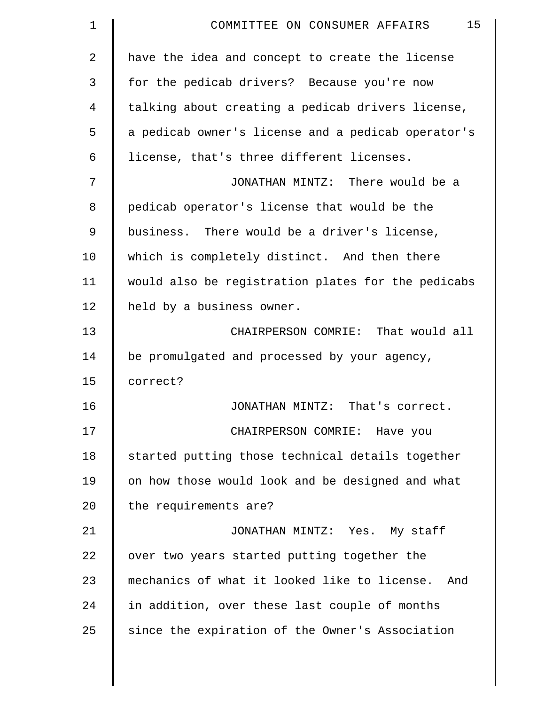| 1  | 15<br>COMMITTEE ON CONSUMER AFFAIRS                |
|----|----------------------------------------------------|
| 2  | have the idea and concept to create the license    |
| 3  | for the pedicab drivers? Because you're now        |
| 4  | talking about creating a pedicab drivers license,  |
| 5  | a pedicab owner's license and a pedicab operator's |
| 6  | license, that's three different licenses.          |
| 7  | JONATHAN MINTZ: There would be a                   |
| 8  | pedicab operator's license that would be the       |
| 9  | business. There would be a driver's license,       |
| 10 | which is completely distinct. And then there       |
| 11 | would also be registration plates for the pedicabs |
| 12 | held by a business owner.                          |
| 13 | CHAIRPERSON COMRIE: That would all                 |
| 14 | be promulgated and processed by your agency,       |
| 15 | correct?                                           |
| 16 | JONATHAN MINTZ: That's correct.                    |
| 17 | CHAIRPERSON COMRIE: Have you                       |
| 18 | started putting those technical details together   |
| 19 | on how those would look and be designed and what   |
| 20 | the requirements are?                              |
| 21 | JONATHAN MINTZ: Yes. My staff                      |
| 22 | over two years started putting together the        |
| 23 | mechanics of what it looked like to license. And   |
| 24 | in addition, over these last couple of months      |
| 25 | since the expiration of the Owner's Association    |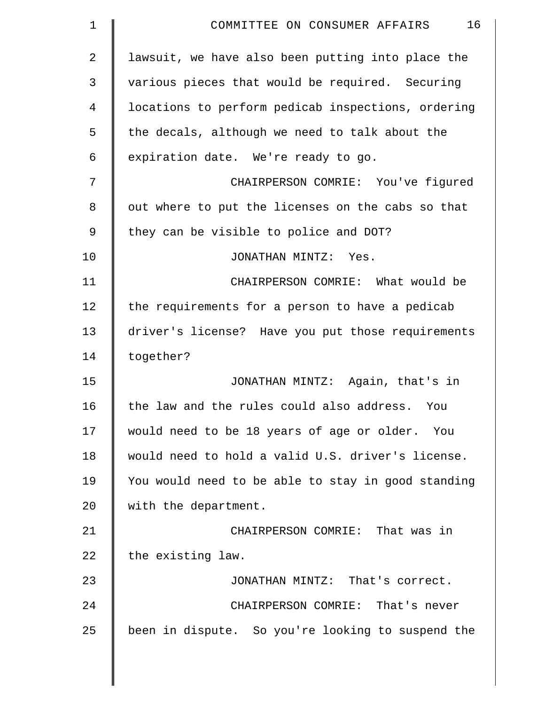| $\mathbf 1$    | 16<br>COMMITTEE ON CONSUMER AFFAIRS                |
|----------------|----------------------------------------------------|
| $\overline{2}$ | lawsuit, we have also been putting into place the  |
| 3              | various pieces that would be required. Securing    |
| 4              | locations to perform pedicab inspections, ordering |
| 5              | the decals, although we need to talk about the     |
| 6              | expiration date. We're ready to go.                |
| 7              | CHAIRPERSON COMRIE: You've figured                 |
| 8              | out where to put the licenses on the cabs so that  |
| 9              | they can be visible to police and DOT?             |
| 10             | JONATHAN MINTZ: Yes.                               |
| 11             | CHAIRPERSON COMRIE: What would be                  |
| 12             | the requirements for a person to have a pedicab    |
| 13             | driver's license? Have you put those requirements  |
| 14             | together?                                          |
| 15             | JONATHAN MINTZ: Again, that's in                   |
| 16             | the law and the rules could also address. You      |
| 17             | would need to be 18 years of age or older. You     |
| 18             | would need to hold a valid U.S. driver's license.  |
| 19             | You would need to be able to stay in good standing |
| 20             | with the department.                               |
| 21             | CHAIRPERSON COMRIE: That was in                    |
| 22             | the existing law.                                  |
| 23             | JONATHAN MINTZ: That's correct.                    |
| 24             | CHAIRPERSON COMRIE: That's never                   |
| 25             | been in dispute. So you're looking to suspend the  |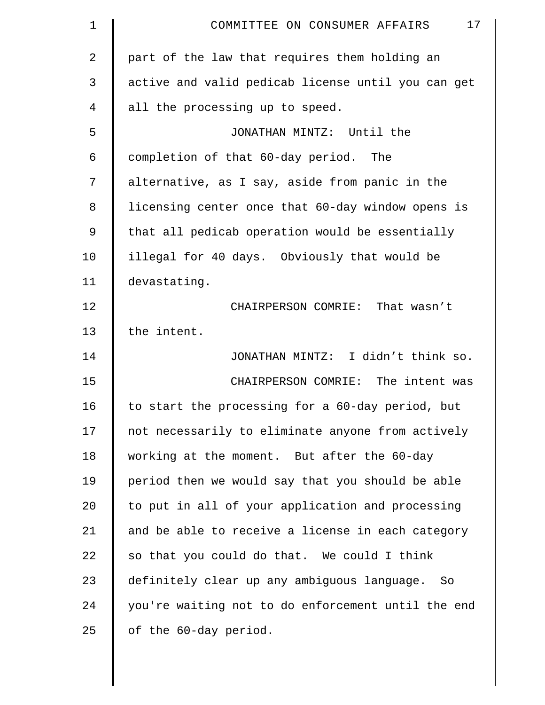| 1  | 17<br>COMMITTEE ON CONSUMER AFFAIRS                |
|----|----------------------------------------------------|
| 2  | part of the law that requires them holding an      |
| 3  | active and valid pedicab license until you can get |
| 4  | all the processing up to speed.                    |
| 5  | JONATHAN MINTZ: Until the                          |
| 6  | completion of that 60-day period. The              |
| 7  | alternative, as I say, aside from panic in the     |
| 8  | licensing center once that 60-day window opens is  |
| 9  | that all pedicab operation would be essentially    |
| 10 | illegal for 40 days. Obviously that would be       |
| 11 | devastating.                                       |
| 12 | CHAIRPERSON COMRIE: That wasn't                    |
| 13 | the intent.                                        |
| 14 | JONATHAN MINTZ: I didn't think so.                 |
| 15 | CHAIRPERSON COMRIE: The intent was                 |
| 16 | to start the processing for a 60-day period, but   |
| 17 | not necessarily to eliminate anyone from actively  |
| 18 | working at the moment. But after the 60-day        |
| 19 | period then we would say that you should be able   |
| 20 | to put in all of your application and processing   |
| 21 | and be able to receive a license in each category  |
| 22 | so that you could do that. We could I think        |
| 23 | definitely clear up any ambiguous language. So     |
| 24 | you're waiting not to do enforcement until the end |
| 25 | of the 60-day period.                              |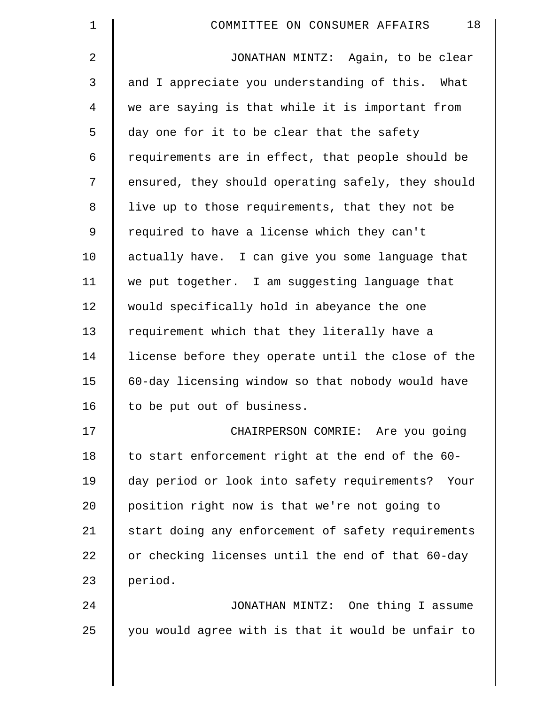| $\mathbf 1$    | 18<br>COMMITTEE ON CONSUMER AFFAIRS                |
|----------------|----------------------------------------------------|
| $\overline{2}$ | JONATHAN MINTZ: Again, to be clear                 |
| 3              | and I appreciate you understanding of this. What   |
| 4              | we are saying is that while it is important from   |
| 5              | day one for it to be clear that the safety         |
| 6              | requirements are in effect, that people should be  |
| 7              | ensured, they should operating safely, they should |
| 8              | live up to those requirements, that they not be    |
| 9              | required to have a license which they can't        |
| 10             | actually have. I can give you some language that   |
| 11             | we put together. I am suggesting language that     |
| 12             | would specifically hold in abeyance the one        |
| 13             | requirement which that they literally have a       |
| 14             | license before they operate until the close of the |
| 15             | 60-day licensing window so that nobody would have  |
| 16             | to be put out of business.                         |
| 17             | CHAIRPERSON COMRIE: Are you going                  |
| 18             | to start enforcement right at the end of the 60-   |
| 19             | day period or look into safety requirements? Your  |
| 20             | position right now is that we're not going to      |
| 21             | start doing any enforcement of safety requirements |
| 22             | or checking licenses until the end of that 60-day  |
| 23             | period.                                            |
| 24             | JONATHAN MINTZ: One thing I assume                 |
| 25             | you would agree with is that it would be unfair to |

 $\parallel$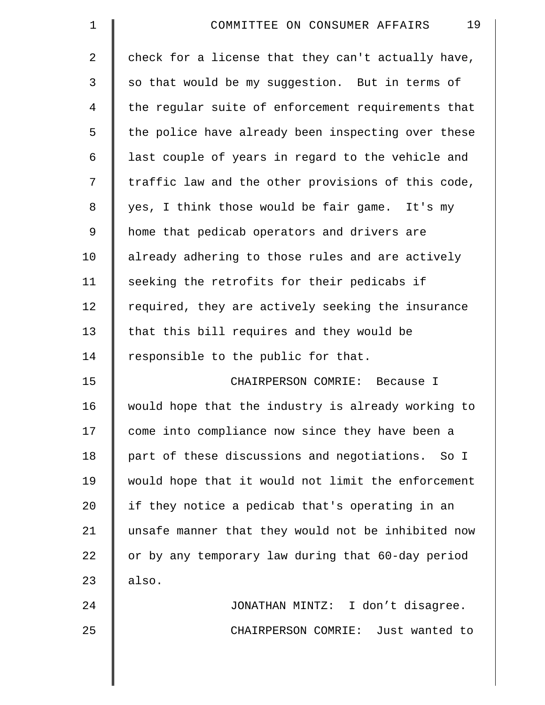| $\mathbf 1$    | 19<br>COMMITTEE ON CONSUMER AFFAIRS                |
|----------------|----------------------------------------------------|
| $\overline{2}$ | check for a license that they can't actually have, |
| 3              | so that would be my suggestion. But in terms of    |
| 4              | the regular suite of enforcement requirements that |
| 5              | the police have already been inspecting over these |
| 6              | last couple of years in regard to the vehicle and  |
| 7              | traffic law and the other provisions of this code, |
| 8              | yes, I think those would be fair game. It's my     |
| 9              | home that pedicab operators and drivers are        |
| 10             | already adhering to those rules and are actively   |
| 11             | seeking the retrofits for their pedicabs if        |
| 12             | required, they are actively seeking the insurance  |
| 13             | that this bill requires and they would be          |
| 14             | responsible to the public for that.                |
| 15             | CHAIRPERSON COMRIE: Because I                      |
| 16             | would hope that the industry is already working to |
| 17             | come into compliance now since they have been a    |
| 18             | part of these discussions and negotiations. So I   |
| 19             | would hope that it would not limit the enforcement |
| 20             | if they notice a pedicab that's operating in an    |
| 21             | unsafe manner that they would not be inhibited now |
| 22             | or by any temporary law during that 60-day period  |
| 23             | also.                                              |
| 24             | JONATHAN MINTZ: I don't disagree.                  |
| 25             | CHAIRPERSON COMRIE: Just wanted to                 |
|                |                                                    |
|                |                                                    |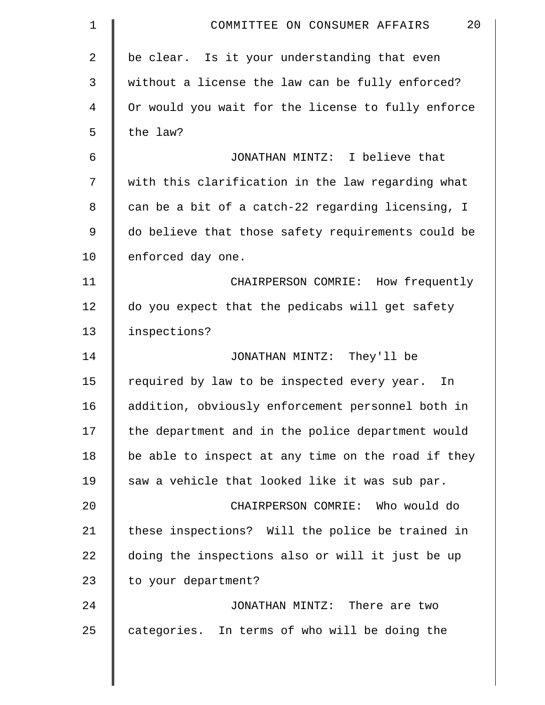| $\mathbf 1$    | 20 <sub>o</sub><br>COMMITTEE ON CONSUMER AFFAIRS   |
|----------------|----------------------------------------------------|
| $\overline{2}$ | be clear. Is it your understanding that even       |
| 3              | without a license the law can be fully enforced?   |
| 4              | Or would you wait for the license to fully enforce |
| 5              | the law?                                           |
| 6              | JONATHAN MINTZ: I believe that                     |
| 7              | with this clarification in the law regarding what  |
| 8              | can be a bit of a catch-22 regarding licensing, I  |
| 9              | do believe that those safety requirements could be |
| 10             | enforced day one.                                  |
| 11             | CHAIRPERSON COMRIE: How frequently                 |
| 12             | do you expect that the pedicabs will get safety    |
| 13             | inspections?                                       |
| 14             | JONATHAN MINTZ: They'll be                         |
| 15             | required by law to be inspected every year. In     |
| 16             | addition, obviously enforcement personnel both in  |
| 17             | the department and in the police department would  |
| 18             | be able to inspect at any time on the road if they |
| 19             | saw a vehicle that looked like it was sub par.     |
| 20             | CHAIRPERSON COMRIE: Who would do                   |
| 21             | these inspections? Will the police be trained in   |
| 22             | doing the inspections also or will it just be up   |
| 23             | to your department?                                |
| 24             | JONATHAN MINTZ: There are two                      |
| 25             | categories. In terms of who will be doing the      |

║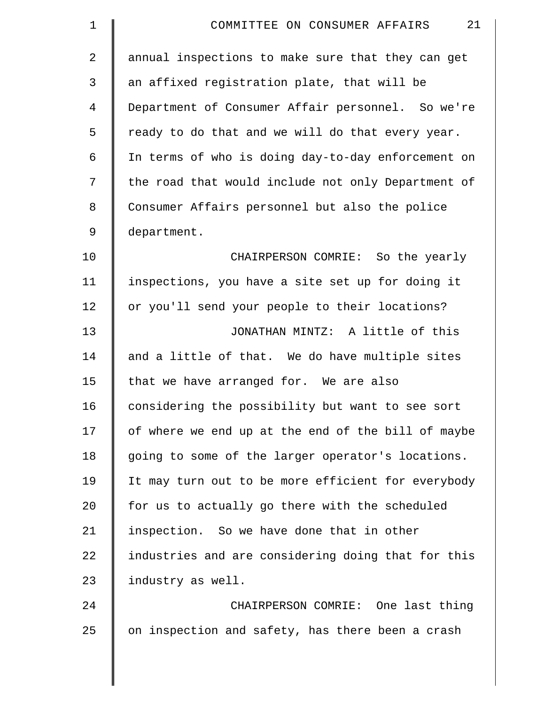| $\mathbf 1$    | 21<br>COMMITTEE ON CONSUMER AFFAIRS                |
|----------------|----------------------------------------------------|
| $\overline{2}$ | annual inspections to make sure that they can get  |
| 3              | an affixed registration plate, that will be        |
| 4              | Department of Consumer Affair personnel. So we're  |
| 5              | ready to do that and we will do that every year.   |
| 6              | In terms of who is doing day-to-day enforcement on |
| 7              | the road that would include not only Department of |
| 8              | Consumer Affairs personnel but also the police     |
| 9              | department.                                        |
| 10             | CHAIRPERSON COMRIE: So the yearly                  |
| 11             | inspections, you have a site set up for doing it   |
| 12             | or you'll send your people to their locations?     |
| 13             | JONATHAN MINTZ: A little of this                   |
| 14             | and a little of that. We do have multiple sites    |
| 15             | that we have arranged for. We are also             |
| 16             | considering the possibility but want to see sort   |
| 17             | of where we end up at the end of the bill of maybe |
| 18             | going to some of the larger operator's locations.  |
| 19             | It may turn out to be more efficient for everybody |
| 20             | for us to actually go there with the scheduled     |
| 21             | inspection. So we have done that in other          |
| 22             | industries and are considering doing that for this |
| 23             | industry as well.                                  |
| 24             | CHAIRPERSON COMRIE: One last thing                 |
| 25             | on inspection and safety, has there been a crash   |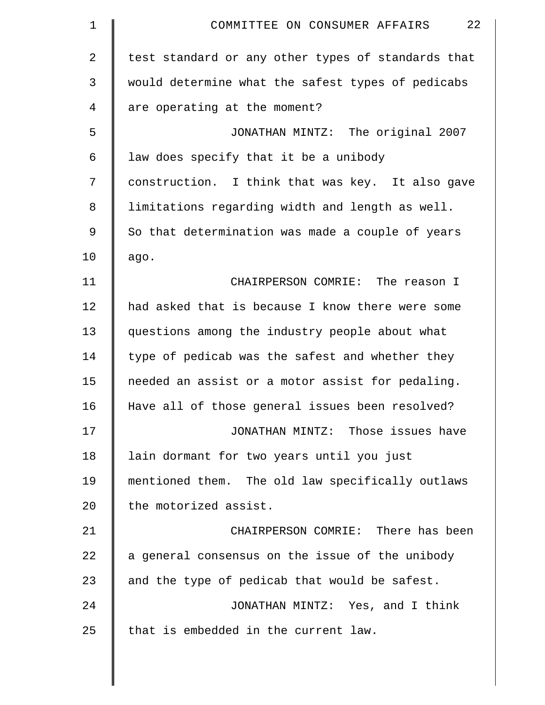| $\mathbf 1$    | 22<br>COMMITTEE ON CONSUMER AFFAIRS                |
|----------------|----------------------------------------------------|
| $\overline{a}$ | test standard or any other types of standards that |
| 3              | would determine what the safest types of pedicabs  |
| 4              | are operating at the moment?                       |
| 5              | JONATHAN MINTZ: The original 2007                  |
| 6              | law does specify that it be a unibody              |
| 7              | construction. I think that was key. It also gave   |
| 8              | limitations regarding width and length as well.    |
| 9              | So that determination was made a couple of years   |
| 10             | ago.                                               |
| 11             | CHAIRPERSON COMRIE: The reason I                   |
| 12             | had asked that is because I know there were some   |
| 13             | questions among the industry people about what     |
| 14             | type of pedicab was the safest and whether they    |
| 15             | needed an assist or a motor assist for pedaling.   |
| 16             | Have all of those general issues been resolved?    |
| 17             | JONATHAN MINTZ: Those issues have                  |
| 18             | lain dormant for two years until you just          |
| 19             | mentioned them. The old law specifically outlaws   |
| 20             | the motorized assist.                              |
| 21             | CHAIRPERSON COMRIE: There has been                 |
| 22             | a general consensus on the issue of the unibody    |
| 23             | and the type of pedicab that would be safest.      |
| 24             | JONATHAN MINTZ: Yes, and I think                   |
| 25             | that is embedded in the current law.               |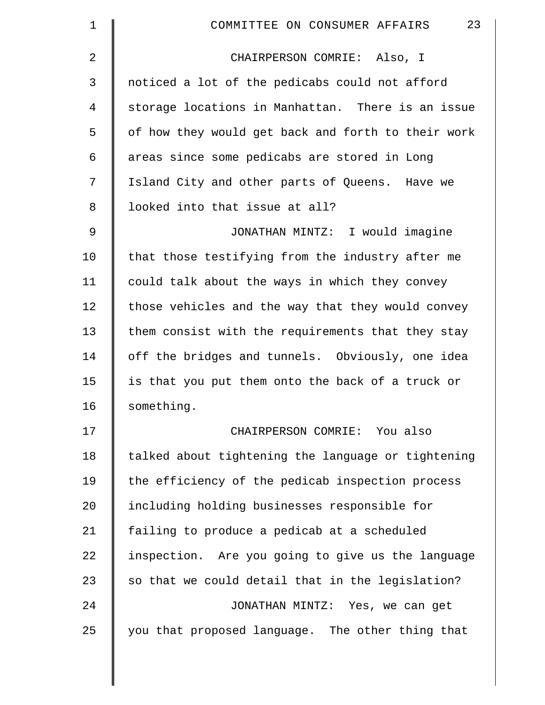| $\mathbf 1$ | 23<br>COMMITTEE ON CONSUMER AFFAIRS                |
|-------------|----------------------------------------------------|
| 2           | CHAIRPERSON COMRIE: Also, I                        |
| 3           | noticed a lot of the pedicabs could not afford     |
| 4           | storage locations in Manhattan. There is an issue  |
| 5           | of how they would get back and forth to their work |
| 6           | areas since some pedicabs are stored in Long       |
| 7           | Island City and other parts of Queens. Have we     |
| 8           | looked into that issue at all?                     |
| 9           | JONATHAN MINTZ: I would imagine                    |
| 10          | that those testifying from the industry after me   |
| 11          | could talk about the ways in which they convey     |
| 12          | those vehicles and the way that they would convey  |
| 13          | them consist with the requirements that they stay  |
| 14          | off the bridges and tunnels. Obviously, one idea   |
| 15          | is that you put them onto the back of a truck or   |
| 16          | something.                                         |
| 17          | CHAIRPERSON COMRIE: You also                       |
| 18          | talked about tightening the language or tightening |
| 19          | the efficiency of the pedicab inspection process   |
| 20          | including holding businesses responsible for       |
| 21          | failing to produce a pedicab at a scheduled        |
| 22          | inspection. Are you going to give us the language  |
| 23          | so that we could detail that in the legislation?   |
| 24          | JONATHAN MINTZ: Yes, we can get                    |
| 25          | you that proposed language. The other thing that   |
|             |                                                    |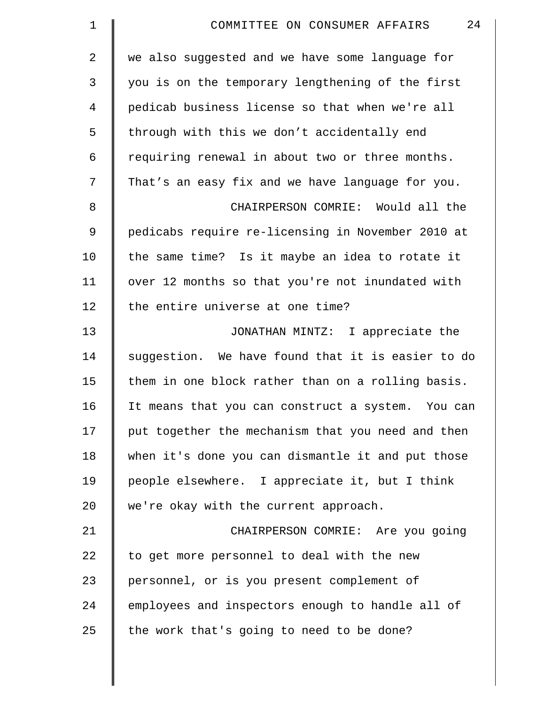| $\mathbf{1}$   | 24<br>COMMITTEE ON CONSUMER AFFAIRS               |
|----------------|---------------------------------------------------|
| $\overline{2}$ | we also suggested and we have some language for   |
| 3              | you is on the temporary lengthening of the first  |
| 4              | pedicab business license so that when we're all   |
| 5              | through with this we don't accidentally end       |
| 6              | requiring renewal in about two or three months.   |
| 7              | That's an easy fix and we have language for you.  |
| 8              | CHAIRPERSON COMRIE: Would all the                 |
| 9              | pedicabs require re-licensing in November 2010 at |
| 10             | the same time? Is it maybe an idea to rotate it   |
| 11             | over 12 months so that you're not inundated with  |
| 12             | the entire universe at one time?                  |
| 13             | JONATHAN MINTZ: I appreciate the                  |
| 14             | suggestion. We have found that it is easier to do |
| 15             | them in one block rather than on a rolling basis. |
| 16             | It means that you can construct a system. You can |
| 17             | put together the mechanism that you need and then |
| 18             | when it's done you can dismantle it and put those |
| 19             | people elsewhere. I appreciate it, but I think    |
| 20             | we're okay with the current approach.             |
| 21             | CHAIRPERSON COMRIE: Are you going                 |
| 22             | to get more personnel to deal with the new        |
| 23             | personnel, or is you present complement of        |
| 24             | employees and inspectors enough to handle all of  |
| 25             | the work that's going to need to be done?         |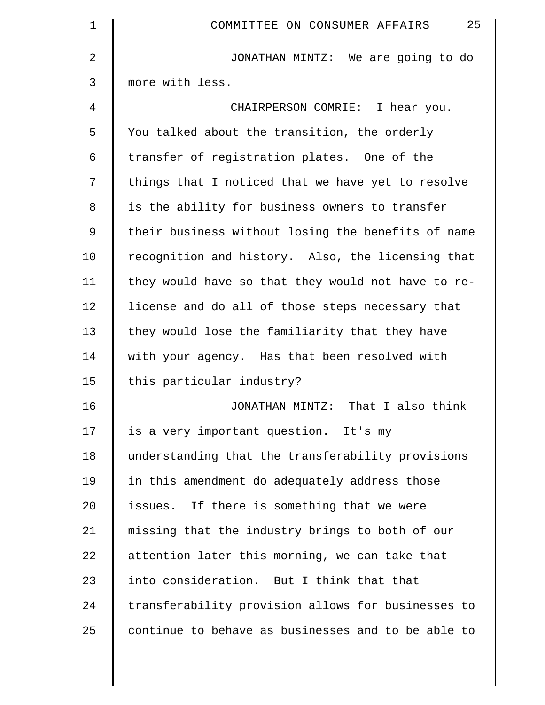| 1  | 25<br>COMMITTEE ON CONSUMER AFFAIRS                |
|----|----------------------------------------------------|
| 2  | JONATHAN MINTZ: We are going to do                 |
| 3  | more with less.                                    |
| 4  | CHAIRPERSON COMRIE: I hear you.                    |
| 5  | You talked about the transition, the orderly       |
| 6  | transfer of registration plates. One of the        |
| 7  | things that I noticed that we have yet to resolve  |
| 8  | is the ability for business owners to transfer     |
| 9  | their business without losing the benefits of name |
| 10 | recognition and history. Also, the licensing that  |
| 11 | they would have so that they would not have to re- |
| 12 | license and do all of those steps necessary that   |
| 13 | they would lose the familiarity that they have     |
| 14 | with your agency. Has that been resolved with      |
| 15 | this particular industry?                          |
| 16 | That I also think<br>JONATHAN MINTZ:               |
| 17 | is a very important question. It's my              |
| 18 | understanding that the transferability provisions  |
| 19 | in this amendment do adequately address those      |
| 20 | issues. If there is something that we were         |
| 21 | missing that the industry brings to both of our    |
| 22 | attention later this morning, we can take that     |
| 23 | into consideration. But I think that that          |
| 24 | transferability provision allows for businesses to |
| 25 | continue to behave as businesses and to be able to |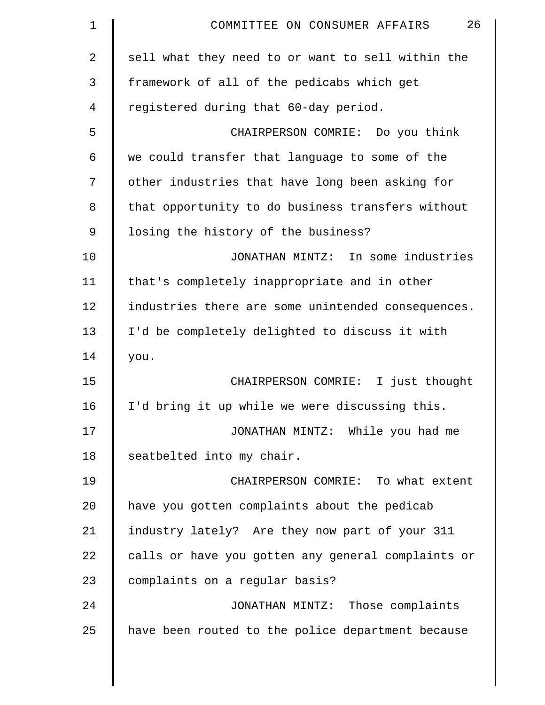| 26<br>COMMITTEE ON CONSUMER AFFAIRS                |
|----------------------------------------------------|
| sell what they need to or want to sell within the  |
| framework of all of the pedicabs which get         |
| registered during that 60-day period.              |
| CHAIRPERSON COMRIE: Do you think                   |
| we could transfer that language to some of the     |
| other industries that have long been asking for    |
| that opportunity to do business transfers without  |
| losing the history of the business?                |
| JONATHAN MINTZ: In some industries                 |
| that's completely inappropriate and in other       |
| industries there are some unintended consequences. |
| I'd be completely delighted to discuss it with     |
| you.                                               |
| CHAIRPERSON COMRIE: I just thought                 |
| I'd bring it up while we were discussing this.     |
| JONATHAN MINTZ: While you had me                   |
| seatbelted into my chair.                          |
| CHAIRPERSON COMRIE: To what extent                 |
| have you gotten complaints about the pedicab       |
| industry lately? Are they now part of your 311     |
| calls or have you gotten any general complaints or |
| complaints on a regular basis?                     |
| JONATHAN MINTZ: Those complaints                   |
| have been routed to the police department because  |
|                                                    |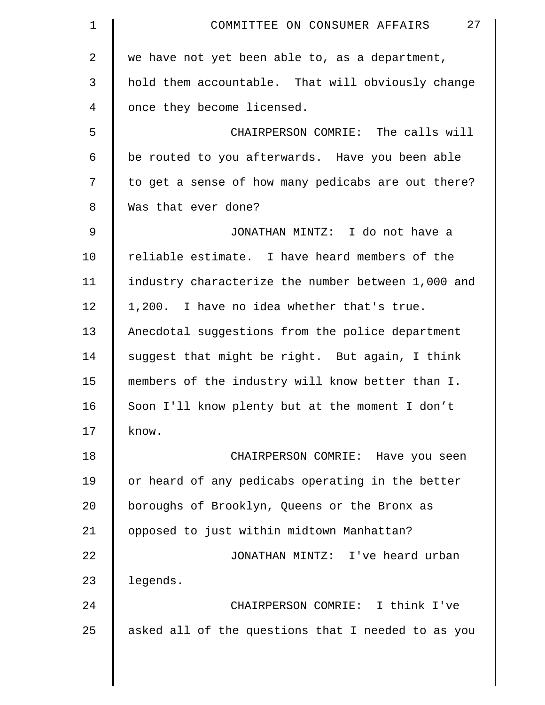| $\mathbf 1$    | 27<br>COMMITTEE ON CONSUMER AFFAIRS                |
|----------------|----------------------------------------------------|
| $\overline{2}$ | we have not yet been able to, as a department,     |
| 3              | hold them accountable. That will obviously change  |
| 4              | once they become licensed.                         |
| 5              | CHAIRPERSON COMRIE: The calls will                 |
| 6              | be routed to you afterwards. Have you been able    |
| 7              | to get a sense of how many pedicabs are out there? |
| 8              | Was that ever done?                                |
| 9              | JONATHAN MINTZ: I do not have a                    |
| 10             | reliable estimate. I have heard members of the     |
| 11             | industry characterize the number between 1,000 and |
| 12             | 1,200. I have no idea whether that's true.         |
| 13             | Anecdotal suggestions from the police department   |
| 14             | suggest that might be right. But again, I think    |
| 15             | members of the industry will know better than I.   |
| 16             | Soon I'll know plenty but at the moment I don't    |
| 17             | know.                                              |
| 18             | CHAIRPERSON COMRIE: Have you seen                  |
| 19             | or heard of any pedicabs operating in the better   |
| 20             | boroughs of Brooklyn, Queens or the Bronx as       |
| 21             | opposed to just within midtown Manhattan?          |
| 22             | JONATHAN MINTZ: I've heard urban                   |
| 23             | legends.                                           |
| 24             | CHAIRPERSON COMRIE: I think I've                   |
| 25             | asked all of the questions that I needed to as you |
|                |                                                    |

 $\parallel$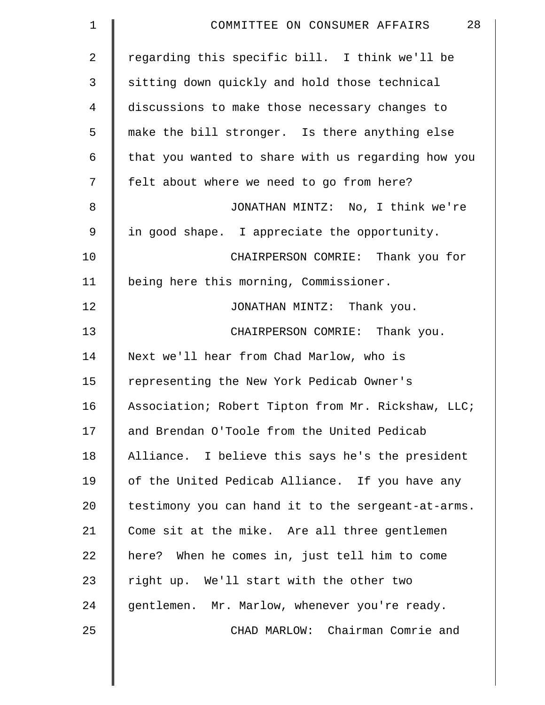| $\mathbf 1$    | 28<br>COMMITTEE ON CONSUMER AFFAIRS                |
|----------------|----------------------------------------------------|
| $\overline{2}$ | regarding this specific bill. I think we'll be     |
| 3              | sitting down quickly and hold those technical      |
| 4              | discussions to make those necessary changes to     |
| 5              | make the bill stronger. Is there anything else     |
| 6              | that you wanted to share with us regarding how you |
| 7              | felt about where we need to go from here?          |
| 8              | JONATHAN MINTZ: No, I think we're                  |
| 9              | in good shape. I appreciate the opportunity.       |
| 10             | CHAIRPERSON COMRIE: Thank you for                  |
| 11             | being here this morning, Commissioner.             |
| 12             | JONATHAN MINTZ: Thank you.                         |
| 13             | CHAIRPERSON COMRIE: Thank you.                     |
| 14             | Next we'll hear from Chad Marlow, who is           |
| 15             | representing the New York Pedicab Owner's          |
| 16             | Association; Robert Tipton from Mr. Rickshaw, LLC; |
| 17             | and Brendan O'Toole from the United Pedicab        |
| 18             | Alliance. I believe this says he's the president   |
| 19             | of the United Pedicab Alliance. If you have any    |
| 20             | testimony you can hand it to the sergeant-at-arms. |
| 21             | Come sit at the mike. Are all three gentlemen      |
| 22             | here? When he comes in, just tell him to come      |
| 23             | right up. We'll start with the other two           |
| 24             | gentlemen. Mr. Marlow, whenever you're ready.      |
| 25             | CHAD MARLOW: Chairman Comrie and                   |
|                |                                                    |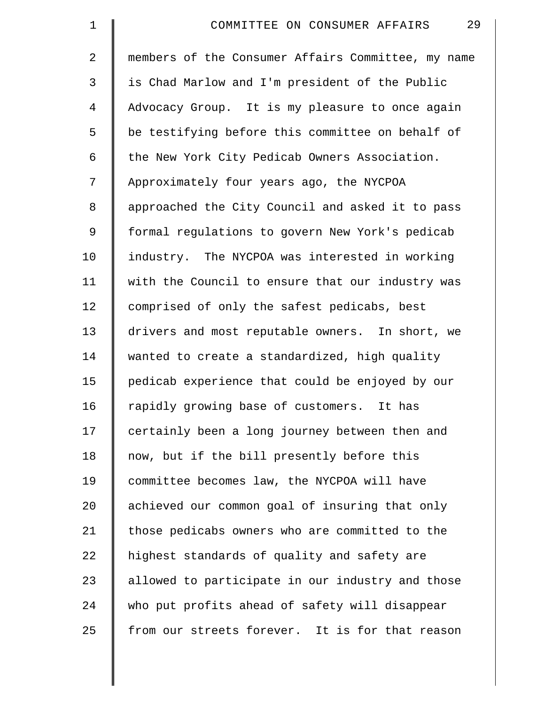| $\mathbf 1$    | 29<br>COMMITTEE ON CONSUMER AFFAIRS                |
|----------------|----------------------------------------------------|
| $\overline{2}$ | members of the Consumer Affairs Committee, my name |
| 3              | is Chad Marlow and I'm president of the Public     |
| 4              | Advocacy Group. It is my pleasure to once again    |
| 5              | be testifying before this committee on behalf of   |
| 6              | the New York City Pedicab Owners Association.      |
| 7              | Approximately four years ago, the NYCPOA           |
| 8              | approached the City Council and asked it to pass   |
| 9              | formal regulations to govern New York's pedicab    |
| 10             | industry. The NYCPOA was interested in working     |
| 11             | with the Council to ensure that our industry was   |
| 12             | comprised of only the safest pedicabs, best        |
| 13             | drivers and most reputable owners. In short, we    |
| 14             | wanted to create a standardized, high quality      |
| 15             | pedicab experience that could be enjoyed by our    |
| 16             | rapidly growing base of customers. It has          |
| 17             | certainly been a long journey between then and     |
| 18             | now, but if the bill presently before this         |
| 19             | committee becomes law, the NYCPOA will have        |
| 20             | achieved our common goal of insuring that only     |
| 21             | those pedicabs owners who are committed to the     |
| 22             | highest standards of quality and safety are        |
| 23             | allowed to participate in our industry and those   |
| 24             | who put profits ahead of safety will disappear     |
| 25             | from our streets forever. It is for that reason    |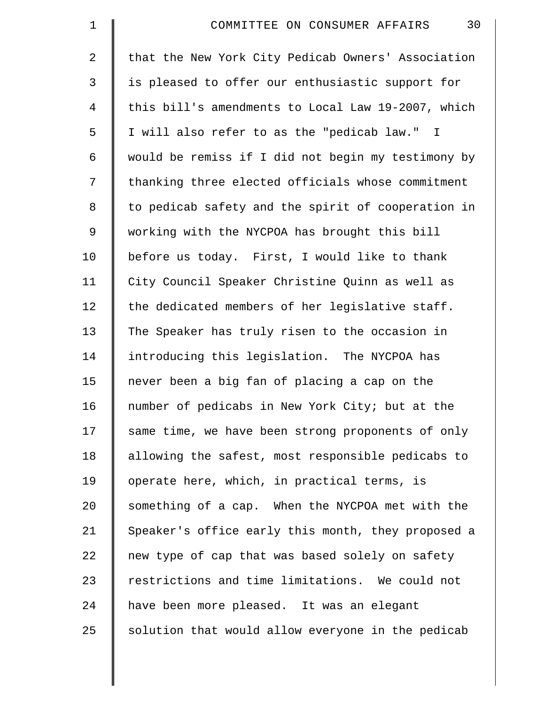| $\mathbf 1$    | 30<br>COMMITTEE ON CONSUMER AFFAIRS                |
|----------------|----------------------------------------------------|
| $\overline{2}$ | that the New York City Pedicab Owners' Association |
| 3              | is pleased to offer our enthusiastic support for   |
| $\overline{4}$ | this bill's amendments to Local Law 19-2007, which |
| 5              | I will also refer to as the "pedicab law." I       |
| 6              | would be remiss if I did not begin my testimony by |
| 7              | thanking three elected officials whose commitment  |
| 8              | to pedicab safety and the spirit of cooperation in |
| 9              | working with the NYCPOA has brought this bill      |
| 10             | before us today. First, I would like to thank      |
| 11             | City Council Speaker Christine Quinn as well as    |
| 12             | the dedicated members of her legislative staff.    |
| 13             | The Speaker has truly risen to the occasion in     |
| 14             | introducing this legislation. The NYCPOA has       |
| 15             | never been a big fan of placing a cap on the       |
| 16             | number of pedicabs in New York City; but at the    |
| 17             | same time, we have been strong proponents of only  |
| 18             | allowing the safest, most responsible pedicabs to  |
| 19             | operate here, which, in practical terms, is        |
| 20             | something of a cap. When the NYCPOA met with the   |
| 21             | Speaker's office early this month, they proposed a |
| 22             | new type of cap that was based solely on safety    |
| 23             | restrictions and time limitations. We could not    |
| 24             | have been more pleased. It was an elegant          |
| 25             | solution that would allow everyone in the pedicab  |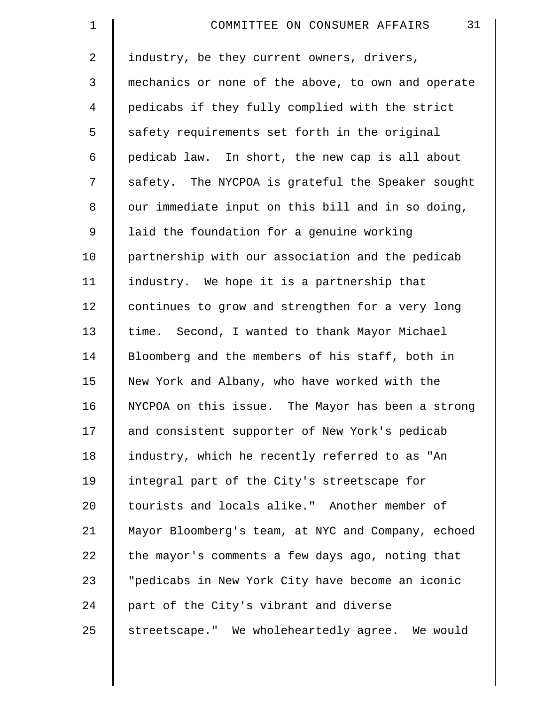| $\mathbf 1$    | 31<br>COMMITTEE ON CONSUMER AFFAIRS                |
|----------------|----------------------------------------------------|
| $\overline{2}$ | industry, be they current owners, drivers,         |
| 3              | mechanics or none of the above, to own and operate |
| $\overline{4}$ | pedicabs if they fully complied with the strict    |
| 5              | safety requirements set forth in the original      |
| 6              | pedicab law. In short, the new cap is all about    |
| 7              | safety. The NYCPOA is grateful the Speaker sought  |
| 8              | our immediate input on this bill and in so doing,  |
| 9              | laid the foundation for a genuine working          |
| 10             | partnership with our association and the pedicab   |
| 11             | industry. We hope it is a partnership that         |
| 12             | continues to grow and strengthen for a very long   |
| 13             | time. Second, I wanted to thank Mayor Michael      |
| 14             | Bloomberg and the members of his staff, both in    |
| 15             | New York and Albany, who have worked with the      |
| 16             | NYCPOA on this issue. The Mayor has been a strong  |
| 17             | and consistent supporter of New York's pedicab     |
| 18             | industry, which he recently referred to as "An     |
| 19             | integral part of the City's streetscape for        |
| 20             | tourists and locals alike." Another member of      |
| 21             | Mayor Bloomberg's team, at NYC and Company, echoed |
| 22             | the mayor's comments a few days ago, noting that   |
| 23             | "pedicabs in New York City have become an iconic   |
| 24             | part of the City's vibrant and diverse             |
| 25             | streetscape." We wholeheartedly agree. We would    |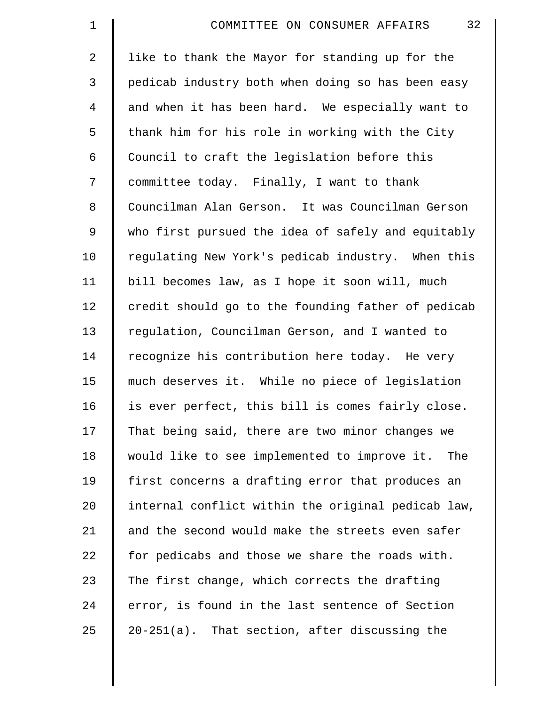| $\mathbf 1$ | 32<br>COMMITTEE ON CONSUMER AFFAIRS                |
|-------------|----------------------------------------------------|
| 2           | like to thank the Mayor for standing up for the    |
| 3           | pedicab industry both when doing so has been easy  |
| 4           | and when it has been hard. We especially want to   |
| 5           | thank him for his role in working with the City    |
| 6           | Council to craft the legislation before this       |
| 7           | committee today. Finally, I want to thank          |
| 8           | Councilman Alan Gerson. It was Councilman Gerson   |
| $\mathsf 9$ | who first pursued the idea of safely and equitably |
| 10          | regulating New York's pedicab industry. When this  |
| 11          | bill becomes law, as I hope it soon will, much     |
| 12          | credit should go to the founding father of pedicab |
| 13          | regulation, Councilman Gerson, and I wanted to     |
| 14          | recognize his contribution here today. He very     |
| 15          | much deserves it. While no piece of legislation    |
| 16          | is ever perfect, this bill is comes fairly close.  |
| 17          | That being said, there are two minor changes we    |
| 18          | would like to see implemented to improve it. The   |
| 19          | first concerns a drafting error that produces an   |
| 20          | internal conflict within the original pedicab law, |
| 21          | and the second would make the streets even safer   |
| 22          | for pedicabs and those we share the roads with.    |
| 23          | The first change, which corrects the drafting      |
| 24          | error, is found in the last sentence of Section    |
| 25          | $20-251(a)$ . That section, after discussing the   |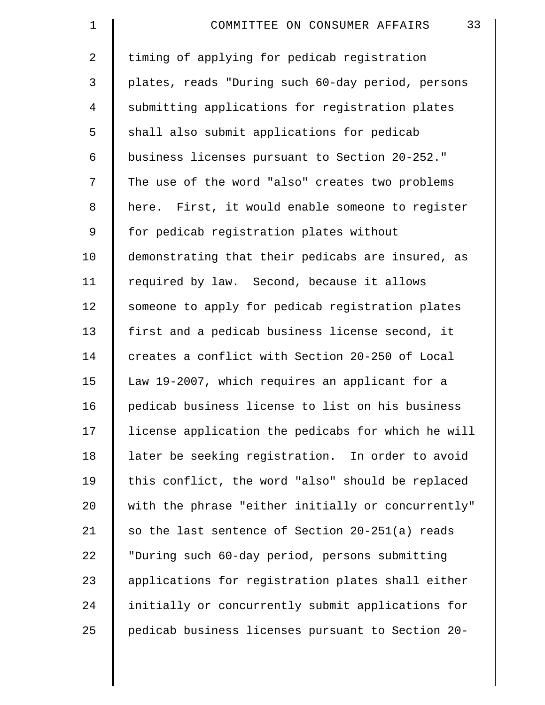| $\mathbf 1$    | 33<br>COMMITTEE ON CONSUMER AFFAIRS                |
|----------------|----------------------------------------------------|
| $\overline{a}$ | timing of applying for pedicab registration        |
| 3              | plates, reads "During such 60-day period, persons  |
| 4              | submitting applications for registration plates    |
| 5              | shall also submit applications for pedicab         |
| 6              | business licenses pursuant to Section 20-252."     |
| 7              | The use of the word "also" creates two problems    |
| 8              | here. First, it would enable someone to register   |
| $\mathsf 9$    | for pedicab registration plates without            |
| 10             | demonstrating that their pedicabs are insured, as  |
| 11             | required by law. Second, because it allows         |
| 12             | someone to apply for pedicab registration plates   |
| 13             | first and a pedicab business license second, it    |
| 14             | creates a conflict with Section 20-250 of Local    |
| 15             | Law 19-2007, which requires an applicant for a     |
| 16             | pedicab business license to list on his business   |
| 17             | license application the pedicabs for which he will |
| 18             | later be seeking registration. In order to avoid   |
| 19             | this conflict, the word "also" should be replaced  |
| 20             | with the phrase "either initially or concurrently" |
| 21             | so the last sentence of Section 20-251(a) reads    |
| 22             | "During such 60-day period, persons submitting     |
| 23             | applications for registration plates shall either  |
| 24             | initially or concurrently submit applications for  |
| 25             | pedicab business licenses pursuant to Section 20-  |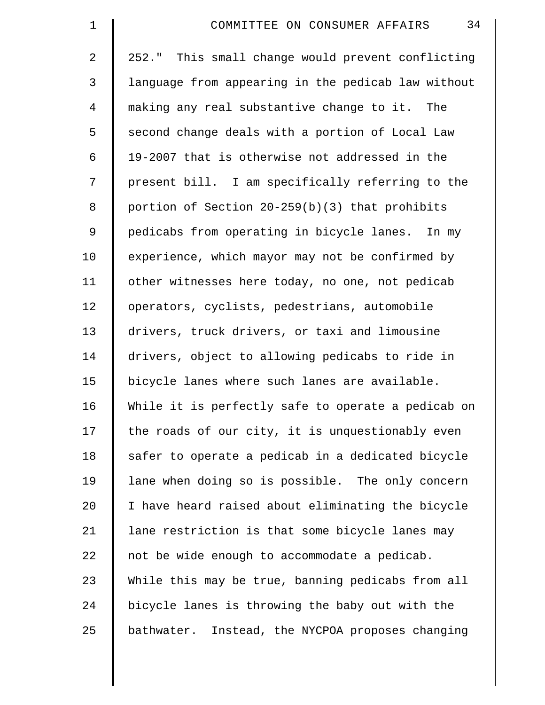| $\mathbf 1$    | 34<br>COMMITTEE ON CONSUMER AFFAIRS                |
|----------------|----------------------------------------------------|
| $\overline{2}$ | 252." This small change would prevent conflicting  |
| $\mathfrak{Z}$ | language from appearing in the pedicab law without |
| $\overline{4}$ | making any real substantive change to it. The      |
| 5              | second change deals with a portion of Local Law    |
| 6              | 19-2007 that is otherwise not addressed in the     |
| 7              | present bill. I am specifically referring to the   |
| $8\,$          | portion of Section 20-259(b)(3) that prohibits     |
| $\mathsf 9$    | pedicabs from operating in bicycle lanes. In my    |
| 10             | experience, which mayor may not be confirmed by    |
| 11             | other witnesses here today, no one, not pedicab    |
| 12             | operators, cyclists, pedestrians, automobile       |
| 13             | drivers, truck drivers, or taxi and limousine      |
| 14             | drivers, object to allowing pedicabs to ride in    |
| 15             | bicycle lanes where such lanes are available.      |
| 16             | While it is perfectly safe to operate a pedicab on |
| 17             | the roads of our city, it is unquestionably even   |
| 18             | safer to operate a pedicab in a dedicated bicycle  |
| 19             | lane when doing so is possible. The only concern   |
| 20             | I have heard raised about eliminating the bicycle  |
| 21             | lane restriction is that some bicycle lanes may    |
| 22             | not be wide enough to accommodate a pedicab.       |
| 23             | While this may be true, banning pedicabs from all  |
| 24             | bicycle lanes is throwing the baby out with the    |
| 25             | bathwater. Instead, the NYCPOA proposes changing   |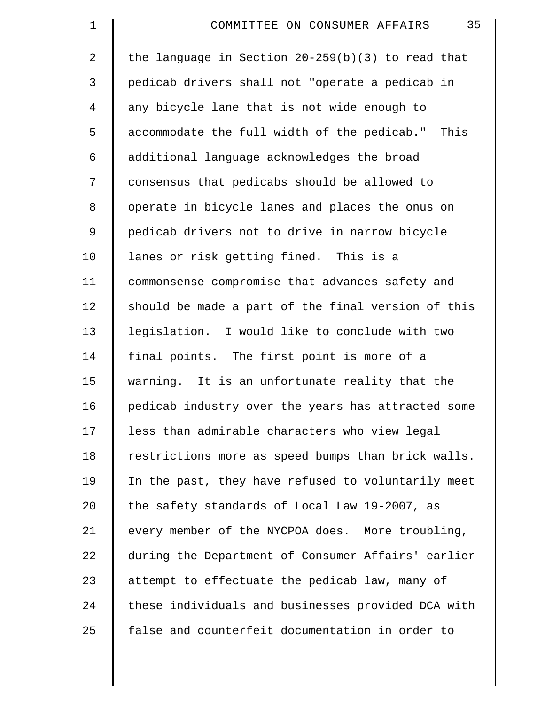| $\mathbf 1$    | 35<br>COMMITTEE ON CONSUMER AFFAIRS                 |
|----------------|-----------------------------------------------------|
| $\overline{2}$ | the language in Section $20-259(b)(3)$ to read that |
| 3              | pedicab drivers shall not "operate a pedicab in     |
| $\overline{4}$ | any bicycle lane that is not wide enough to         |
| 5              | accommodate the full width of the pedicab."<br>This |
| 6              | additional language acknowledges the broad          |
| 7              | consensus that pedicabs should be allowed to        |
| 8              | operate in bicycle lanes and places the onus on     |
| 9              | pedicab drivers not to drive in narrow bicycle      |
| 10             | lanes or risk getting fined. This is a              |
| 11             | commonsense compromise that advances safety and     |
| 12             | should be made a part of the final version of this  |
| 13             | legislation. I would like to conclude with two      |
| 14             | final points. The first point is more of a          |
| 15             | warning. It is an unfortunate reality that the      |
| 16             | pedicab industry over the years has attracted some  |
| 17             | less than admirable characters who view legal       |
| 18             | restrictions more as speed bumps than brick walls.  |
| 19             | In the past, they have refused to voluntarily meet  |
| 20             | the safety standards of Local Law 19-2007, as       |
| 21             | every member of the NYCPOA does. More troubling,    |
| 22             | during the Department of Consumer Affairs' earlier  |
| 23             | attempt to effectuate the pedicab law, many of      |
| 24             | these individuals and businesses provided DCA with  |
| 25             | false and counterfeit documentation in order to     |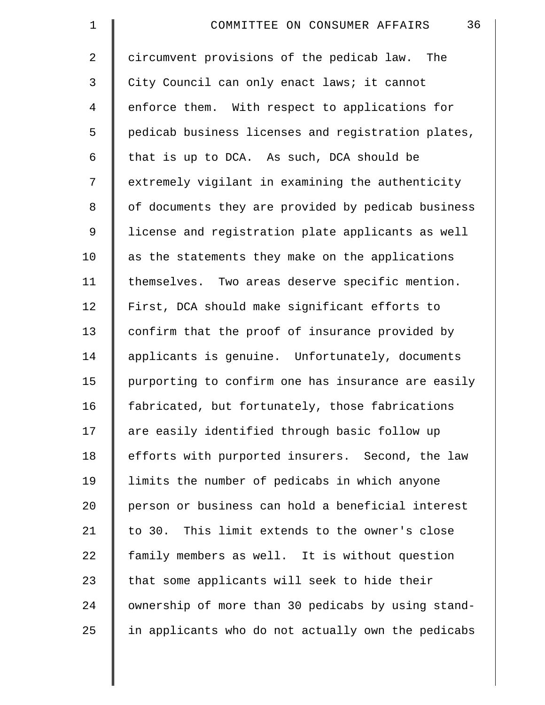| $\mathbf 1$ | 36<br>COMMITTEE ON CONSUMER AFFAIRS                |
|-------------|----------------------------------------------------|
| 2           | circumvent provisions of the pedicab law. The      |
| 3           | City Council can only enact laws; it cannot        |
| 4           | enforce them. With respect to applications for     |
| 5           | pedicab business licenses and registration plates, |
| 6           | that is up to DCA. As such, DCA should be          |
| 7           | extremely vigilant in examining the authenticity   |
| $\,8\,$     | of documents they are provided by pedicab business |
| 9           | license and registration plate applicants as well  |
| 10          | as the statements they make on the applications    |
| 11          | themselves. Two areas deserve specific mention.    |
| 12          | First, DCA should make significant efforts to      |
| 13          | confirm that the proof of insurance provided by    |
| 14          | applicants is genuine. Unfortunately, documents    |
| 15          | purporting to confirm one has insurance are easily |
| 16          | fabricated, but fortunately, those fabrications    |
| 17          | are easily identified through basic follow up      |
| 18          | efforts with purported insurers. Second, the law   |
| 19          | limits the number of pedicabs in which anyone      |
| 20          | person or business can hold a beneficial interest  |
| 21          | to 30. This limit extends to the owner's close     |
| 22          | family members as well. It is without question     |
| 23          | that some applicants will seek to hide their       |
| 24          | ownership of more than 30 pedicabs by using stand- |
| 25          | in applicants who do not actually own the pedicabs |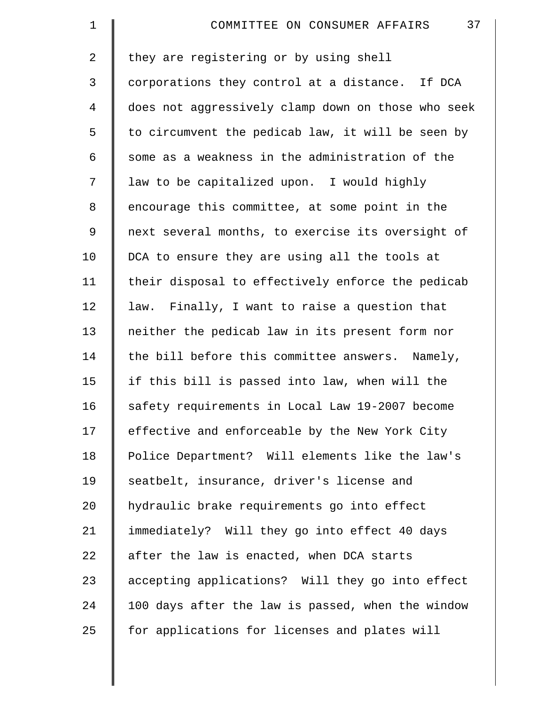| $\mathbf 1$    | 37<br>COMMITTEE ON CONSUMER AFFAIRS                |
|----------------|----------------------------------------------------|
| $\overline{2}$ | they are registering or by using shell             |
| 3              | corporations they control at a distance. If DCA    |
| $\overline{4}$ | does not aggressively clamp down on those who seek |
| 5              | to circumvent the pedicab law, it will be seen by  |
| 6              | some as a weakness in the administration of the    |
| 7              | law to be capitalized upon. I would highly         |
| 8              | encourage this committee, at some point in the     |
| 9              | next several months, to exercise its oversight of  |
| 10             | DCA to ensure they are using all the tools at      |
| 11             | their disposal to effectively enforce the pedicab  |
| 12             | law. Finally, I want to raise a question that      |
| 13             | neither the pedicab law in its present form nor    |
| 14             | the bill before this committee answers. Namely,    |
| 15             | if this bill is passed into law, when will the     |
| 16             | safety requirements in Local Law 19-2007 become    |
| 17             | effective and enforceable by the New York City     |
| 18             | Police Department? Will elements like the law's    |
| 19             | seatbelt, insurance, driver's license and          |
| 20             | hydraulic brake requirements go into effect        |
| 21             | immediately? Will they go into effect 40 days      |
| 22             | after the law is enacted, when DCA starts          |
| 23             | accepting applications? Will they go into effect   |
| 24             | 100 days after the law is passed, when the window  |
| 25             | for applications for licenses and plates will      |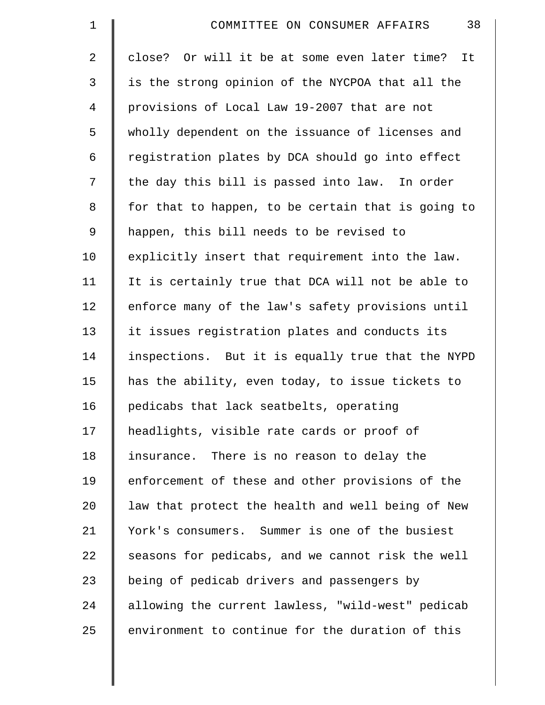| $\mathbf 1$     | 38<br>COMMITTEE ON CONSUMER AFFAIRS                |
|-----------------|----------------------------------------------------|
| $\overline{2}$  | close? Or will it be at some even later time? It   |
| 3               | is the strong opinion of the NYCPOA that all the   |
| 4               | provisions of Local Law 19-2007 that are not       |
| 5               | wholly dependent on the issuance of licenses and   |
| 6               | registration plates by DCA should go into effect   |
| 7               | the day this bill is passed into law. In order     |
| 8               | for that to happen, to be certain that is going to |
| 9               | happen, this bill needs to be revised to           |
| 10              | explicitly insert that requirement into the law.   |
| 11              | It is certainly true that DCA will not be able to  |
| 12              | enforce many of the law's safety provisions until  |
| 13              | it issues registration plates and conducts its     |
| 14              | inspections. But it is equally true that the NYPD  |
| 15              | has the ability, even today, to issue tickets to   |
| 16              | pedicabs that lack seatbelts, operating            |
| 17              | headlights, visible rate cards or proof of         |
| 18              | insurance. There is no reason to delay the         |
| 19              | enforcement of these and other provisions of the   |
| 20 <sub>o</sub> | law that protect the health and well being of New  |
| 21              | York's consumers. Summer is one of the busiest     |
| 22              | seasons for pedicabs, and we cannot risk the well  |
| 23              | being of pedicab drivers and passengers by         |
| 24              | allowing the current lawless, "wild-west" pedicab  |
| 25              | environment to continue for the duration of this   |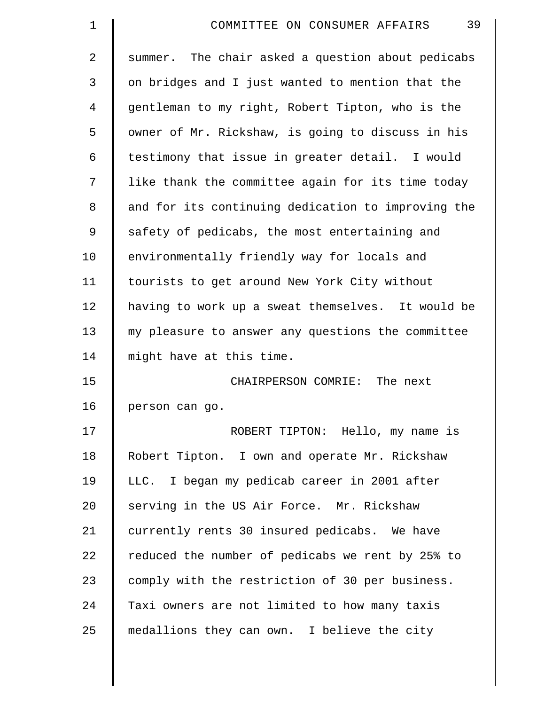| $\mathbf 1$    | 39<br>COMMITTEE ON CONSUMER AFFAIRS                |
|----------------|----------------------------------------------------|
| $\overline{2}$ | summer. The chair asked a question about pedicabs  |
| 3              | on bridges and I just wanted to mention that the   |
| 4              | gentleman to my right, Robert Tipton, who is the   |
| 5              | owner of Mr. Rickshaw, is going to discuss in his  |
| 6              | testimony that issue in greater detail. I would    |
| 7              | like thank the committee again for its time today  |
| 8              | and for its continuing dedication to improving the |
| 9              | safety of pedicabs, the most entertaining and      |
| 10             | environmentally friendly way for locals and        |
| 11             | tourists to get around New York City without       |
| 12             | having to work up a sweat themselves. It would be  |
| 13             | my pleasure to answer any questions the committee  |
| 14             | might have at this time.                           |
| 15             | CHAIRPERSON COMRIE: The next                       |
| 16             | person can go.                                     |
| 17             | ROBERT TIPTON: Hello, my name is                   |
| 18             | Robert Tipton. I own and operate Mr. Rickshaw      |
| 19             | LLC. I began my pedicab career in 2001 after       |
| 20             | serving in the US Air Force. Mr. Rickshaw          |
| 21             | currently rents 30 insured pedicabs. We have       |
| 22             | reduced the number of pedicabs we rent by 25% to   |
| 23             | comply with the restriction of 30 per business.    |
| 24             | Taxi owners are not limited to how many taxis      |
| 25             | medallions they can own. I believe the city        |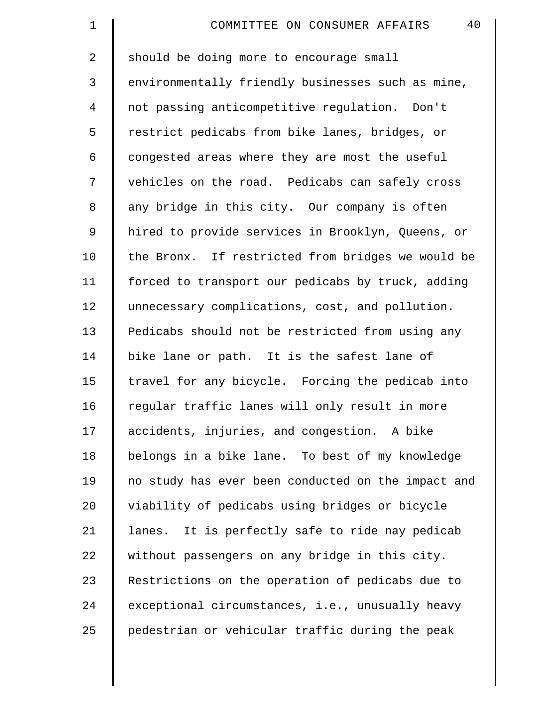| $\mathbf 1$    | 40<br>COMMITTEE ON CONSUMER AFFAIRS                |
|----------------|----------------------------------------------------|
| $\overline{2}$ | should be doing more to encourage small            |
| 3              | environmentally friendly businesses such as mine,  |
| 4              | not passing anticompetitive regulation. Don't      |
| 5              | restrict pedicabs from bike lanes, bridges, or     |
| 6              | congested areas where they are most the useful     |
| 7              | vehicles on the road. Pedicabs can safely cross    |
| 8              | any bridge in this city. Our company is often      |
| 9              | hired to provide services in Brooklyn, Queens, or  |
| 10             | the Bronx. If restricted from bridges we would be  |
| 11             | forced to transport our pedicabs by truck, adding  |
| 12             | unnecessary complications, cost, and pollution.    |
| 13             | Pedicabs should not be restricted from using any   |
| 14             | bike lane or path. It is the safest lane of        |
| 15             | travel for any bicycle. Forcing the pedicab into   |
| 16             | regular traffic lanes will only result in more     |
| 17             | accidents, injuries, and congestion. A bike        |
| 18             | belongs in a bike lane. To best of my knowledge    |
| 19             | no study has ever been conducted on the impact and |
| 20             | viability of pedicabs using bridges or bicycle     |
| 21             | lanes. It is perfectly safe to ride nay pedicab    |
| 22             | without passengers on any bridge in this city.     |
| 23             | Restrictions on the operation of pedicabs due to   |
| 24             | exceptional circumstances, i.e., unusually heavy   |
| 25             | pedestrian or vehicular traffic during the peak    |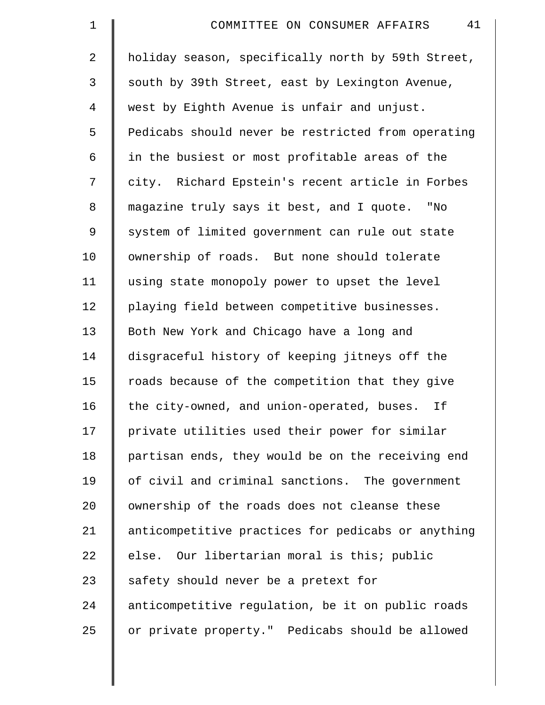| $\mathbf 1$    | 41<br>COMMITTEE ON CONSUMER AFFAIRS                |
|----------------|----------------------------------------------------|
| $\overline{2}$ | holiday season, specifically north by 59th Street, |
| 3              | south by 39th Street, east by Lexington Avenue,    |
| $\overline{4}$ | west by Eighth Avenue is unfair and unjust.        |
| 5              | Pedicabs should never be restricted from operating |
| 6              | in the busiest or most profitable areas of the     |
| 7              | city. Richard Epstein's recent article in Forbes   |
| 8              | magazine truly says it best, and I quote. "No      |
| 9              | system of limited government can rule out state    |
| 10             | ownership of roads. But none should tolerate       |
| 11             | using state monopoly power to upset the level      |
| 12             | playing field between competitive businesses.      |
| 13             | Both New York and Chicago have a long and          |
| 14             | disgraceful history of keeping jitneys off the     |
| 15             | roads because of the competition that they give    |
| 16             | the city-owned, and union-operated, buses.<br>If   |
| 17             | private utilities used their power for similar     |
| 18             | partisan ends, they would be on the receiving end  |
| 19             | of civil and criminal sanctions. The government    |
| 20             | ownership of the roads does not cleanse these      |
| 21             | anticompetitive practices for pedicabs or anything |
| 22             | else. Our libertarian moral is this; public        |
| 23             | safety should never be a pretext for               |
| 24             | anticompetitive regulation, be it on public roads  |
| 25             | or private property." Pedicabs should be allowed   |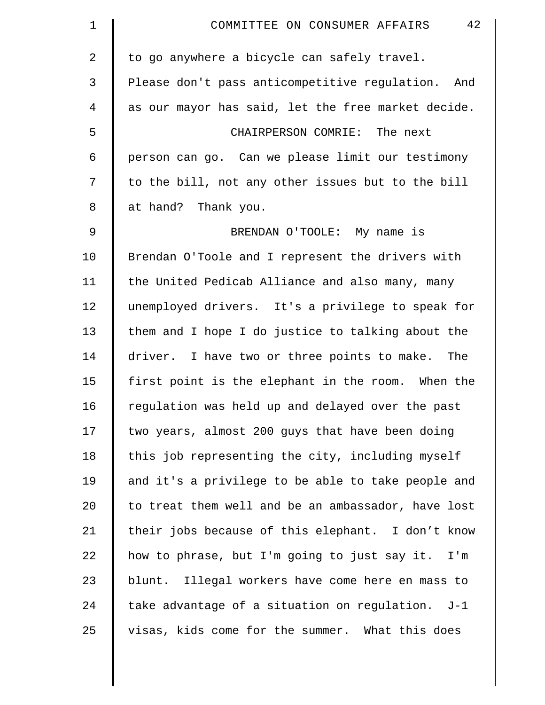| $\mathbf 1$    | 42<br>COMMITTEE ON CONSUMER AFFAIRS                |
|----------------|----------------------------------------------------|
| $\overline{a}$ | to go anywhere a bicycle can safely travel.        |
| 3              | Please don't pass anticompetitive regulation. And  |
| 4              | as our mayor has said, let the free market decide. |
| 5              | CHAIRPERSON COMRIE: The next                       |
| 6              | person can go. Can we please limit our testimony   |
| 7              | to the bill, not any other issues but to the bill  |
| 8              | at hand? Thank you.                                |
| 9              | BRENDAN O'TOOLE: My name is                        |
| 10             | Brendan O'Toole and I represent the drivers with   |
| 11             | the United Pedicab Alliance and also many, many    |
| 12             | unemployed drivers. It's a privilege to speak for  |
| 13             | them and I hope I do justice to talking about the  |
| 14             | driver. I have two or three points to make. The    |
| 15             | first point is the elephant in the room. When the  |
| 16             | regulation was held up and delayed over the past   |
| 17             | two years, almost 200 guys that have been doing    |
| 18             | this job representing the city, including myself   |
| 19             | and it's a privilege to be able to take people and |
| 20             | to treat them well and be an ambassador, have lost |
| 21             | their jobs because of this elephant. I don't know  |
| 22             | how to phrase, but I'm going to just say it. I'm   |
| 23             | blunt. Illegal workers have come here en mass to   |
| 24             | take advantage of a situation on regulation. J-1   |
| 25             | visas, kids come for the summer. What this does    |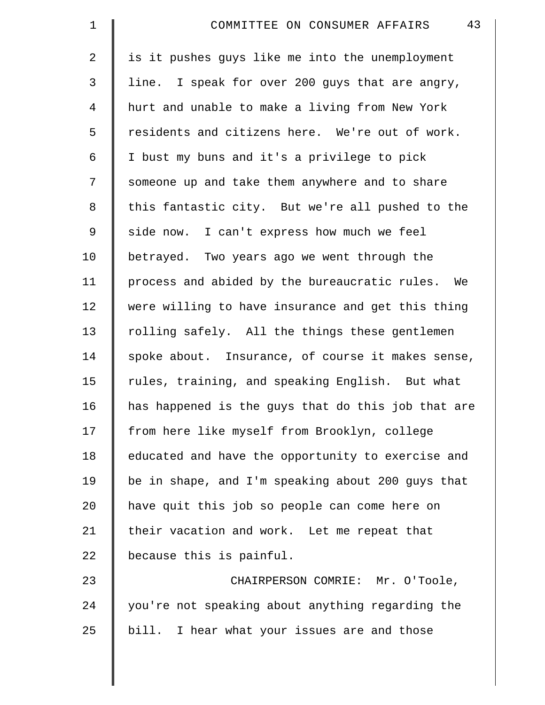| $\mathbf 1$    | 43<br>COMMITTEE ON CONSUMER AFFAIRS                |
|----------------|----------------------------------------------------|
| $\overline{2}$ | is it pushes guys like me into the unemployment    |
| 3              | line. I speak for over 200 guys that are angry,    |
| $\overline{4}$ | hurt and unable to make a living from New York     |
| 5              | residents and citizens here. We're out of work.    |
| 6              | I bust my buns and it's a privilege to pick        |
| 7              | someone up and take them anywhere and to share     |
| 8              | this fantastic city. But we're all pushed to the   |
| 9              | side now. I can't express how much we feel         |
| 10             | betrayed. Two years ago we went through the        |
| 11             | process and abided by the bureaucratic rules. We   |
| 12             | were willing to have insurance and get this thing  |
| 13             | rolling safely. All the things these gentlemen     |
| 14             | spoke about. Insurance, of course it makes sense,  |
| 15             | rules, training, and speaking English. But what    |
| 16             | has happened is the guys that do this job that are |
| 17             | from here like myself from Brooklyn, college       |
| 18             | educated and have the opportunity to exercise and  |
| 19             | be in shape, and I'm speaking about 200 guys that  |
| 20             | have quit this job so people can come here on      |
| 21             | their vacation and work. Let me repeat that        |
| 22             | because this is painful.                           |
| 23             | CHAIRPERSON COMRIE: Mr. O'Toole,                   |
| 24             | you're not speaking about anything regarding the   |
| 25             | bill. I hear what your issues are and those        |
|                |                                                    |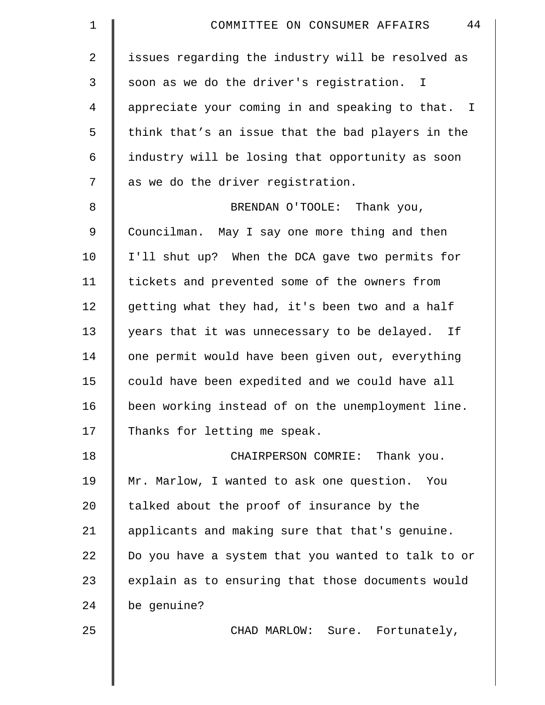| $\mathbf 1$    | 44<br>COMMITTEE ON CONSUMER AFFAIRS                |
|----------------|----------------------------------------------------|
| $\overline{2}$ | issues regarding the industry will be resolved as  |
| 3              | soon as we do the driver's registration. I         |
| 4              | appreciate your coming in and speaking to that. I  |
| 5              | think that's an issue that the bad players in the  |
| 6              | industry will be losing that opportunity as soon   |
| 7              | as we do the driver registration.                  |
| 8              | BRENDAN O'TOOLE: Thank you,                        |
| 9              | Councilman. May I say one more thing and then      |
| 10             | I'll shut up? When the DCA gave two permits for    |
| 11             | tickets and prevented some of the owners from      |
| 12             | getting what they had, it's been two and a half    |
| 13             | years that it was unnecessary to be delayed.<br>Ιf |
| 14             | one permit would have been given out, everything   |
| 15             | could have been expedited and we could have all    |
| 16             | been working instead of on the unemployment line.  |
| 17             | Thanks for letting me speak.                       |
| 18             | CHAIRPERSON COMRIE: Thank you.                     |
| 19             | Mr. Marlow, I wanted to ask one question. You      |
| 20             | talked about the proof of insurance by the         |
| 21             | applicants and making sure that that's genuine.    |
| 22             | Do you have a system that you wanted to talk to or |
| 23             | explain as to ensuring that those documents would  |
| 24             | be genuine?                                        |
| 25             | CHAD MARLOW: Sure. Fortunately,                    |
|                |                                                    |
|                |                                                    |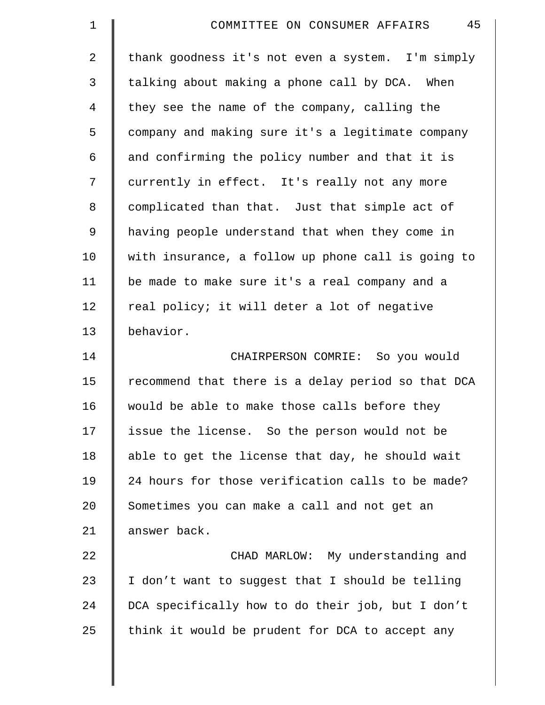| $\mathbf 1$ | 45<br>COMMITTEE ON CONSUMER AFFAIRS                |
|-------------|----------------------------------------------------|
| 2           | thank goodness it's not even a system. I'm simply  |
| 3           | talking about making a phone call by DCA. When     |
| 4           | they see the name of the company, calling the      |
| 5           | company and making sure it's a legitimate company  |
| 6           | and confirming the policy number and that it is    |
| 7           | currently in effect. It's really not any more      |
| 8           | complicated than that. Just that simple act of     |
| $\mathsf 9$ | having people understand that when they come in    |
| 10          | with insurance, a follow up phone call is going to |
| 11          | be made to make sure it's a real company and a     |
| 12          | real policy; it will deter a lot of negative       |
| 13          | behavior.                                          |
| 14          | CHAIRPERSON COMRIE: So you would                   |
| 15          | recommend that there is a delay period so that DCA |
| 16          | would be able to make those calls before they      |
| 17          | issue the license. So the person would not be      |
| 18          | able to get the license that day, he should wait   |
| 19          | 24 hours for those verification calls to be made?  |
| 20          | Sometimes you can make a call and not get an       |
| 21          | answer back.                                       |
| 22          | CHAD MARLOW: My understanding and                  |
| 23          | I don't want to suggest that I should be telling   |
| 24          | DCA specifically how to do their job, but I don't  |
| 25          | think it would be prudent for DCA to accept any    |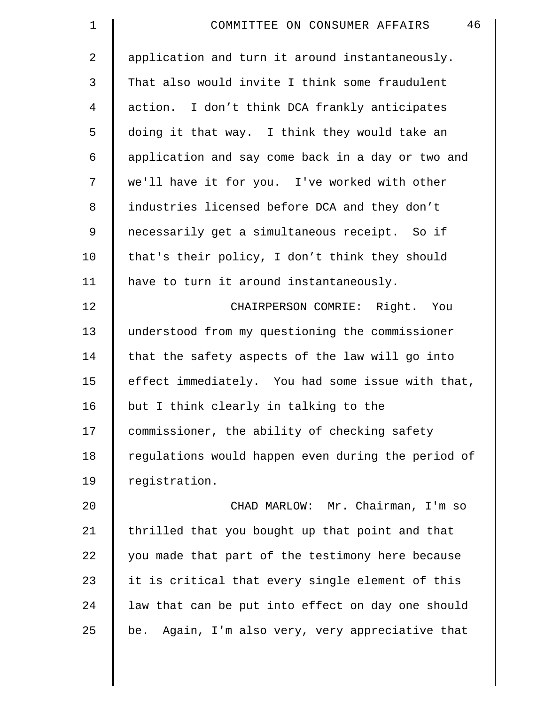| $\mathbf 1$    | 46<br>COMMITTEE ON CONSUMER AFFAIRS                |
|----------------|----------------------------------------------------|
| $\overline{2}$ | application and turn it around instantaneously.    |
| 3              | That also would invite I think some fraudulent     |
| $\overline{4}$ | action. I don't think DCA frankly anticipates      |
| 5              | doing it that way. I think they would take an      |
| 6              | application and say come back in a day or two and  |
| 7              | we'll have it for you. I've worked with other      |
| 8              | industries licensed before DCA and they don't      |
| 9              | necessarily get a simultaneous receipt. So if      |
| 10             | that's their policy, I don't think they should     |
| 11             | have to turn it around instantaneously.            |
| 12             | CHAIRPERSON COMRIE: Right. You                     |
| 13             | understood from my questioning the commissioner    |
| 14             | that the safety aspects of the law will go into    |
| 15             | effect immediately. You had some issue with that,  |
| 16             | but I think clearly in talking to the              |
| 17             | commissioner, the ability of checking safety       |
| 18             | regulations would happen even during the period of |
| 19             | registration.                                      |
| 20             | CHAD MARLOW: Mr. Chairman, I'm so                  |
| 21             | thrilled that you bought up that point and that    |
| 22             | you made that part of the testimony here because   |
| 23             | it is critical that every single element of this   |
| 24             | law that can be put into effect on day one should  |
| 25             | be. Again, I'm also very, very appreciative that   |
|                |                                                    |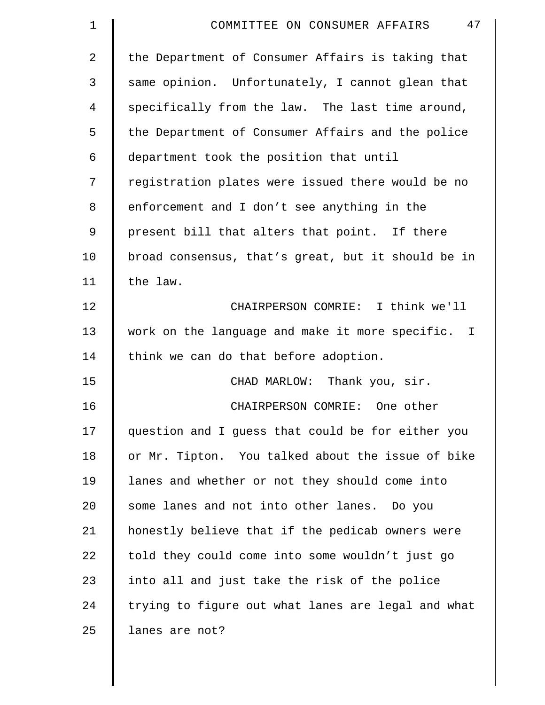| $\mathbf 1$    | 47<br>COMMITTEE ON CONSUMER AFFAIRS                |
|----------------|----------------------------------------------------|
| $\overline{2}$ | the Department of Consumer Affairs is taking that  |
| 3              | same opinion. Unfortunately, I cannot glean that   |
| 4              | specifically from the law. The last time around,   |
| 5              | the Department of Consumer Affairs and the police  |
| 6              | department took the position that until            |
| 7              | registration plates were issued there would be no  |
| 8              | enforcement and I don't see anything in the        |
| 9              | present bill that alters that point. If there      |
| 10             | broad consensus, that's great, but it should be in |
| 11             | the law.                                           |
| 12             | CHAIRPERSON COMRIE: I think we'll                  |
| 13             | work on the language and make it more specific. I  |
| 14             | think we can do that before adoption.              |
| 15             | CHAD MARLOW: Thank you, sir.                       |
| 16             | CHAIRPERSON COMRIE: One other                      |
| 17             | question and I guess that could be for either you  |
| 18             | or Mr. Tipton. You talked about the issue of bike  |
| 19             | lanes and whether or not they should come into     |
| 20             | some lanes and not into other lanes. Do you        |
| 21             | honestly believe that if the pedicab owners were   |
| 22             | told they could come into some wouldn't just go    |
| 23             | into all and just take the risk of the police      |
| 24             | trying to figure out what lanes are legal and what |
| 25             | lanes are not?                                     |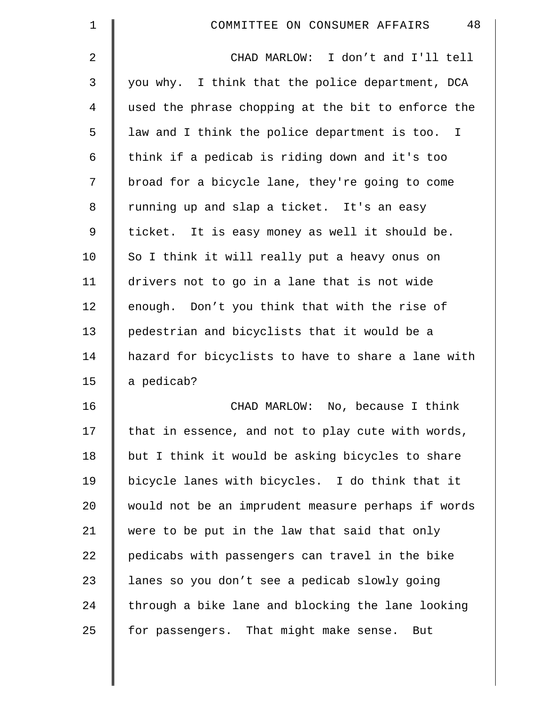| $\mathbf 1$ | 48<br>COMMITTEE ON CONSUMER AFFAIRS                |
|-------------|----------------------------------------------------|
| 2           | CHAD MARLOW: I don't and I'll tell                 |
| 3           | you why. I think that the police department, DCA   |
| 4           | used the phrase chopping at the bit to enforce the |
| 5           | law and I think the police department is too. I    |
| 6           | think if a pedicab is riding down and it's too     |
| 7           | broad for a bicycle lane, they're going to come    |
| 8           | running up and slap a ticket. It's an easy         |
| 9           | ticket. It is easy money as well it should be.     |
| 10          | So I think it will really put a heavy onus on      |
| 11          | drivers not to go in a lane that is not wide       |
| 12          | enough. Don't you think that with the rise of      |
| 13          | pedestrian and bicyclists that it would be a       |
| 14          | hazard for bicyclists to have to share a lane with |
| 15          | a pedicab?                                         |
| 16          | No, because I think<br>CHAD MARLOW:                |
| 17          | that in essence, and not to play cute with words,  |
| 18          | but I think it would be asking bicycles to share   |
| 19          | bicycle lanes with bicycles. I do think that it    |
| 20          | would not be an imprudent measure perhaps if words |
| 21          | were to be put in the law that said that only      |
| 22          | pedicabs with passengers can travel in the bike    |
| 23          | lanes so you don't see a pedicab slowly going      |
| 24          | through a bike lane and blocking the lane looking  |
| 25          | for passengers. That might make sense. But         |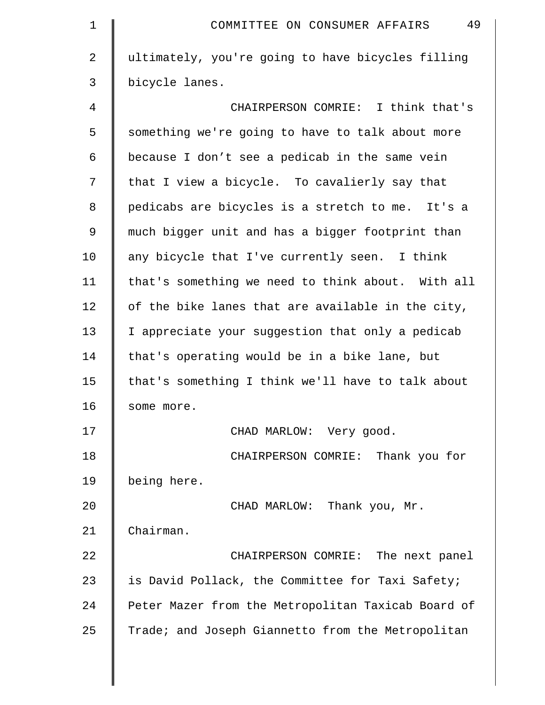| 1           | 49<br>COMMITTEE ON CONSUMER AFFAIRS                |
|-------------|----------------------------------------------------|
| 2           | ultimately, you're going to have bicycles filling  |
| 3           | bicycle lanes.                                     |
| 4           | CHAIRPERSON COMRIE: I think that's                 |
| 5           | something we're going to have to talk about more   |
| 6           | because I don't see a pedicab in the same vein     |
| 7           | that I view a bicycle. To cavalierly say that      |
| 8           | pedicabs are bicycles is a stretch to me. It's a   |
| $\mathsf 9$ | much bigger unit and has a bigger footprint than   |
| 10          | any bicycle that I've currently seen. I think      |
| 11          | that's something we need to think about. With all  |
| 12          | of the bike lanes that are available in the city,  |
| 13          | I appreciate your suggestion that only a pedicab   |
| 14          | that's operating would be in a bike lane, but      |
| 15          | that's something I think we'll have to talk about  |
| 16          | some more.                                         |
| 17          | CHAD MARLOW: Very good.                            |
| 18          | CHAIRPERSON COMRIE: Thank you for                  |
| 19          | being here.                                        |
| 20          | CHAD MARLOW: Thank you, Mr.                        |
| 21          | Chairman.                                          |
| 22          | CHAIRPERSON COMRIE: The next panel                 |
| 23          | is David Pollack, the Committee for Taxi Safety;   |
| 24          | Peter Mazer from the Metropolitan Taxicab Board of |
| 25          | Trade; and Joseph Giannetto from the Metropolitan  |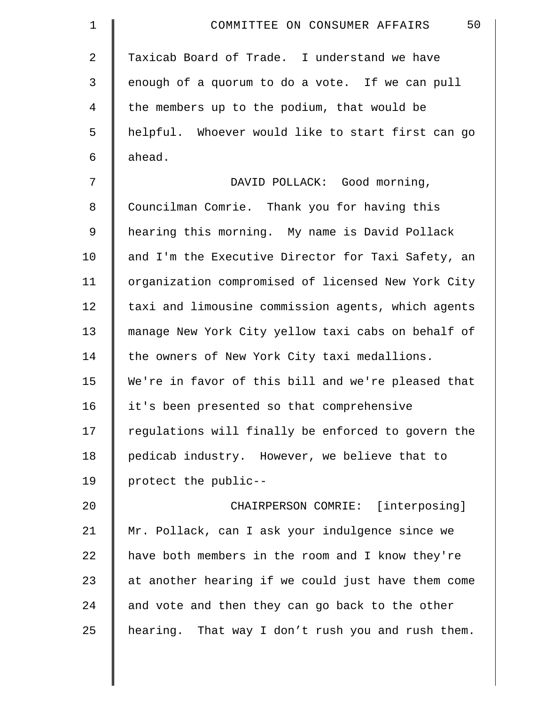| $\mathbf 1$ | 50<br>COMMITTEE ON CONSUMER AFFAIRS                |
|-------------|----------------------------------------------------|
| 2           | Taxicab Board of Trade. I understand we have       |
| 3           | enough of a quorum to do a vote. If we can pull    |
| 4           | the members up to the podium, that would be        |
| 5           | helpful. Whoever would like to start first can go  |
| 6           | ahead.                                             |
| 7           | DAVID POLLACK: Good morning,                       |
| 8           | Councilman Comrie. Thank you for having this       |
| 9           | hearing this morning. My name is David Pollack     |
| 10          | and I'm the Executive Director for Taxi Safety, an |
| 11          | organization compromised of licensed New York City |
| 12          | taxi and limousine commission agents, which agents |
| 13          | manage New York City yellow taxi cabs on behalf of |
| 14          | the owners of New York City taxi medallions.       |
| 15          | We're in favor of this bill and we're pleased that |
| 16          | it's been presented so that comprehensive          |
| 17          | regulations will finally be enforced to govern the |
| 18          | pedicab industry. However, we believe that to      |
| 19          | protect the public--                               |
| 20          | CHAIRPERSON COMRIE: [interposing]                  |
| 21          | Mr. Pollack, can I ask your indulgence since we    |
| 22          | have both members in the room and I know they're   |
| 23          | at another hearing if we could just have them come |
| 24          | and vote and then they can go back to the other    |
| 25          | hearing. That way I don't rush you and rush them.  |
|             |                                                    |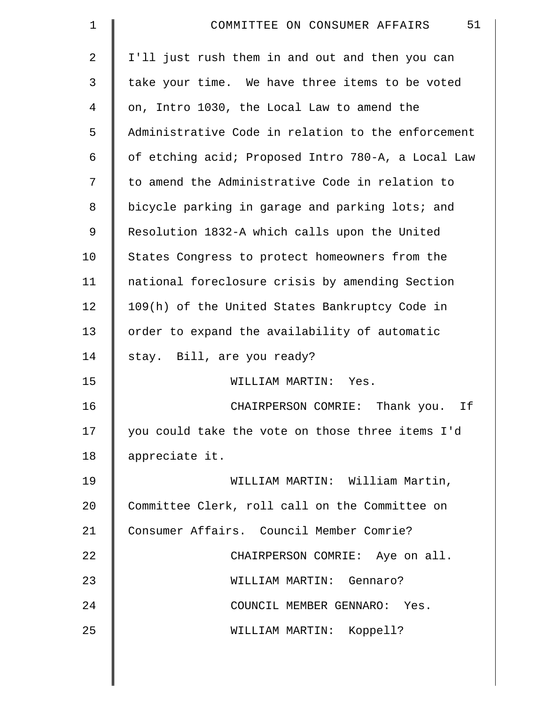| $\mathbf 1$ | 51<br>COMMITTEE ON CONSUMER AFFAIRS                |
|-------------|----------------------------------------------------|
| 2           | I'll just rush them in and out and then you can    |
| 3           | take your time. We have three items to be voted    |
| 4           | on, Intro 1030, the Local Law to amend the         |
| 5           | Administrative Code in relation to the enforcement |
| 6           | of etching acid; Proposed Intro 780-A, a Local Law |
| 7           | to amend the Administrative Code in relation to    |
| 8           | bicycle parking in garage and parking lots; and    |
| 9           | Resolution 1832-A which calls upon the United      |
| 10          | States Congress to protect homeowners from the     |
| 11          | national foreclosure crisis by amending Section    |
| 12          | 109(h) of the United States Bankruptcy Code in     |
| 13          | order to expand the availability of automatic      |
| 14          | stay. Bill, are you ready?                         |
| 15          | WILLIAM MARTIN: Yes.                               |
| 16          | CHAIRPERSON COMRIE: Thank you.<br>Ιf               |
| 17          | you could take the vote on those three items I'd   |
| 18          | appreciate it.                                     |
| 19          | WILLIAM MARTIN: William Martin,                    |
| 20          | Committee Clerk, roll call on the Committee on     |
| 21          | Consumer Affairs. Council Member Comrie?           |
| 22          | CHAIRPERSON COMRIE: Aye on all.                    |
| 23          | WILLIAM MARTIN: Gennaro?                           |
| 24          | COUNCIL MEMBER GENNARO: Yes.                       |
| 25          | WILLIAM MARTIN: Koppell?                           |
|             |                                                    |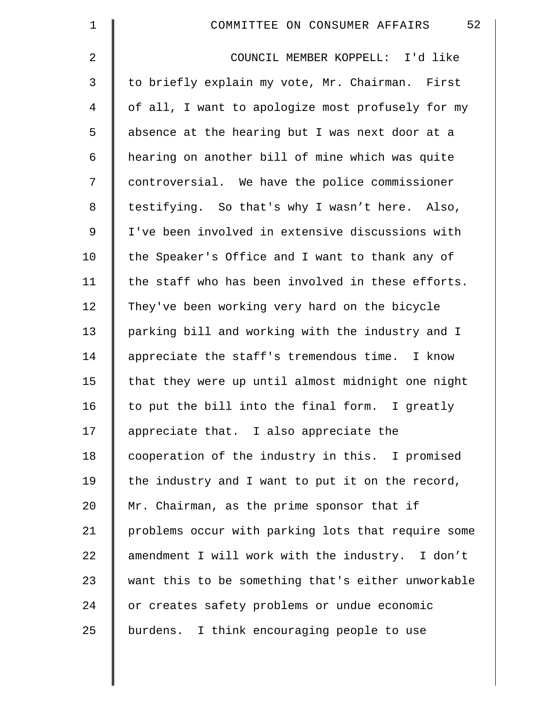| $\mathbf 1$ | 52<br>COMMITTEE ON CONSUMER AFFAIRS                |
|-------------|----------------------------------------------------|
| 2           | COUNCIL MEMBER KOPPELL: I'd like                   |
| 3           | to briefly explain my vote, Mr. Chairman. First    |
| 4           | of all, I want to apologize most profusely for my  |
| 5           | absence at the hearing but I was next door at a    |
| 6           | hearing on another bill of mine which was quite    |
| 7           | controversial. We have the police commissioner     |
| 8           | testifying. So that's why I wasn't here. Also,     |
| 9           | I've been involved in extensive discussions with   |
| 10          | the Speaker's Office and I want to thank any of    |
| 11          | the staff who has been involved in these efforts.  |
| 12          | They've been working very hard on the bicycle      |
| 13          | parking bill and working with the industry and I   |
| 14          | appreciate the staff's tremendous time. I know     |
| 15          | that they were up until almost midnight one night  |
| 16          | to put the bill into the final form.<br>I greatly  |
| 17          | appreciate that. I also appreciate the             |
| 18          | cooperation of the industry in this. I promised    |
| 19          | the industry and I want to put it on the record,   |
| 20          | Mr. Chairman, as the prime sponsor that if         |
| 21          | problems occur with parking lots that require some |
| 22          | amendment I will work with the industry. I don't   |
| 23          | want this to be something that's either unworkable |
| 24          | or creates safety problems or undue economic       |
| 25          | burdens. I think encouraging people to use         |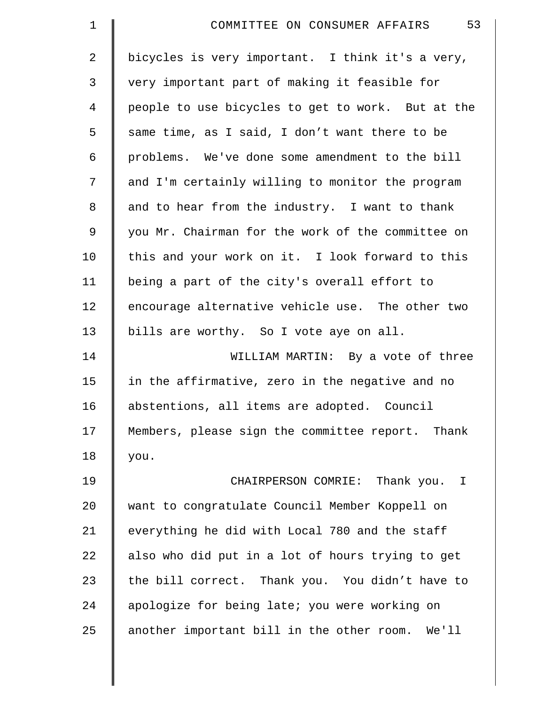| $\mathbf 1$    | 53<br>COMMITTEE ON CONSUMER AFFAIRS               |
|----------------|---------------------------------------------------|
| $\overline{2}$ | bicycles is very important. I think it's a very,  |
| 3              | very important part of making it feasible for     |
| 4              | people to use bicycles to get to work. But at the |
| 5              | same time, as I said, I don't want there to be    |
| 6              | problems. We've done some amendment to the bill   |
| 7              | and I'm certainly willing to monitor the program  |
| 8              | and to hear from the industry. I want to thank    |
| $\mathsf 9$    | you Mr. Chairman for the work of the committee on |
| 10             | this and your work on it. I look forward to this  |
| 11             | being a part of the city's overall effort to      |
| 12             | encourage alternative vehicle use. The other two  |
| 13             | bills are worthy. So I vote aye on all.           |
| 14             | WILLIAM MARTIN: By a vote of three                |
| 15             | in the affirmative, zero in the negative and no   |
| 16             | abstentions, all items are adopted. Council       |
| 17             | Members, please sign the committee report. Thank  |
| 18             | you.                                              |
| 19             | CHAIRPERSON COMRIE: Thank you. I                  |
| 20             | want to congratulate Council Member Koppell on    |
| 21             | everything he did with Local 780 and the staff    |
| 22             | also who did put in a lot of hours trying to get  |
| 23             | the bill correct. Thank you. You didn't have to   |
| 24             | apologize for being late; you were working on     |
| 25             | another important bill in the other room. We'll   |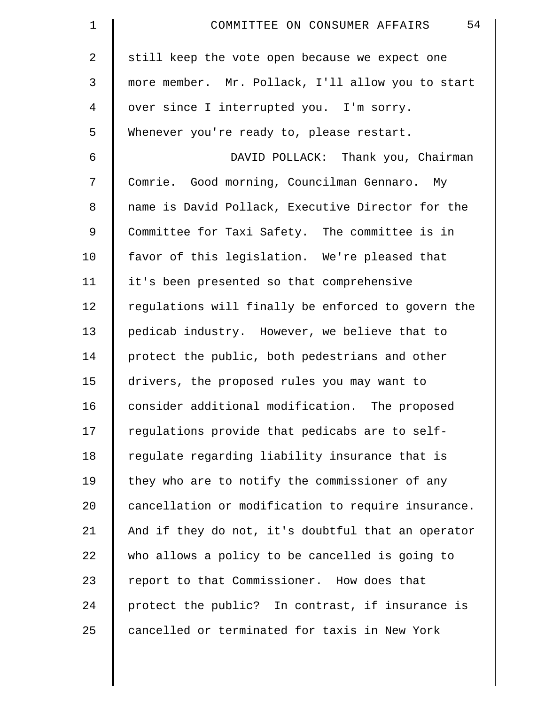| $\mathbf 1$    | 54<br>COMMITTEE ON CONSUMER AFFAIRS                |
|----------------|----------------------------------------------------|
| 2              | still keep the vote open because we expect one     |
| 3              | more member. Mr. Pollack, I'll allow you to start  |
| $\overline{4}$ | over since I interrupted you. I'm sorry.           |
| 5              | Whenever you're ready to, please restart.          |
| 6              | DAVID POLLACK: Thank you, Chairman                 |
| 7              | Comrie. Good morning, Councilman Gennaro. My       |
| 8              | name is David Pollack, Executive Director for the  |
| 9              | Committee for Taxi Safety. The committee is in     |
| 10             | favor of this legislation. We're pleased that      |
| 11             | it's been presented so that comprehensive          |
| 12             | regulations will finally be enforced to govern the |
| 13             | pedicab industry. However, we believe that to      |
| 14             | protect the public, both pedestrians and other     |
| 15             | drivers, the proposed rules you may want to        |
| 16             | consider additional modification.<br>The proposed  |
| 17             | regulations provide that pedicabs are to self-     |
| 18             | regulate regarding liability insurance that is     |
| 19             | they who are to notify the commissioner of any     |
| 20             | cancellation or modification to require insurance. |
| 21             | And if they do not, it's doubtful that an operator |
| 22             | who allows a policy to be cancelled is going to    |
| 23             | report to that Commissioner. How does that         |
| 24             | protect the public? In contrast, if insurance is   |
| 25             | cancelled or terminated for taxis in New York      |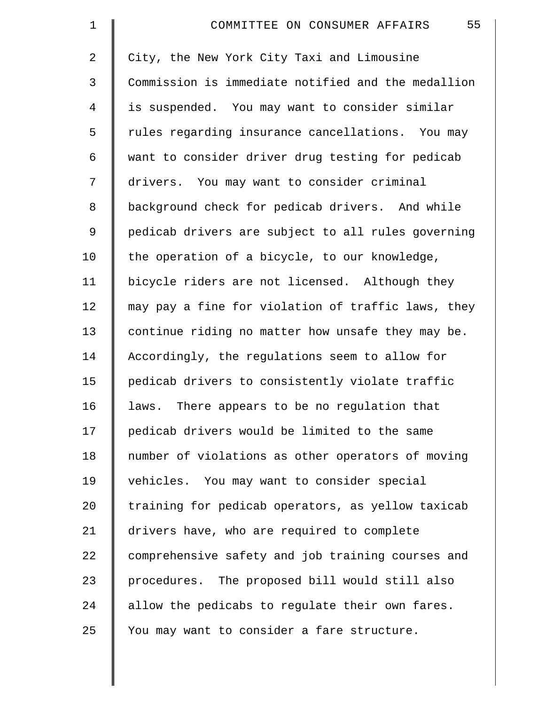| $\mathbf 1$    | 55<br>COMMITTEE ON CONSUMER AFFAIRS                |
|----------------|----------------------------------------------------|
| $\overline{2}$ | City, the New York City Taxi and Limousine         |
| 3              | Commission is immediate notified and the medallion |
| 4              | is suspended. You may want to consider similar     |
| 5              | rules regarding insurance cancellations. You may   |
| 6              | want to consider driver drug testing for pedicab   |
| 7              | drivers. You may want to consider criminal         |
| 8              | background check for pedicab drivers. And while    |
| 9              | pedicab drivers are subject to all rules governing |
| 10             | the operation of a bicycle, to our knowledge,      |
| 11             | bicycle riders are not licensed. Although they     |
| 12             | may pay a fine for violation of traffic laws, they |
| 13             | continue riding no matter how unsafe they may be.  |
| 14             | Accordingly, the regulations seem to allow for     |
| 15             | pedicab drivers to consistently violate traffic    |
| 16             | laws. There appears to be no regulation that       |
| 17             | pedicab drivers would be limited to the same       |
| 18             | number of violations as other operators of moving  |
| 19             | vehicles. You may want to consider special         |
| 20             | training for pedicab operators, as yellow taxicab  |
| 21             | drivers have, who are required to complete         |
| 22             | comprehensive safety and job training courses and  |
| 23             | procedures. The proposed bill would still also     |
| 24             | allow the pedicabs to regulate their own fares.    |
| 25             | You may want to consider a fare structure.         |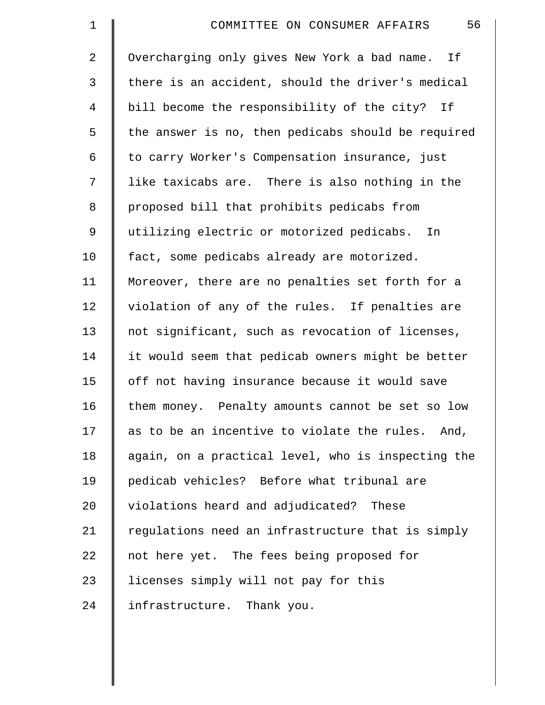| $\mathbf 1$    | 56<br>COMMITTEE ON CONSUMER AFFAIRS                |
|----------------|----------------------------------------------------|
| $\overline{2}$ | Overcharging only gives New York a bad name. If    |
| 3              | there is an accident, should the driver's medical  |
| 4              | bill become the responsibility of the city? If     |
| 5              | the answer is no, then pedicabs should be required |
| 6              | to carry Worker's Compensation insurance, just     |
| 7              | like taxicabs are. There is also nothing in the    |
| 8              | proposed bill that prohibits pedicabs from         |
| $\mathsf 9$    | utilizing electric or motorized pedicabs. In       |
| 10             | fact, some pedicabs already are motorized.         |
| 11             | Moreover, there are no penalties set forth for a   |
| 12             | violation of any of the rules. If penalties are    |
| 13             | not significant, such as revocation of licenses,   |
| 14             | it would seem that pedicab owners might be better  |
| 15             | off not having insurance because it would save     |
| 16             | them money. Penalty amounts cannot be set so low   |
| 17             | as to be an incentive to violate the rules. And,   |
| 18             | again, on a practical level, who is inspecting the |
| 19             | pedicab vehicles? Before what tribunal are         |
| 20             | violations heard and adjudicated? These            |
| 21             | regulations need an infrastructure that is simply  |
| 22             | not here yet. The fees being proposed for          |
| 23             | licenses simply will not pay for this              |
| 24             | infrastructure. Thank you.                         |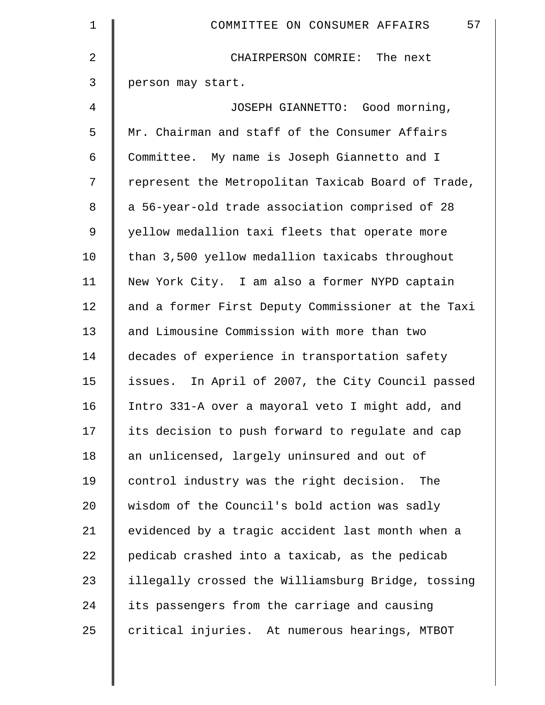| $\mathbf 1$ | 57<br>COMMITTEE ON CONSUMER AFFAIRS                |
|-------------|----------------------------------------------------|
| 2           | CHAIRPERSON COMRIE: The next                       |
| 3           | person may start.                                  |
| 4           | JOSEPH GIANNETTO: Good morning,                    |
| 5           | Mr. Chairman and staff of the Consumer Affairs     |
| 6           | Committee. My name is Joseph Giannetto and I       |
| 7           | represent the Metropolitan Taxicab Board of Trade, |
| 8           | a 56-year-old trade association comprised of 28    |
| 9           | yellow medallion taxi fleets that operate more     |
| 10          | than 3,500 yellow medallion taxicabs throughout    |
| 11          | New York City. I am also a former NYPD captain     |
| 12          | and a former First Deputy Commissioner at the Taxi |
| 13          | and Limousine Commission with more than two        |
| 14          | decades of experience in transportation safety     |
| 15          | issues. In April of 2007, the City Council passed  |
| 16          | Intro 331-A over a mayoral veto I might add, and   |
| 17          | its decision to push forward to regulate and cap   |
| 18          | an unlicensed, largely uninsured and out of        |
| 19          | control industry was the right decision.<br>The    |
| 20          | wisdom of the Council's bold action was sadly      |
| 21          | evidenced by a tragic accident last month when a   |
| 22          | pedicab crashed into a taxicab, as the pedicab     |
| 23          | illegally crossed the Williamsburg Bridge, tossing |
| 24          | its passengers from the carriage and causing       |
| 25          | critical injuries. At numerous hearings, MTBOT     |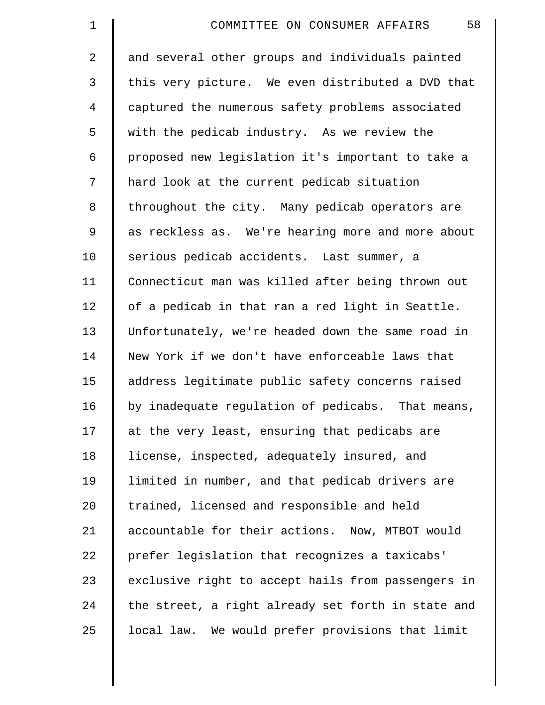| $\mathbf 1$    | 58<br>COMMITTEE ON CONSUMER AFFAIRS                |
|----------------|----------------------------------------------------|
| $\overline{2}$ | and several other groups and individuals painted   |
| 3              | this very picture. We even distributed a DVD that  |
| 4              | captured the numerous safety problems associated   |
| 5              | with the pedicab industry. As we review the        |
| 6              | proposed new legislation it's important to take a  |
| 7              | hard look at the current pedicab situation         |
| 8              | throughout the city. Many pedicab operators are    |
| 9              | as reckless as. We're hearing more and more about  |
| 10             | serious pedicab accidents. Last summer, a          |
| 11             | Connecticut man was killed after being thrown out  |
| 12             | of a pedicab in that ran a red light in Seattle.   |
| 13             | Unfortunately, we're headed down the same road in  |
| 14             | New York if we don't have enforceable laws that    |
| 15             | address legitimate public safety concerns raised   |
| 16             | by inadequate regulation of pedicabs. That means,  |
| 17             | at the very least, ensuring that pedicabs are      |
| 18             | license, inspected, adequately insured, and        |
| 19             | limited in number, and that pedicab drivers are    |
| 20             | trained, licensed and responsible and held         |
| 21             | accountable for their actions. Now, MTBOT would    |
| 22             | prefer legislation that recognizes a taxicabs'     |
| 23             | exclusive right to accept hails from passengers in |
| 24             | the street, a right already set forth in state and |
| 25             | local law. We would prefer provisions that limit   |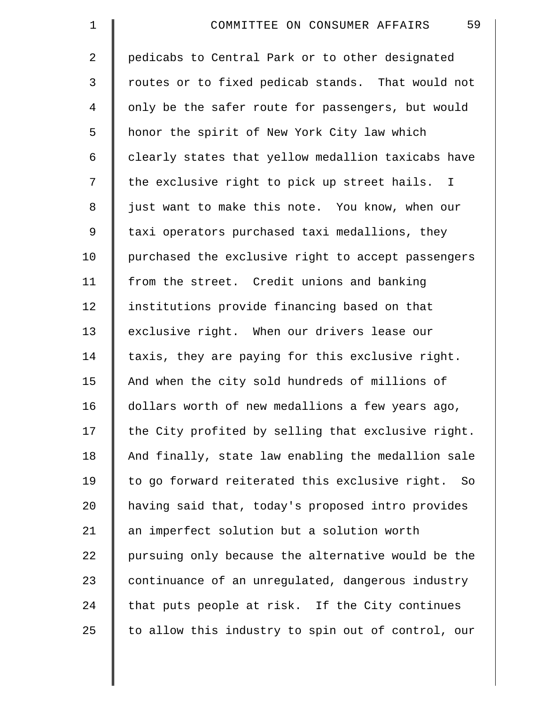| $\mathbf 1$    | 59<br>COMMITTEE ON CONSUMER AFFAIRS                |
|----------------|----------------------------------------------------|
| $\overline{2}$ | pedicabs to Central Park or to other designated    |
| 3              | routes or to fixed pedicab stands. That would not  |
| 4              | only be the safer route for passengers, but would  |
| 5              | honor the spirit of New York City law which        |
| 6              | clearly states that yellow medallion taxicabs have |
| 7              | the exclusive right to pick up street hails. I     |
| 8              | just want to make this note. You know, when our    |
| 9              | taxi operators purchased taxi medallions, they     |
| 10             | purchased the exclusive right to accept passengers |
| 11             | from the street. Credit unions and banking         |
| 12             | institutions provide financing based on that       |
| 13             | exclusive right. When our drivers lease our        |
| 14             | taxis, they are paying for this exclusive right.   |
| 15             | And when the city sold hundreds of millions of     |
| 16             | dollars worth of new medallions a few years ago,   |
| 17             | the City profited by selling that exclusive right. |
| 18             | And finally, state law enabling the medallion sale |
| 19             | to go forward reiterated this exclusive right. So  |
| 20             | having said that, today's proposed intro provides  |
| 21             | an imperfect solution but a solution worth         |
| 22             | pursuing only because the alternative would be the |
| 23             | continuance of an unregulated, dangerous industry  |
| 24             | that puts people at risk. If the City continues    |
| 25             | to allow this industry to spin out of control, our |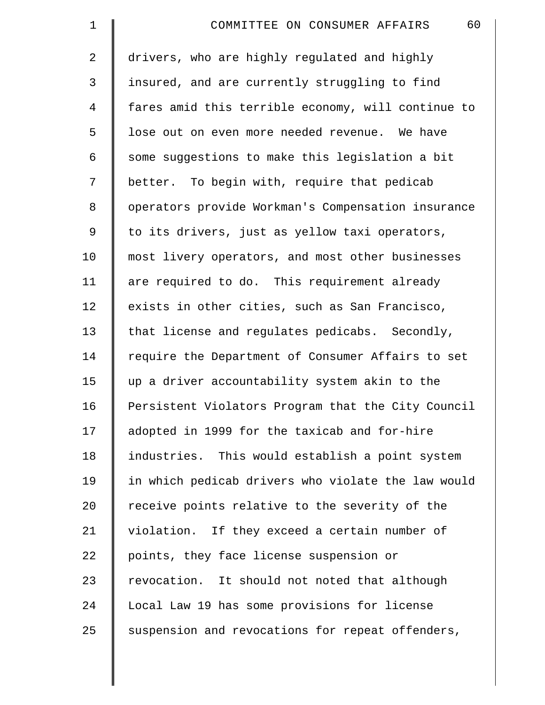| $\mathbf 1$    | 60<br>COMMITTEE ON CONSUMER AFFAIRS                |
|----------------|----------------------------------------------------|
| $\overline{2}$ | drivers, who are highly regulated and highly       |
| 3              | insured, and are currently struggling to find      |
| $\overline{4}$ | fares amid this terrible economy, will continue to |
| 5              | lose out on even more needed revenue. We have      |
| 6              | some suggestions to make this legislation a bit    |
| 7              | better. To begin with, require that pedicab        |
| 8              | operators provide Workman's Compensation insurance |
| 9              | to its drivers, just as yellow taxi operators,     |
| 10             | most livery operators, and most other businesses   |
| 11             | are required to do. This requirement already       |
| 12             | exists in other cities, such as San Francisco,     |
| 13             | that license and regulates pedicabs. Secondly,     |
| 14             | require the Department of Consumer Affairs to set  |
| 15             | up a driver accountability system akin to the      |
| 16             | Persistent Violators Program that the City Council |
| 17             | adopted in 1999 for the taxicab and for-hire       |
| 18             | industries. This would establish a point system    |
| 19             | in which pedicab drivers who violate the law would |
| 20             | receive points relative to the severity of the     |
| 21             | violation. If they exceed a certain number of      |
| 22             | points, they face license suspension or            |
| 23             | revocation. It should not noted that although      |
| 24             | Local Law 19 has some provisions for license       |
| 25             | suspension and revocations for repeat offenders,   |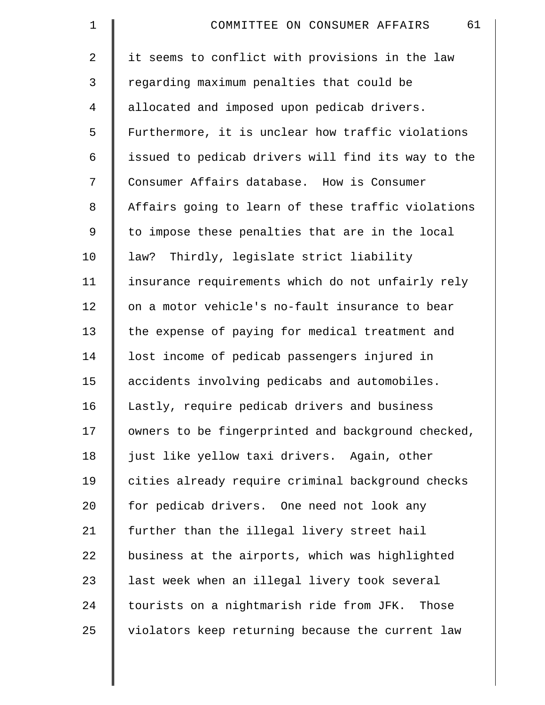| $\mathbf 1$    | 61<br>COMMITTEE ON CONSUMER AFFAIRS                |
|----------------|----------------------------------------------------|
| $\overline{2}$ | it seems to conflict with provisions in the law    |
| 3              | regarding maximum penalties that could be          |
| 4              | allocated and imposed upon pedicab drivers.        |
| 5              | Furthermore, it is unclear how traffic violations  |
| 6              | issued to pedicab drivers will find its way to the |
| 7              | Consumer Affairs database. How is Consumer         |
| 8              | Affairs going to learn of these traffic violations |
| $\mathsf 9$    | to impose these penalties that are in the local    |
| 10             | law? Thirdly, legislate strict liability           |
| 11             | insurance requirements which do not unfairly rely  |
| 12             | on a motor vehicle's no-fault insurance to bear    |
| 13             | the expense of paying for medical treatment and    |
| 14             | lost income of pedicab passengers injured in       |
| 15             | accidents involving pedicabs and automobiles.      |
| 16             | Lastly, require pedicab drivers and business       |
| 17             | owners to be fingerprinted and background checked, |
| 18             | just like yellow taxi drivers. Again, other        |
| 19             | cities already require criminal background checks  |
| 20             | for pedicab drivers. One need not look any         |
| 21             | further than the illegal livery street hail        |
| 22             | business at the airports, which was highlighted    |
| 23             | last week when an illegal livery took several      |
| 24             | tourists on a nightmarish ride from JFK. Those     |
| 25             | violators keep returning because the current law   |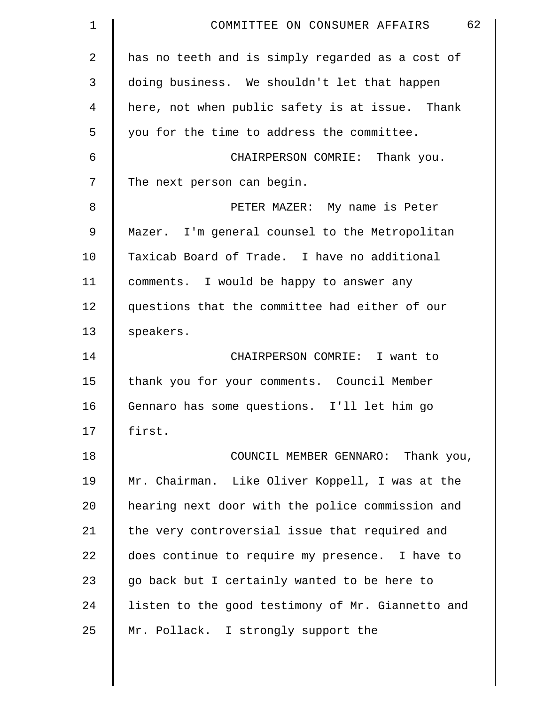| $\mathbf 1$    | 62<br>COMMITTEE ON CONSUMER AFFAIRS               |
|----------------|---------------------------------------------------|
| $\overline{2}$ | has no teeth and is simply regarded as a cost of  |
| 3              | doing business. We shouldn't let that happen      |
| 4              | here, not when public safety is at issue. Thank   |
| 5              | you for the time to address the committee.        |
| 6              | CHAIRPERSON COMRIE: Thank you.                    |
| 7              | The next person can begin.                        |
| 8              | PETER MAZER: My name is Peter                     |
| 9              | Mazer. I'm general counsel to the Metropolitan    |
| 10             | Taxicab Board of Trade. I have no additional      |
| 11             | comments. I would be happy to answer any          |
| 12             | questions that the committee had either of our    |
| 13             | speakers.                                         |
| 14             | CHAIRPERSON COMRIE: I want to                     |
| 15             | thank you for your comments. Council Member       |
| 16             | Gennaro has some questions. I'll let him go       |
| 17             | first.                                            |
| 18             | COUNCIL MEMBER GENNARO: Thank you,                |
| 19             | Mr. Chairman. Like Oliver Koppell, I was at the   |
| 20             | hearing next door with the police commission and  |
| 21             | the very controversial issue that required and    |
| 22             | does continue to require my presence. I have to   |
| 23             | go back but I certainly wanted to be here to      |
| 24             | listen to the good testimony of Mr. Giannetto and |
| 25             | Mr. Pollack. I strongly support the               |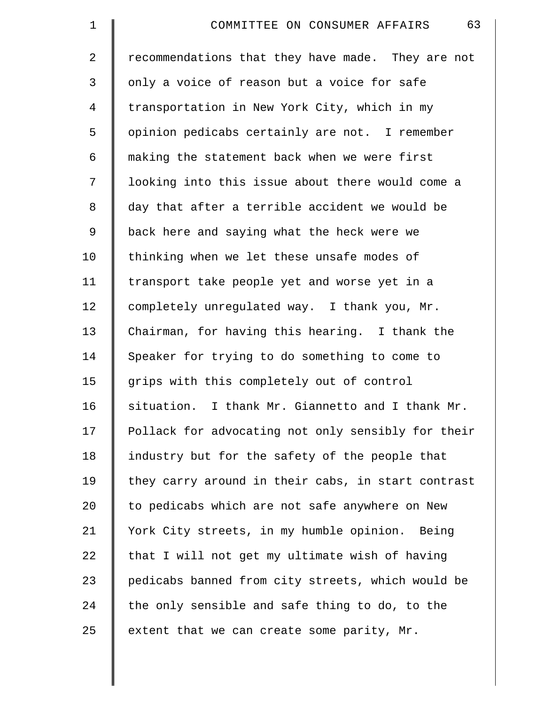| $\mathbf 1$ | 63<br>COMMITTEE ON CONSUMER AFFAIRS                |
|-------------|----------------------------------------------------|
| 2           | recommendations that they have made. They are not  |
| 3           | only a voice of reason but a voice for safe        |
| 4           | transportation in New York City, which in my       |
| 5           | opinion pedicabs certainly are not. I remember     |
| 6           | making the statement back when we were first       |
| 7           | looking into this issue about there would come a   |
| 8           | day that after a terrible accident we would be     |
| 9           | back here and saying what the heck were we         |
| 10          | thinking when we let these unsafe modes of         |
| 11          | transport take people yet and worse yet in a       |
| 12          | completely unregulated way. I thank you, Mr.       |
| 13          | Chairman, for having this hearing. I thank the     |
| 14          | Speaker for trying to do something to come to      |
| 15          | grips with this completely out of control          |
| 16          | situation. I thank Mr. Giannetto and I thank Mr.   |
| 17          | Pollack for advocating not only sensibly for their |
| 18          | industry but for the safety of the people that     |
| 19          | they carry around in their cabs, in start contrast |
| $20 \,$     | to pedicabs which are not safe anywhere on New     |
| 21          | York City streets, in my humble opinion. Being     |
| 22          | that I will not get my ultimate wish of having     |
| 23          | pedicabs banned from city streets, which would be  |
| 24          | the only sensible and safe thing to do, to the     |
| 25          | extent that we can create some parity, Mr.         |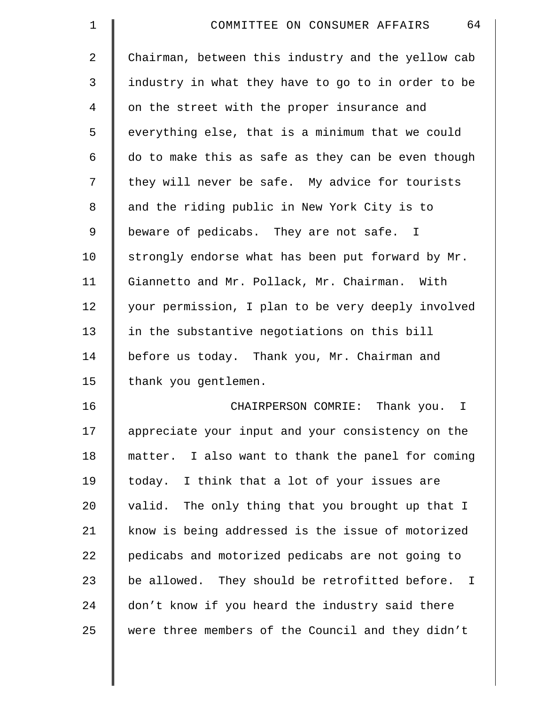| $\mathbf 1$ | 64<br>COMMITTEE ON CONSUMER AFFAIRS                |
|-------------|----------------------------------------------------|
| 2           | Chairman, between this industry and the yellow cab |
| 3           | industry in what they have to go to in order to be |
| 4           | on the street with the proper insurance and        |
| 5           | everything else, that is a minimum that we could   |
| 6           | do to make this as safe as they can be even though |
| 7           | they will never be safe. My advice for tourists    |
| 8           | and the riding public in New York City is to       |
| $\mathsf 9$ | beware of pedicabs. They are not safe. I           |
| 10          | strongly endorse what has been put forward by Mr.  |
| 11          | Giannetto and Mr. Pollack, Mr. Chairman. With      |
| 12          | your permission, I plan to be very deeply involved |
| 13          | in the substantive negotiations on this bill       |
| 14          | before us today. Thank you, Mr. Chairman and       |
| 15          | thank you gentlemen.                               |
| 16          | CHAIRPERSON COMRIE: Thank you.<br>I.               |
| 17          | appreciate your input and your consistency on the  |
| 18          | matter. I also want to thank the panel for coming  |
| 19          | today. I think that a lot of your issues are       |
| 20          | valid. The only thing that you brought up that I   |
| 21          | know is being addressed is the issue of motorized  |
| 22          | pedicabs and motorized pedicabs are not going to   |
| 23          | be allowed. They should be retrofitted before. I   |
| 24          | don't know if you heard the industry said there    |
| 25          | were three members of the Council and they didn't  |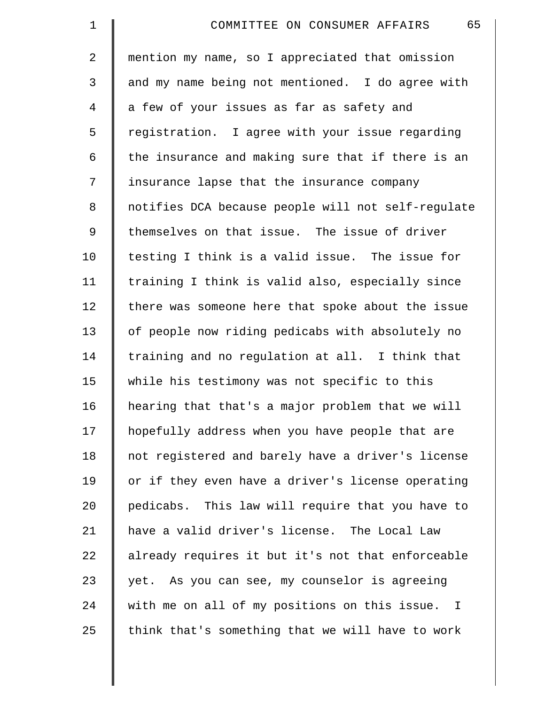| $\mathbf 1$    | 65<br>COMMITTEE ON CONSUMER AFFAIRS                |
|----------------|----------------------------------------------------|
| $\overline{a}$ | mention my name, so I appreciated that omission    |
| 3              | and my name being not mentioned. I do agree with   |
| $\overline{4}$ | a few of your issues as far as safety and          |
| 5              | registration. I agree with your issue regarding    |
| 6              | the insurance and making sure that if there is an  |
| 7              | insurance lapse that the insurance company         |
| 8              | notifies DCA because people will not self-regulate |
| 9              | themselves on that issue. The issue of driver      |
| 10             | testing I think is a valid issue. The issue for    |
| 11             | training I think is valid also, especially since   |
| 12             | there was someone here that spoke about the issue  |
| 13             | of people now riding pedicabs with absolutely no   |
| 14             | training and no regulation at all. I think that    |
| 15             | while his testimony was not specific to this       |
| 16             | hearing that that's a major problem that we will   |
| 17             | hopefully address when you have people that are    |
| 18             | not registered and barely have a driver's license  |
| 19             | or if they even have a driver's license operating  |
| 20             | pedicabs. This law will require that you have to   |
| 21             | have a valid driver's license. The Local Law       |
| 22             | already requires it but it's not that enforceable  |
| 23             | yet. As you can see, my counselor is agreeing      |
| 24             | with me on all of my positions on this issue. I    |
| 25             | think that's something that we will have to work   |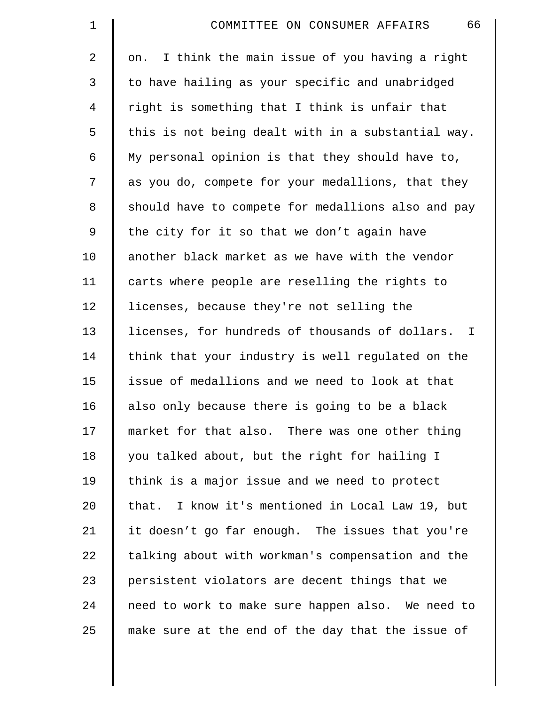| $\mathbf 1$    | 66<br>COMMITTEE ON CONSUMER AFFAIRS                 |
|----------------|-----------------------------------------------------|
| $\overline{a}$ | I think the main issue of you having a right<br>on. |
| 3              | to have hailing as your specific and unabridged     |
| 4              | right is something that I think is unfair that      |
| 5              | this is not being dealt with in a substantial way.  |
| 6              | My personal opinion is that they should have to,    |
| 7              | as you do, compete for your medallions, that they   |
| 8              | should have to compete for medallions also and pay  |
| 9              | the city for it so that we don't again have         |
| 10             | another black market as we have with the vendor     |
| 11             | carts where people are reselling the rights to      |
| 12             | licenses, because they're not selling the           |
| 13             | licenses, for hundreds of thousands of dollars. I   |
| 14             | think that your industry is well regulated on the   |
| 15             | issue of medallions and we need to look at that     |
| 16             | also only because there is going to be a black      |
| 17             | market for that also. There was one other thing     |
| 18             | you talked about, but the right for hailing I       |
| 19             | think is a major issue and we need to protect       |
| 20             | that. I know it's mentioned in Local Law 19, but    |
| 21             | it doesn't go far enough. The issues that you're    |
| 22             | talking about with workman's compensation and the   |
| 23             | persistent violators are decent things that we      |
| 24             | need to work to make sure happen also. We need to   |
| 25             | make sure at the end of the day that the issue of   |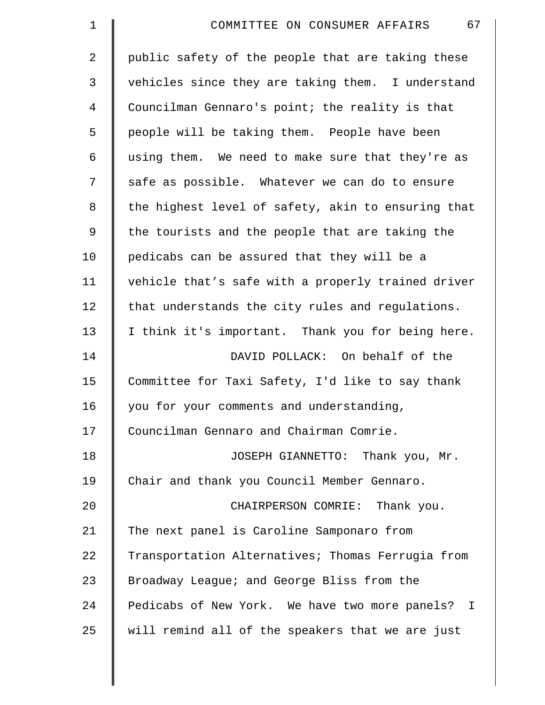| $\mathbf 1$    | 67<br>COMMITTEE ON CONSUMER AFFAIRS                |
|----------------|----------------------------------------------------|
| $\overline{2}$ | public safety of the people that are taking these  |
| 3              | vehicles since they are taking them. I understand  |
| $\overline{4}$ | Councilman Gennaro's point; the reality is that    |
| 5              | people will be taking them. People have been       |
| 6              | using them. We need to make sure that they're as   |
| 7              | safe as possible. Whatever we can do to ensure     |
| 8              | the highest level of safety, akin to ensuring that |
| 9              | the tourists and the people that are taking the    |
| 10             | pedicabs can be assured that they will be a        |
| 11             | vehicle that's safe with a properly trained driver |
| 12             | that understands the city rules and regulations.   |
| 13             | I think it's important. Thank you for being here.  |
| 14             | DAVID POLLACK: On behalf of the                    |
| 15             | Committee for Taxi Safety, I'd like to say thank   |
| 16             | you for your comments and understanding,           |
| 17             | Councilman Gennaro and Chairman Comrie.            |
| 18             | JOSEPH GIANNETTO: Thank you, Mr.                   |
| 19             | Chair and thank you Council Member Gennaro.        |
| 20             | CHAIRPERSON COMRIE: Thank you.                     |
| 21             | The next panel is Caroline Samponaro from          |
| 22             | Transportation Alternatives; Thomas Ferrugia from  |
| 23             | Broadway League; and George Bliss from the         |
| 24             | Pedicabs of New York. We have two more panels? I   |
| 25             | will remind all of the speakers that we are just   |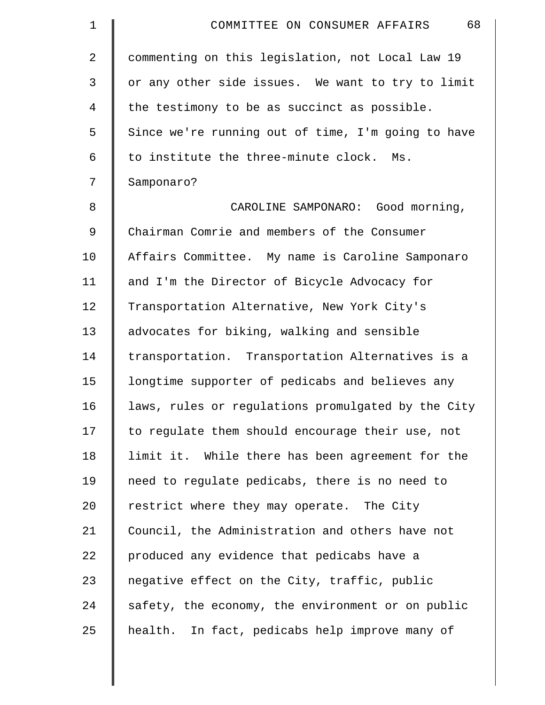| $\mathbf 1$    | 68<br>COMMITTEE ON CONSUMER AFFAIRS                |
|----------------|----------------------------------------------------|
| $\overline{2}$ | commenting on this legislation, not Local Law 19   |
| 3              | or any other side issues. We want to try to limit  |
| 4              | the testimony to be as succinct as possible.       |
| 5              | Since we're running out of time, I'm going to have |
| 6              | to institute the three-minute clock. Ms.           |
| 7              | Samponaro?                                         |
| 8              | CAROLINE SAMPONARO: Good morning,                  |
| $\mathsf 9$    | Chairman Comrie and members of the Consumer        |
| 10             | Affairs Committee. My name is Caroline Samponaro   |
| 11             | and I'm the Director of Bicycle Advocacy for       |
| 12             | Transportation Alternative, New York City's        |
| 13             | advocates for biking, walking and sensible         |
| 14             | transportation. Transportation Alternatives is a   |
| 15             | longtime supporter of pedicabs and believes any    |
| 16             | laws, rules or regulations promulgated by the City |
| 17             | to regulate them should encourage their use, not   |
| 18             | limit it. While there has been agreement for the   |
| 19             | need to regulate pedicabs, there is no need to     |
| 20             | restrict where they may operate. The City          |
| 21             | Council, the Administration and others have not    |
| 22             | produced any evidence that pedicabs have a         |
| 23             | negative effect on the City, traffic, public       |
| 24             | safety, the economy, the environment or on public  |
| 25             | health. In fact, pedicabs help improve many of     |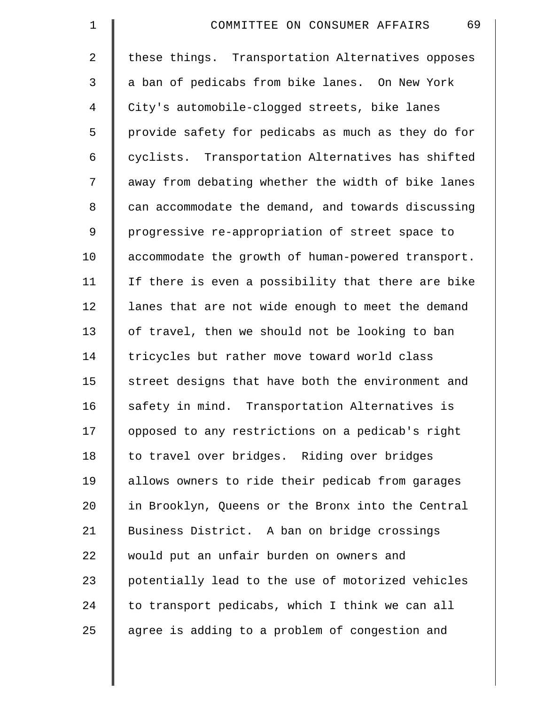| $\mathbf 1$ | 69<br>COMMITTEE ON CONSUMER AFFAIRS                |
|-------------|----------------------------------------------------|
| 2           | these things. Transportation Alternatives opposes  |
| 3           | a ban of pedicabs from bike lanes. On New York     |
| 4           | City's automobile-clogged streets, bike lanes      |
| 5           | provide safety for pedicabs as much as they do for |
| 6           | cyclists. Transportation Alternatives has shifted  |
| 7           | away from debating whether the width of bike lanes |
| 8           | can accommodate the demand, and towards discussing |
| 9           | progressive re-appropriation of street space to    |
| 10          | accommodate the growth of human-powered transport. |
| 11          | If there is even a possibility that there are bike |
| 12          | lanes that are not wide enough to meet the demand  |
| 13          | of travel, then we should not be looking to ban    |
| 14          | tricycles but rather move toward world class       |
| 15          | street designs that have both the environment and  |
| 16          | safety in mind. Transportation Alternatives is     |
| 17          | opposed to any restrictions on a pedicab's right   |
| 18          | to travel over bridges. Riding over bridges        |
| 19          | allows owners to ride their pedicab from garages   |
| 20          | in Brooklyn, Queens or the Bronx into the Central  |
| 21          | Business District. A ban on bridge crossings       |
| 22          | would put an unfair burden on owners and           |
| 23          | potentially lead to the use of motorized vehicles  |
| 24          | to transport pedicabs, which I think we can all    |
| 25          | agree is adding to a problem of congestion and     |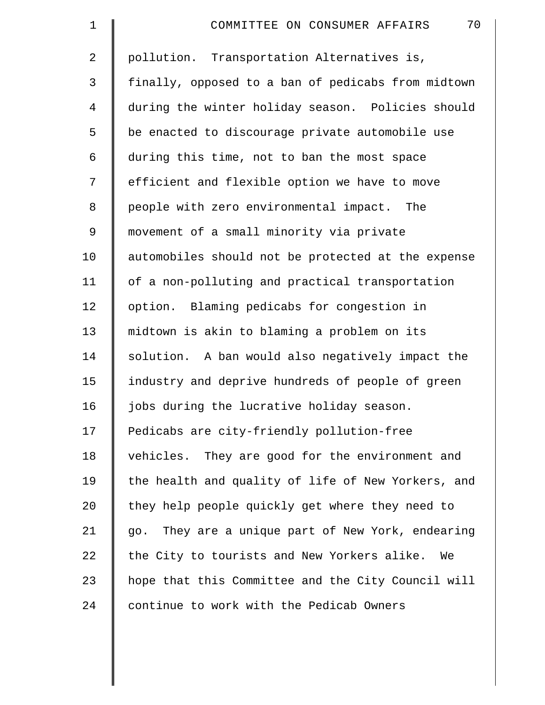| $\mathbf 1$    | 70<br>COMMITTEE ON CONSUMER AFFAIRS                |
|----------------|----------------------------------------------------|
| $\overline{2}$ | pollution. Transportation Alternatives is,         |
| 3              | finally, opposed to a ban of pedicabs from midtown |
| 4              | during the winter holiday season. Policies should  |
| 5              | be enacted to discourage private automobile use    |
| 6              | during this time, not to ban the most space        |
| 7              | efficient and flexible option we have to move      |
| 8              | people with zero environmental impact. The         |
| $\mathsf 9$    | movement of a small minority via private           |
| 10             | automobiles should not be protected at the expense |
| 11             | of a non-polluting and practical transportation    |
| 12             | option. Blaming pedicabs for congestion in         |
| 13             | midtown is akin to blaming a problem on its        |
| 14             | solution. A ban would also negatively impact the   |
| 15             | industry and deprive hundreds of people of green   |
| 16             | jobs during the lucrative holiday season.          |
| 17             | Pedicabs are city-friendly pollution-free          |
| 18             | vehicles. They are good for the environment and    |
| 19             | the health and quality of life of New Yorkers, and |
| 20             | they help people quickly get where they need to    |
| 21             | go. They are a unique part of New York, endearing  |
| 22             | the City to tourists and New Yorkers alike.<br>We  |
| 23             | hope that this Committee and the City Council will |
| 24             | continue to work with the Pedicab Owners           |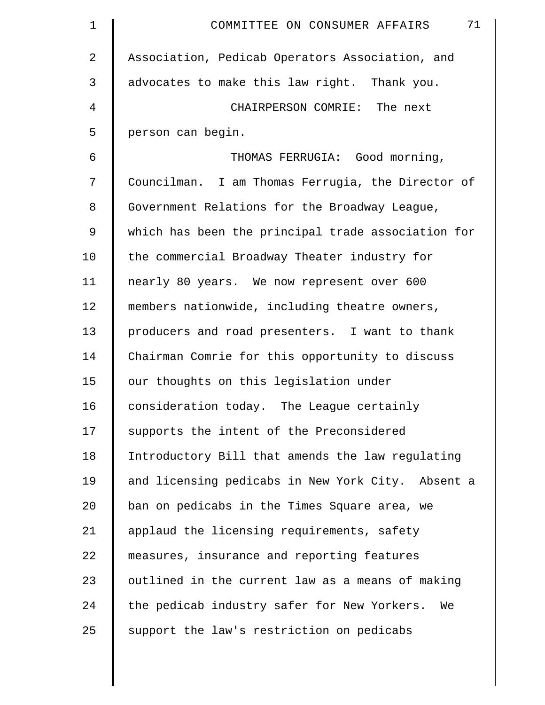| $\mathbf 1$ | 71<br>COMMITTEE ON CONSUMER AFFAIRS                |
|-------------|----------------------------------------------------|
| 2           | Association, Pedicab Operators Association, and    |
| 3           | advocates to make this law right. Thank you.       |
| 4           | CHAIRPERSON COMRIE: The next                       |
| 5           | person can begin.                                  |
| 6           | THOMAS FERRUGIA: Good morning,                     |
| 7           | Councilman. I am Thomas Ferrugia, the Director of  |
| 8           | Government Relations for the Broadway League,      |
| 9           | which has been the principal trade association for |
| 10          | the commercial Broadway Theater industry for       |
| 11          | nearly 80 years. We now represent over 600         |
| 12          | members nationwide, including theatre owners,      |
| 13          | producers and road presenters. I want to thank     |
| 14          | Chairman Comrie for this opportunity to discuss    |
| 15          | our thoughts on this legislation under             |
| 16          | consideration today. The League certainly          |
| 17          | supports the intent of the Preconsidered           |
| 18          | Introductory Bill that amends the law regulating   |
| 19          | and licensing pedicabs in New York City. Absent a  |
| 20          | ban on pedicabs in the Times Square area, we       |
| 21          | applaud the licensing requirements, safety         |
| 22          | measures, insurance and reporting features         |
| 23          | outlined in the current law as a means of making   |
| 24          | the pedicab industry safer for New Yorkers.<br>We  |
| 25          | support the law's restriction on pedicabs          |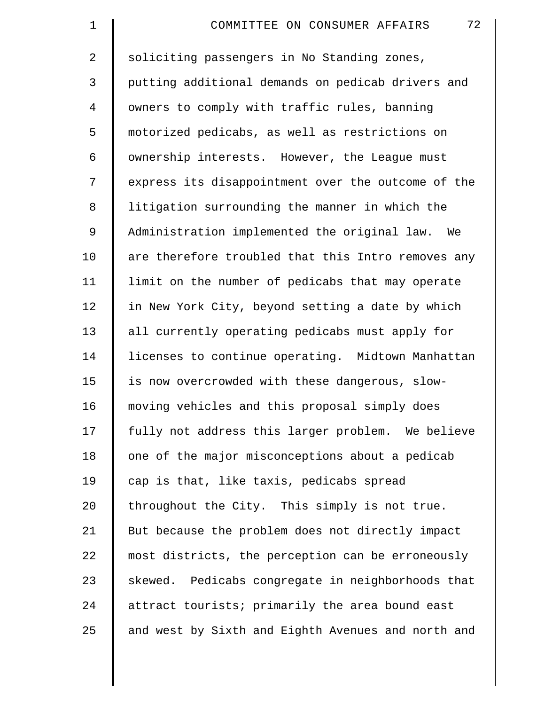| $\mathbf 1$    | 72<br>COMMITTEE ON CONSUMER AFFAIRS                |
|----------------|----------------------------------------------------|
| $\overline{2}$ | soliciting passengers in No Standing zones,        |
| $\mathsf{3}$   | putting additional demands on pedicab drivers and  |
| 4              | owners to comply with traffic rules, banning       |
| 5              | motorized pedicabs, as well as restrictions on     |
| 6              | ownership interests. However, the League must      |
| 7              | express its disappointment over the outcome of the |
| 8              | litigation surrounding the manner in which the     |
| $\mathsf 9$    | Administration implemented the original law. We    |
| 10             | are therefore troubled that this Intro removes any |
| 11             | limit on the number of pedicabs that may operate   |
| 12             | in New York City, beyond setting a date by which   |
| 13             | all currently operating pedicabs must apply for    |
| 14             | licenses to continue operating. Midtown Manhattan  |
| 15             | is now overcrowded with these dangerous, slow-     |
| 16             | moving vehicles and this proposal simply does      |
| 17             | fully not address this larger problem. We believe  |
| 18             | one of the major misconceptions about a pedicab    |
| 19             | cap is that, like taxis, pedicabs spread           |
| 20             | throughout the City. This simply is not true.      |
| 21             | But because the problem does not directly impact   |
| 22             | most districts, the perception can be erroneously  |
| 23             | skewed. Pedicabs congregate in neighborhoods that  |
| 24             | attract tourists; primarily the area bound east    |
| 25             | and west by Sixth and Eighth Avenues and north and |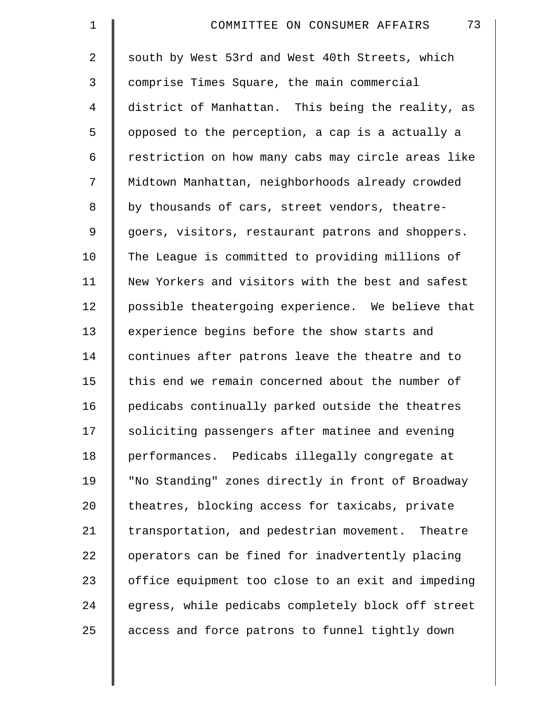| $\mathbf{1}$   | 73<br>COMMITTEE ON CONSUMER AFFAIRS                |
|----------------|----------------------------------------------------|
| $\overline{2}$ | south by West 53rd and West 40th Streets, which    |
| 3              | comprise Times Square, the main commercial         |
| 4              | district of Manhattan. This being the reality, as  |
| 5              | opposed to the perception, a cap is a actually a   |
| 6              | restriction on how many cabs may circle areas like |
| 7              | Midtown Manhattan, neighborhoods already crowded   |
| 8              | by thousands of cars, street vendors, theatre-     |
| 9              | goers, visitors, restaurant patrons and shoppers.  |
| 10             | The League is committed to providing millions of   |
| 11             | New Yorkers and visitors with the best and safest  |
| 12             | possible theatergoing experience. We believe that  |
| 13             | experience begins before the show starts and       |
| 14             | continues after patrons leave the theatre and to   |
| 15             | this end we remain concerned about the number of   |
| 16             | pedicabs continually parked outside the theatres   |
| 17             | soliciting passengers after matinee and evening    |
| 18             | performances. Pedicabs illegally congregate at     |
| 19             | "No Standing" zones directly in front of Broadway  |
| 20             | theatres, blocking access for taxicabs, private    |
| 21             | transportation, and pedestrian movement. Theatre   |
| 22             | operators can be fined for inadvertently placing   |
| 23             | office equipment too close to an exit and impeding |
| 24             | egress, while pedicabs completely block off street |
| 25             | access and force patrons to funnel tightly down    |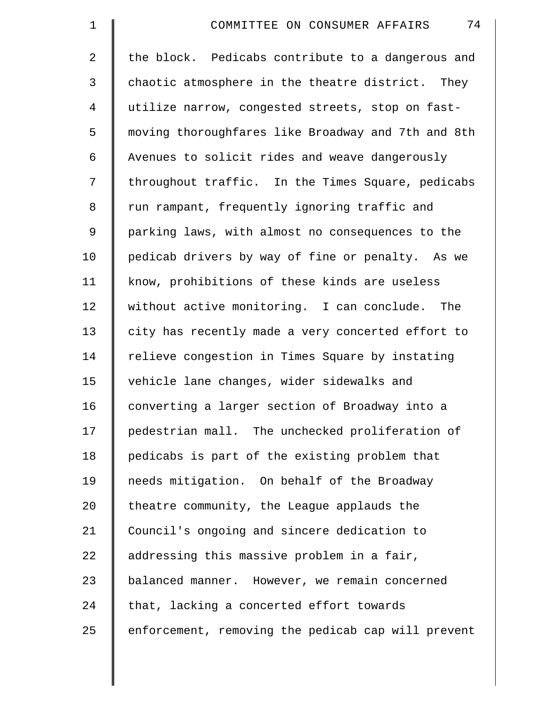| $\mathbf 1$    | 74<br>COMMITTEE ON CONSUMER AFFAIRS                |
|----------------|----------------------------------------------------|
| $\overline{2}$ | the block. Pedicabs contribute to a dangerous and  |
| 3              | chaotic atmosphere in the theatre district. They   |
| $\overline{4}$ | utilize narrow, congested streets, stop on fast-   |
| 5              | moving thoroughfares like Broadway and 7th and 8th |
| 6              | Avenues to solicit rides and weave dangerously     |
| 7              | throughout traffic. In the Times Square, pedicabs  |
| 8              | run rampant, frequently ignoring traffic and       |
| 9              | parking laws, with almost no consequences to the   |
| 10             | pedicab drivers by way of fine or penalty. As we   |
| 11             | know, prohibitions of these kinds are useless      |
| 12             | without active monitoring. I can conclude. The     |
| 13             | city has recently made a very concerted effort to  |
| 14             | relieve congestion in Times Square by instating    |
| 15             | vehicle lane changes, wider sidewalks and          |
| 16             | converting a larger section of Broadway into a     |
| 17             | pedestrian mall. The unchecked proliferation of    |
| 18             | pedicabs is part of the existing problem that      |
| 19             | needs mitigation. On behalf of the Broadway        |
| 20             | theatre community, the League applauds the         |
| 21             | Council's ongoing and sincere dedication to        |
| 22             | addressing this massive problem in a fair,         |
| 23             | balanced manner. However, we remain concerned      |
| 24             | that, lacking a concerted effort towards           |
| 25             | enforcement, removing the pedicab cap will prevent |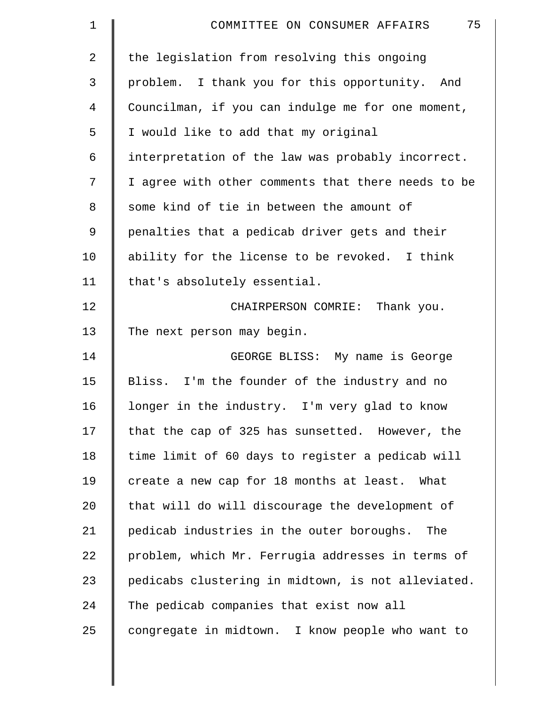| 1  | 75<br>COMMITTEE ON CONSUMER AFFAIRS                |
|----|----------------------------------------------------|
| 2  | the legislation from resolving this ongoing        |
| 3  | problem. I thank you for this opportunity. And     |
| 4  | Councilman, if you can indulge me for one moment,  |
| 5  | I would like to add that my original               |
| 6  | interpretation of the law was probably incorrect.  |
| 7  | I agree with other comments that there needs to be |
| 8  | some kind of tie in between the amount of          |
| 9  | penalties that a pedicab driver gets and their     |
| 10 | ability for the license to be revoked. I think     |
| 11 | that's absolutely essential.                       |
| 12 | CHAIRPERSON COMRIE: Thank you.                     |
| 13 | The next person may begin.                         |
| 14 | GEORGE BLISS: My name is George                    |
| 15 | Bliss. I'm the founder of the industry and no      |
| 16 | longer in the industry. I'm very glad to know      |
| 17 | that the cap of 325 has sunsetted. However, the    |
| 18 | time limit of 60 days to register a pedicab will   |
| 19 | create a new cap for 18 months at least. What      |
| 20 | that will do will discourage the development of    |
| 21 | pedicab industries in the outer boroughs.<br>The   |
| 22 | problem, which Mr. Ferrugia addresses in terms of  |
| 23 | pedicabs clustering in midtown, is not alleviated. |
| 24 | The pedicab companies that exist now all           |
| 25 | congregate in midtown. I know people who want to   |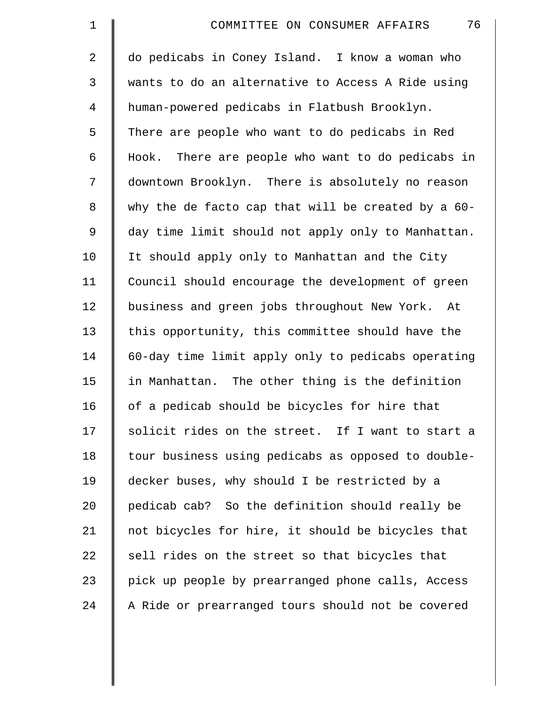| $\mathbf 1$    | 76<br>COMMITTEE ON CONSUMER AFFAIRS                |
|----------------|----------------------------------------------------|
| $\overline{a}$ | do pedicabs in Coney Island. I know a woman who    |
| 3              | wants to do an alternative to Access A Ride using  |
| 4              | human-powered pedicabs in Flatbush Brooklyn.       |
| 5              | There are people who want to do pedicabs in Red    |
| 6              | Hook. There are people who want to do pedicabs in  |
| 7              | downtown Brooklyn. There is absolutely no reason   |
| 8              | why the de facto cap that will be created by a 60- |
| $\mathsf 9$    | day time limit should not apply only to Manhattan. |
| 10             | It should apply only to Manhattan and the City     |
| 11             | Council should encourage the development of green  |
| 12             | business and green jobs throughout New York. At    |
| 13             | this opportunity, this committee should have the   |
| 14             | 60-day time limit apply only to pedicabs operating |
| 15             | in Manhattan. The other thing is the definition    |
| 16             | of a pedicab should be bicycles for hire that      |
| 17             | solicit rides on the street. If I want to start a  |
| 18             | tour business using pedicabs as opposed to double- |
| 19             | decker buses, why should I be restricted by a      |
| 20             | pedicab cab? So the definition should really be    |
| 21             | not bicycles for hire, it should be bicycles that  |
| 22             | sell rides on the street so that bicycles that     |
| 23             | pick up people by prearranged phone calls, Access  |
| 24             | A Ride or prearranged tours should not be covered  |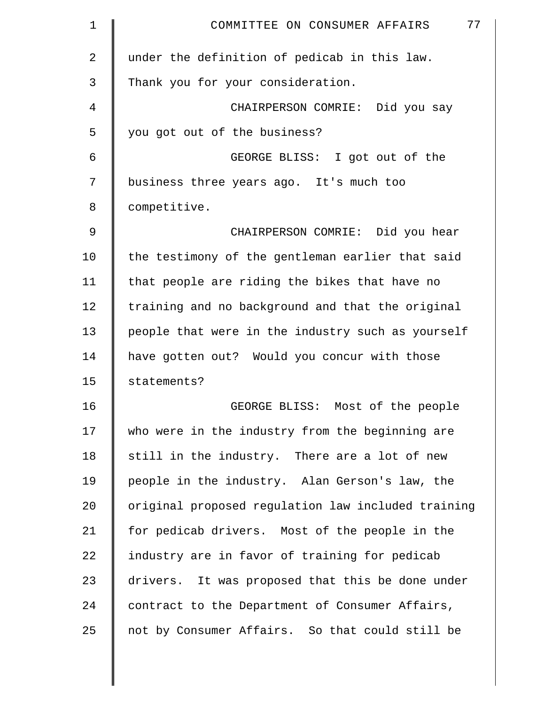| $\mathbf 1$ | 77<br>COMMITTEE ON CONSUMER AFFAIRS                |
|-------------|----------------------------------------------------|
| 2           | under the definition of pedicab in this law.       |
| 3           | Thank you for your consideration.                  |
| 4           | CHAIRPERSON COMRIE: Did you say                    |
| 5           | you got out of the business?                       |
| 6           | GEORGE BLISS: I got out of the                     |
| 7           | business three years ago. It's much too            |
| 8           | competitive.                                       |
| 9           | CHAIRPERSON COMRIE: Did you hear                   |
| 10          | the testimony of the gentleman earlier that said   |
| 11          | that people are riding the bikes that have no      |
| 12          | training and no background and that the original   |
| 13          | people that were in the industry such as yourself  |
| 14          | have gotten out? Would you concur with those       |
| 15          | statements?                                        |
| 16          | GEORGE BLISS: Most of the people                   |
| 17          | who were in the industry from the beginning are    |
| 18          | still in the industry. There are a lot of new      |
| 19          | people in the industry. Alan Gerson's law, the     |
| 20          | original proposed regulation law included training |
| 21          | for pedicab drivers. Most of the people in the     |
| 22          | industry are in favor of training for pedicab      |
| 23          | drivers. It was proposed that this be done under   |
| 24          | contract to the Department of Consumer Affairs,    |
| 25          | not by Consumer Affairs. So that could still be    |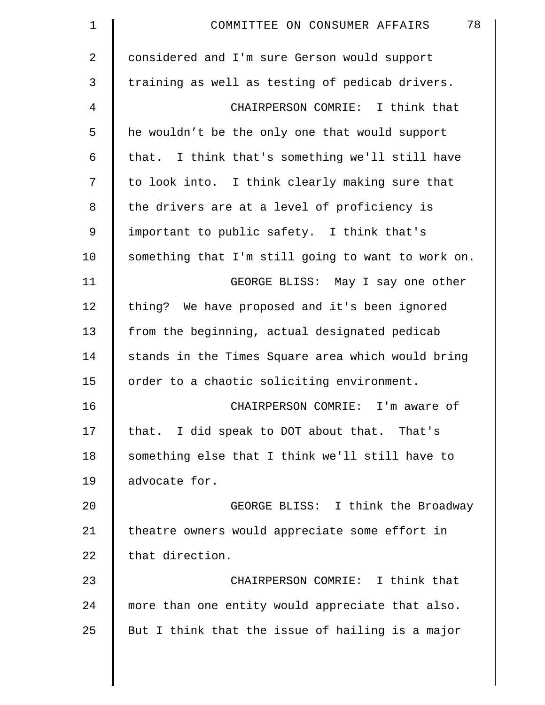| $\mathbf 1$    | 78<br>COMMITTEE ON CONSUMER AFFAIRS                |
|----------------|----------------------------------------------------|
| $\overline{2}$ | considered and I'm sure Gerson would support       |
| 3              | training as well as testing of pedicab drivers.    |
| 4              | CHAIRPERSON COMRIE: I think that                   |
| 5              | he wouldn't be the only one that would support     |
| 6              | that. I think that's something we'll still have    |
| 7              | to look into. I think clearly making sure that     |
| 8              | the drivers are at a level of proficiency is       |
| 9              | important to public safety. I think that's         |
| 10             | something that I'm still going to want to work on. |
| 11             | GEORGE BLISS: May I say one other                  |
| 12             | thing? We have proposed and it's been ignored      |
| 13             | from the beginning, actual designated pedicab      |
| 14             | stands in the Times Square area which would bring  |
| 15             | order to a chaotic soliciting environment.         |
| 16             | CHAIRPERSON COMRIE: I'm aware of                   |
| 17             | that. I did speak to DOT about that. That's        |
| 18             | something else that I think we'll still have to    |
| 19             | advocate for.                                      |
| 20             | GEORGE BLISS: I think the Broadway                 |
| 21             | theatre owners would appreciate some effort in     |
| 22             | that direction.                                    |
| 23             | CHAIRPERSON COMRIE: I think that                   |
| 24             | more than one entity would appreciate that also.   |
| 25             | But I think that the issue of hailing is a major   |
|                |                                                    |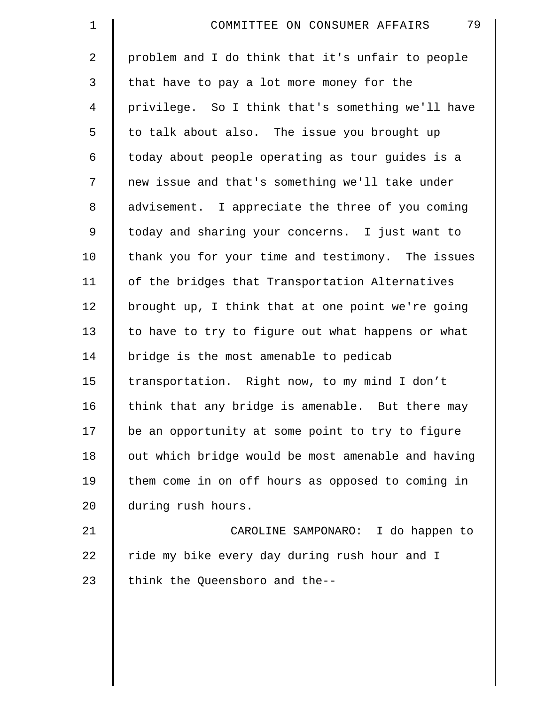| $\mathbf 1$ | 79<br>COMMITTEE ON CONSUMER AFFAIRS                |
|-------------|----------------------------------------------------|
| 2           | problem and I do think that it's unfair to people  |
| 3           | that have to pay a lot more money for the          |
| 4           | privilege. So I think that's something we'll have  |
| 5           | to talk about also. The issue you brought up       |
| 6           | today about people operating as tour guides is a   |
| 7           | new issue and that's something we'll take under    |
| 8           | advisement. I appreciate the three of you coming   |
| 9           | today and sharing your concerns. I just want to    |
| 10          | thank you for your time and testimony. The issues  |
| 11          | of the bridges that Transportation Alternatives    |
| 12          | brought up, I think that at one point we're going  |
| 13          | to have to try to figure out what happens or what  |
| 14          | bridge is the most amenable to pedicab             |
| 15          | transportation. Right now, to my mind I don't      |
| 16          | think that any bridge is amenable. But there may   |
| 17          | be an opportunity at some point to try to figure   |
| 18          | out which bridge would be most amenable and having |
| 19          | them come in on off hours as opposed to coming in  |
| 20          | during rush hours.                                 |
| 21          | CAROLINE SAMPONARO: I do happen to                 |
| 22          | ride my bike every day during rush hour and I      |
| 23          | think the Queensboro and the--                     |
|             |                                                    |
|             |                                                    |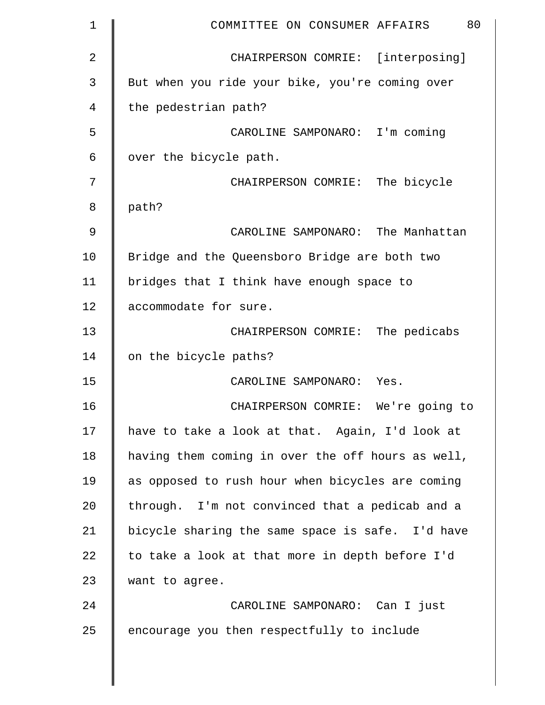| $\mathbf 1$ | 80<br>COMMITTEE ON CONSUMER AFFAIRS               |
|-------------|---------------------------------------------------|
| 2           | CHAIRPERSON COMRIE: [interposing]                 |
| 3           | But when you ride your bike, you're coming over   |
| 4           | the pedestrian path?                              |
| 5           | CAROLINE SAMPONARO: I'm coming                    |
| 6           | over the bicycle path.                            |
| 7           | CHAIRPERSON COMRIE: The bicycle                   |
| 8           | path?                                             |
| 9           | CAROLINE SAMPONARO: The Manhattan                 |
| 10          | Bridge and the Queensboro Bridge are both two     |
| 11          | bridges that I think have enough space to         |
| 12          | accommodate for sure.                             |
| 13          | CHAIRPERSON COMRIE: The pedicabs                  |
| 14          | on the bicycle paths?                             |
| 15          | CAROLINE SAMPONARO: Yes.                          |
| 16          | CHAIRPERSON COMRIE: We're going to                |
| 17          | have to take a look at that. Again, I'd look at   |
| 18          | having them coming in over the off hours as well, |
| 19          | as opposed to rush hour when bicycles are coming  |
| 20          | through. I'm not convinced that a pedicab and a   |
| 21          | bicycle sharing the same space is safe. I'd have  |
| 22          | to take a look at that more in depth before I'd   |
| 23          | want to agree.                                    |
| 24          | CAROLINE SAMPONARO: Can I just                    |
| 25          | encourage you then respectfully to include        |
|             |                                                   |

 $\parallel$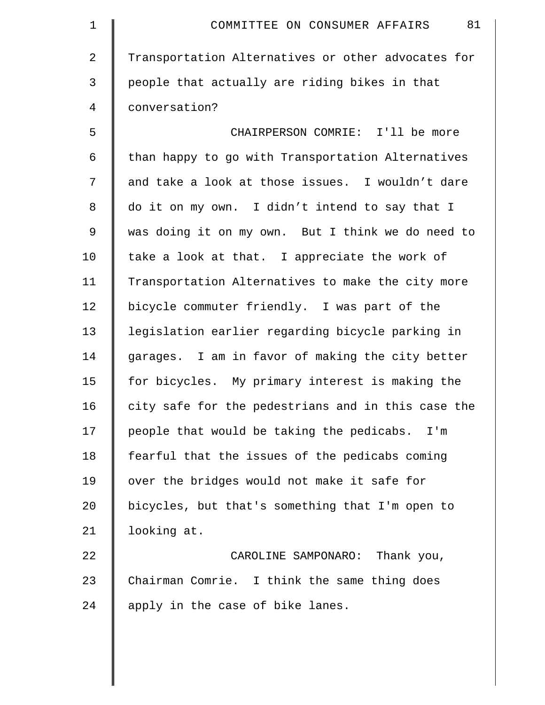| $\mathbf 1$    | 81<br>COMMITTEE ON CONSUMER AFFAIRS                |
|----------------|----------------------------------------------------|
| $\overline{2}$ | Transportation Alternatives or other advocates for |
| 3              | people that actually are riding bikes in that      |
| 4              | conversation?                                      |
| 5              | CHAIRPERSON COMRIE: I'll be more                   |
| 6              | than happy to go with Transportation Alternatives  |
| 7              | and take a look at those issues. I wouldn't dare   |
| 8              | do it on my own. I didn't intend to say that I     |
| 9              | was doing it on my own. But I think we do need to  |
| 10             | take a look at that. I appreciate the work of      |
| 11             | Transportation Alternatives to make the city more  |
| 12             | bicycle commuter friendly. I was part of the       |
| 13             | legislation earlier regarding bicycle parking in   |
| 14             | garages. I am in favor of making the city better   |
| 15             | for bicycles. My primary interest is making the    |
| 16             | city safe for the pedestrians and in this case the |
| 17             | people that would be taking the pedicabs. I'm      |
| 18             | fearful that the issues of the pedicabs coming     |
| 19             | over the bridges would not make it safe for        |
| 20             | bicycles, but that's something that I'm open to    |
| 21             | looking at.                                        |
| 22             | CAROLINE SAMPONARO: Thank you,                     |
| 23             | Chairman Comrie. I think the same thing does       |
| 24             | apply in the case of bike lanes.                   |
|                |                                                    |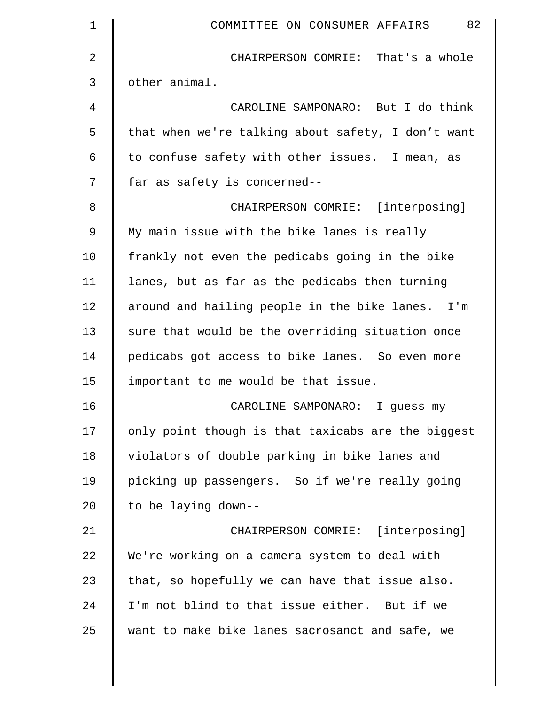| $\mathbf 1$ | 82<br>COMMITTEE ON CONSUMER AFFAIRS                |
|-------------|----------------------------------------------------|
| 2           | CHAIRPERSON COMRIE: That's a whole                 |
| 3           | other animal.                                      |
| 4           | CAROLINE SAMPONARO: But I do think                 |
| 5           | that when we're talking about safety, I don't want |
| 6           | to confuse safety with other issues. I mean, as    |
| 7           | far as safety is concerned--                       |
| 8           | CHAIRPERSON COMRIE: [interposing]                  |
| 9           | My main issue with the bike lanes is really        |
| 10          | frankly not even the pedicabs going in the bike    |
| 11          | lanes, but as far as the pedicabs then turning     |
| 12          | around and hailing people in the bike lanes. I'm   |
| 13          | sure that would be the overriding situation once   |
| 14          | pedicabs got access to bike lanes. So even more    |
| 15          | important to me would be that issue.               |
| 16          | CAROLINE SAMPONARO: I guess my                     |
| 17          | only point though is that taxicabs are the biggest |
| 18          | violators of double parking in bike lanes and      |
| 19          | picking up passengers. So if we're really going    |
| 20          | to be laying down--                                |
| 21          | CHAIRPERSON COMRIE: [interposing]                  |
| 22          | We're working on a camera system to deal with      |
| 23          | that, so hopefully we can have that issue also.    |
| 24          | I'm not blind to that issue either. But if we      |
| 25          | want to make bike lanes sacrosanct and safe, we    |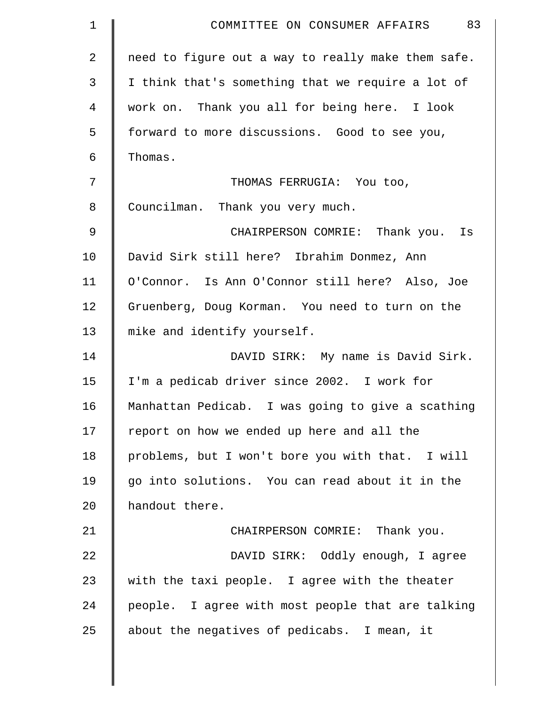| $\mathbf 1$    | 83<br>COMMITTEE ON CONSUMER AFFAIRS                |
|----------------|----------------------------------------------------|
| $\overline{2}$ | need to figure out a way to really make them safe. |
| 3              | I think that's something that we require a lot of  |
| 4              | work on. Thank you all for being here. I look      |
| 5              | forward to more discussions. Good to see you,      |
| 6              | Thomas.                                            |
| 7              | THOMAS FERRUGIA: You too,                          |
| 8              | Councilman. Thank you very much.                   |
| 9              | CHAIRPERSON COMRIE: Thank you. Is                  |
| 10             | David Sirk still here? Ibrahim Donmez, Ann         |
| 11             | O'Connor. Is Ann O'Connor still here? Also, Joe    |
| 12             | Gruenberg, Doug Korman. You need to turn on the    |
| 13             | mike and identify yourself.                        |
| 14             | DAVID SIRK: My name is David Sirk.                 |
| 15             | I'm a pedicab driver since 2002. I work for        |
| 16             | Manhattan Pedicab. I was going to give a scathing  |
| 17             | report on how we ended up here and all the         |
| 18             | problems, but I won't bore you with that. I will   |
| 19             | go into solutions. You can read about it in the    |
| 20             | handout there.                                     |
| 21             | CHAIRPERSON COMRIE: Thank you.                     |
| 22             | DAVID SIRK: Oddly enough, I agree                  |
| 23             | with the taxi people. I agree with the theater     |
| 24             | people. I agree with most people that are talking  |
| 25             | about the negatives of pedicabs. I mean, it        |
|                |                                                    |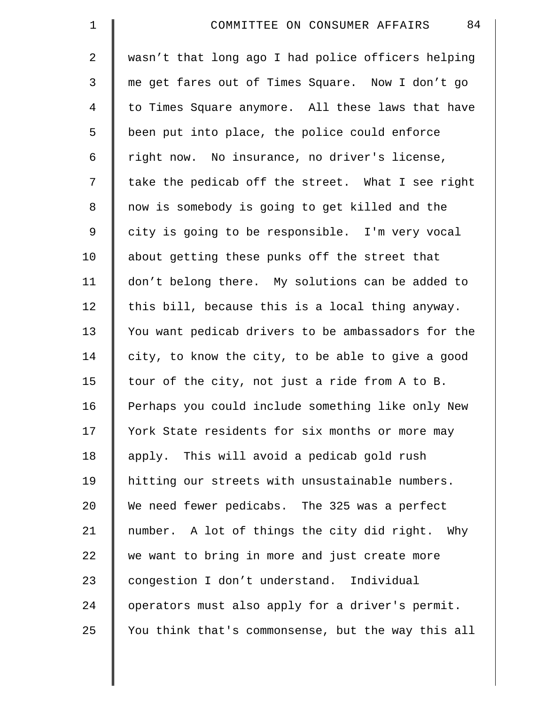| $\mathbf 1$    | 84<br>COMMITTEE ON CONSUMER AFFAIRS                |
|----------------|----------------------------------------------------|
| $\overline{a}$ | wasn't that long ago I had police officers helping |
| 3              | me get fares out of Times Square. Now I don't go   |
| 4              | to Times Square anymore. All these laws that have  |
| 5              | been put into place, the police could enforce      |
| 6              | right now. No insurance, no driver's license,      |
| 7              | take the pedicab off the street. What I see right  |
| $\,8\,$        | now is somebody is going to get killed and the     |
| 9              | city is going to be responsible. I'm very vocal    |
| 10             | about getting these punks off the street that      |
| 11             | don't belong there. My solutions can be added to   |
| 12             | this bill, because this is a local thing anyway.   |
| 13             | You want pedicab drivers to be ambassadors for the |
| 14             | city, to know the city, to be able to give a good  |
| 15             | tour of the city, not just a ride from A to B.     |
| 16             | Perhaps you could include something like only New  |
| 17             | York State residents for six months or more may    |
| 18             | apply. This will avoid a pedicab gold rush         |
| 19             | hitting our streets with unsustainable numbers.    |
| 20             | We need fewer pedicabs. The 325 was a perfect      |
| 21             | number. A lot of things the city did right. Why    |
| 22             | we want to bring in more and just create more      |
| 23             | congestion I don't understand. Individual          |
| 24             | operators must also apply for a driver's permit.   |
| 25             | You think that's commonsense, but the way this all |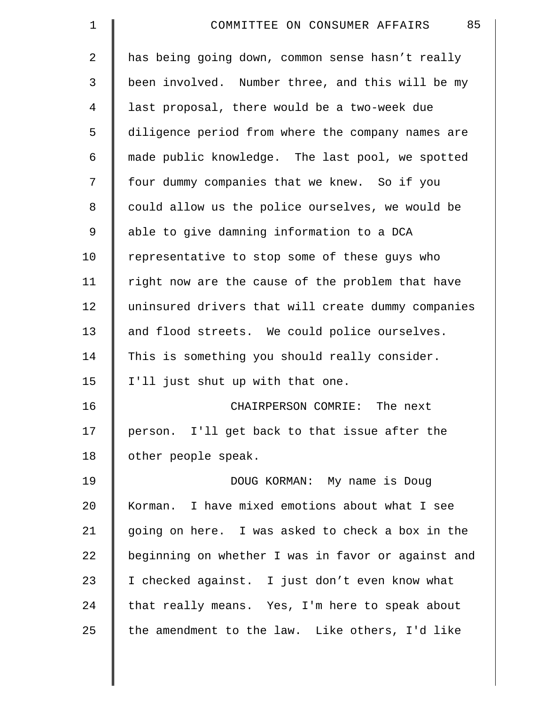| $\mathbf 1$    | 85<br>COMMITTEE ON CONSUMER AFFAIRS                |
|----------------|----------------------------------------------------|
| $\overline{2}$ | has being going down, common sense hasn't really   |
| 3              | been involved. Number three, and this will be my   |
| 4              | last proposal, there would be a two-week due       |
| 5              | diligence period from where the company names are  |
| 6              | made public knowledge. The last pool, we spotted   |
| 7              | four dummy companies that we knew. So if you       |
| 8              | could allow us the police ourselves, we would be   |
| 9              | able to give damning information to a DCA          |
| 10             | representative to stop some of these guys who      |
| 11             | right now are the cause of the problem that have   |
| 12             | uninsured drivers that will create dummy companies |
| 13             | and flood streets. We could police ourselves.      |
| 14             | This is something you should really consider.      |
| 15             | I'll just shut up with that one.                   |
| 16             | CHAIRPERSON COMRIE: The next                       |
| 17             | person. I'll get back to that issue after the      |
| 18             | other people speak.                                |
| 19             | DOUG KORMAN: My name is Doug                       |
| 20             | Korman. I have mixed emotions about what I see     |
| 21             | going on here. I was asked to check a box in the   |
| 22             | beginning on whether I was in favor or against and |
| 23             | I checked against. I just don't even know what     |
| 24             | that really means. Yes, I'm here to speak about    |
| 25             | the amendment to the law. Like others, I'd like    |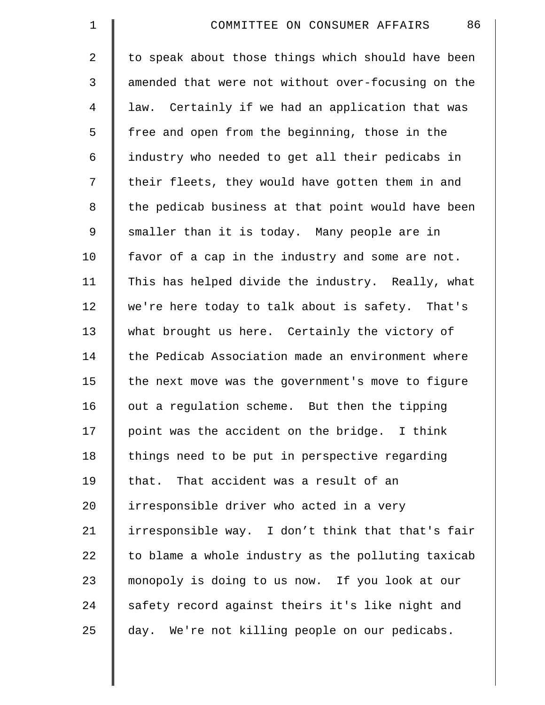| $\mathbf 1$    | 86<br>COMMITTEE ON CONSUMER AFFAIRS                |
|----------------|----------------------------------------------------|
| $\overline{2}$ | to speak about those things which should have been |
| 3              | amended that were not without over-focusing on the |
| 4              | law. Certainly if we had an application that was   |
| 5              | free and open from the beginning, those in the     |
| 6              | industry who needed to get all their pedicabs in   |
| 7              | their fleets, they would have gotten them in and   |
| 8              | the pedicab business at that point would have been |
| 9              | smaller than it is today. Many people are in       |
| 10             | favor of a cap in the industry and some are not.   |
| 11             | This has helped divide the industry. Really, what  |
| 12             | we're here today to talk about is safety. That's   |
| 13             | what brought us here. Certainly the victory of     |
| 14             | the Pedicab Association made an environment where  |
| 15             | the next move was the government's move to figure  |
| 16             | out a regulation scheme. But then the tipping      |
| 17             | point was the accident on the bridge. I think      |
| 18             | things need to be put in perspective regarding     |
| 19             | that. That accident was a result of an             |
| 20             | irresponsible driver who acted in a very           |
| 21             | irresponsible way. I don't think that that's fair  |
| 22             | to blame a whole industry as the polluting taxicab |
| 23             | monopoly is doing to us now. If you look at our    |
| 24             | safety record against theirs it's like night and   |
| 25             | day. We're not killing people on our pedicabs.     |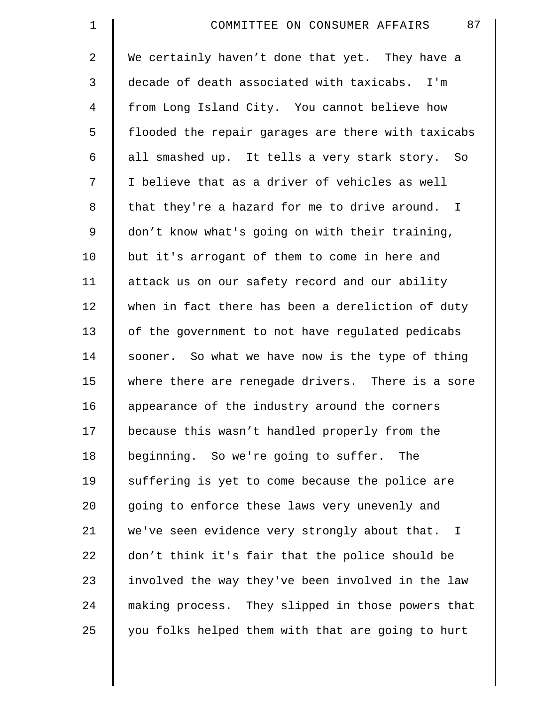| $\mathbf 1$ | 87<br>COMMITTEE ON CONSUMER AFFAIRS                |
|-------------|----------------------------------------------------|
| 2           | We certainly haven't done that yet. They have a    |
| 3           | decade of death associated with taxicabs. I'm      |
| 4           | from Long Island City. You cannot believe how      |
| 5           | flooded the repair garages are there with taxicabs |
| 6           | all smashed up. It tells a very stark story. So    |
| 7           | I believe that as a driver of vehicles as well     |
| 8           | that they're a hazard for me to drive around. I    |
| $\mathsf 9$ | don't know what's going on with their training,    |
| 10          | but it's arrogant of them to come in here and      |
| 11          | attack us on our safety record and our ability     |
| 12          | when in fact there has been a dereliction of duty  |
| 13          | of the government to not have regulated pedicabs   |
| 14          | sooner. So what we have now is the type of thing   |
| 15          | where there are renegade drivers. There is a sore  |
| 16          | appearance of the industry around the corners      |
| 17          | because this wasn't handled properly from the      |
| 18          | beginning. So we're going to suffer.<br>The        |
| 19          | suffering is yet to come because the police are    |
| 20          | going to enforce these laws very unevenly and      |
| 21          | we've seen evidence very strongly about that. I    |
| 22          | don't think it's fair that the police should be    |
| 23          | involved the way they've been involved in the law  |
| 24          | making process. They slipped in those powers that  |
| 25          | you folks helped them with that are going to hurt  |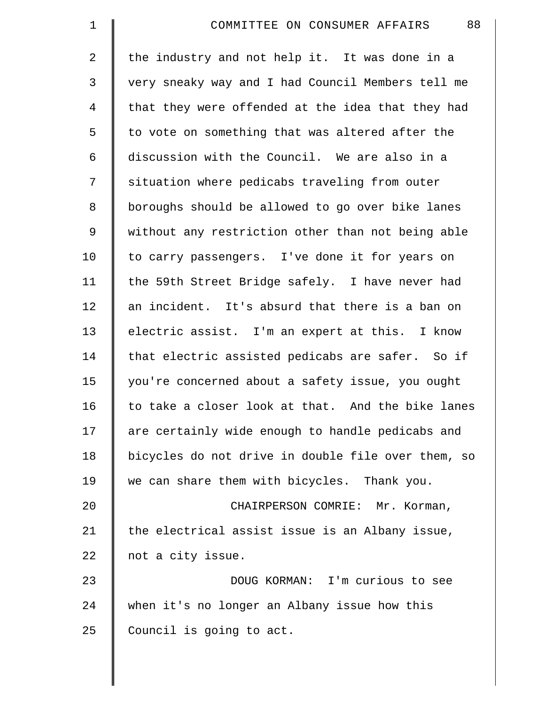| $\mathbf 1$    | 88<br>COMMITTEE ON CONSUMER AFFAIRS                |
|----------------|----------------------------------------------------|
| $\overline{2}$ | the industry and not help it. It was done in a     |
| 3              | very sneaky way and I had Council Members tell me  |
| $\overline{4}$ | that they were offended at the idea that they had  |
| 5              | to vote on something that was altered after the    |
| 6              | discussion with the Council. We are also in a      |
| 7              | situation where pedicabs traveling from outer      |
| 8              | boroughs should be allowed to go over bike lanes   |
| 9              | without any restriction other than not being able  |
| 10             | to carry passengers. I've done it for years on     |
| 11             | the 59th Street Bridge safely. I have never had    |
| 12             | an incident. It's absurd that there is a ban on    |
| 13             | electric assist. I'm an expert at this. I know     |
| 14             | that electric assisted pedicabs are safer. So if   |
| 15             | you're concerned about a safety issue, you ought   |
| 16             | to take a closer look at that. And the bike lanes  |
| 17             | are certainly wide enough to handle pedicabs and   |
| 18             | bicycles do not drive in double file over them, so |
| 19             | we can share them with bicycles. Thank you.        |
| 20             | CHAIRPERSON COMRIE: Mr. Korman,                    |
| 21             | the electrical assist issue is an Albany issue,    |
| 22             | not a city issue.                                  |
| 23             | DOUG KORMAN: I'm curious to see                    |
| 24             | when it's no longer an Albany issue how this       |
| 25             | Council is going to act.                           |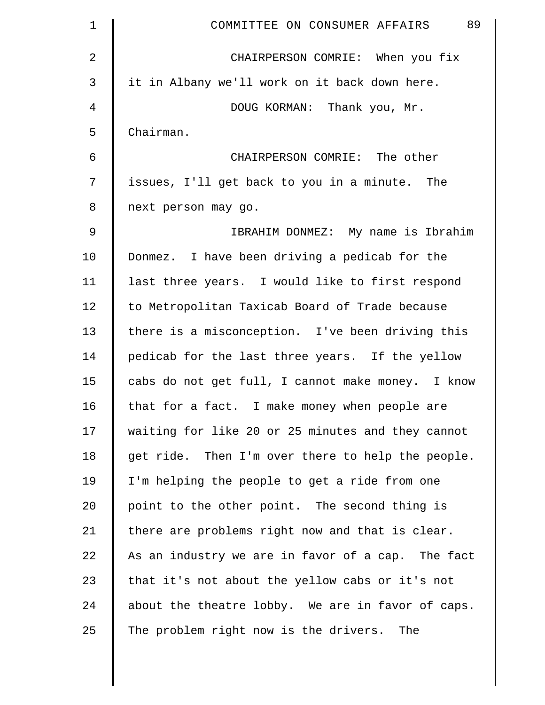| $\mathbf 1$ | 89<br>COMMITTEE ON CONSUMER AFFAIRS               |
|-------------|---------------------------------------------------|
| 2           | CHAIRPERSON COMRIE: When you fix                  |
| 3           | it in Albany we'll work on it back down here.     |
| 4           | DOUG KORMAN: Thank you, Mr.                       |
| 5           | Chairman.                                         |
| 6           | CHAIRPERSON COMRIE: The other                     |
| 7           | issues, I'll get back to you in a minute. The     |
| 8           | next person may go.                               |
| 9           | IBRAHIM DONMEZ: My name is Ibrahim                |
| 10          | Donmez. I have been driving a pedicab for the     |
| 11          | last three years. I would like to first respond   |
| 12          | to Metropolitan Taxicab Board of Trade because    |
| 13          | there is a misconception. I've been driving this  |
| 14          | pedicab for the last three years. If the yellow   |
| 15          | cabs do not get full, I cannot make money. I know |
| 16          | that for a fact. I make money when people are     |
| 17          | waiting for like 20 or 25 minutes and they cannot |
| 18          | get ride. Then I'm over there to help the people. |
| 19          | I'm helping the people to get a ride from one     |
| 20          | point to the other point. The second thing is     |
| 21          | there are problems right now and that is clear.   |
| 22          | As an industry we are in favor of a cap. The fact |
| 23          | that it's not about the yellow cabs or it's not   |
| 24          | about the theatre lobby. We are in favor of caps. |
| 25          | The problem right now is the drivers. The         |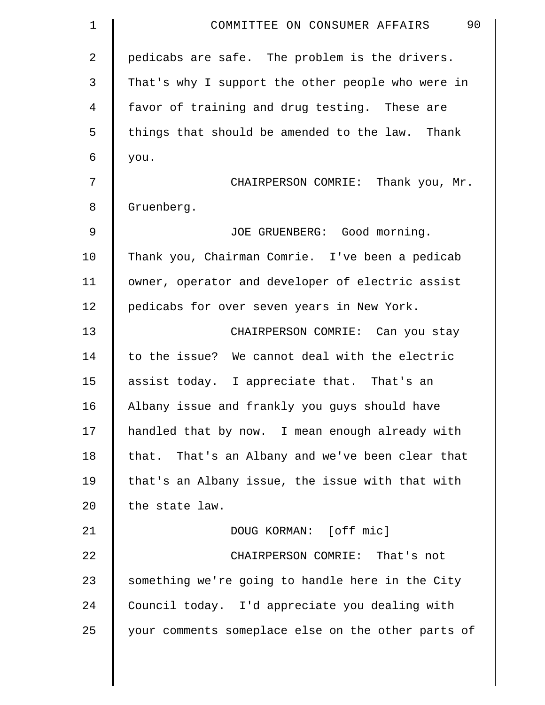| $\mathbf 1$    | 90<br>COMMITTEE ON CONSUMER AFFAIRS                |
|----------------|----------------------------------------------------|
| $\overline{2}$ | pedicabs are safe. The problem is the drivers.     |
| 3              | That's why I support the other people who were in  |
| $\overline{4}$ | favor of training and drug testing. These are      |
| 5              | things that should be amended to the law. Thank    |
| 6              | you.                                               |
| 7              | CHAIRPERSON COMRIE: Thank you, Mr.                 |
| 8              | Gruenberg.                                         |
| 9              | JOE GRUENBERG: Good morning.                       |
| 10             | Thank you, Chairman Comrie. I've been a pedicab    |
| 11             | owner, operator and developer of electric assist   |
| 12             | pedicabs for over seven years in New York.         |
| 13             | CHAIRPERSON COMRIE: Can you stay                   |
| 14             | to the issue? We cannot deal with the electric     |
| 15             | assist today. I appreciate that. That's an         |
| 16             | Albany issue and frankly you guys should have      |
| 17             | handled that by now. I mean enough already with    |
| 18             | that. That's an Albany and we've been clear that   |
| 19             | that's an Albany issue, the issue with that with   |
| 20             | the state law.                                     |
| 21             | DOUG KORMAN: [off mic]                             |
| 22             | CHAIRPERSON COMRIE: That's not                     |
| 23             | something we're going to handle here in the City   |
| 24             | Council today. I'd appreciate you dealing with     |
| 25             | your comments someplace else on the other parts of |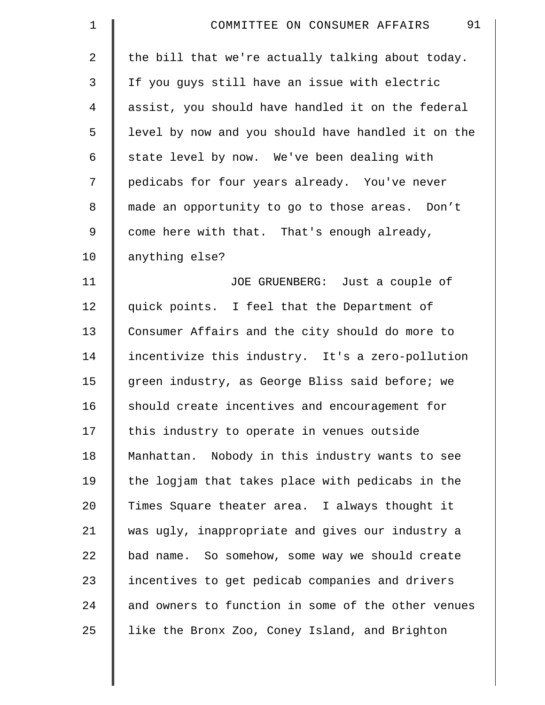| $\mathbf 1$    | 91<br>COMMITTEE ON CONSUMER AFFAIRS                |
|----------------|----------------------------------------------------|
| $\overline{a}$ | the bill that we're actually talking about today.  |
| 3              | If you guys still have an issue with electric      |
| 4              | assist, you should have handled it on the federal  |
| 5              | level by now and you should have handled it on the |
| 6              | state level by now. We've been dealing with        |
| 7              | pedicabs for four years already. You've never      |
| 8              | made an opportunity to go to those areas. Don't    |
| 9              | come here with that. That's enough already,        |
| 10             | anything else?                                     |
| 11             | JOE GRUENBERG: Just a couple of                    |
| 12             | quick points. I feel that the Department of        |
| 13             | Consumer Affairs and the city should do more to    |
| 14             | incentivize this industry. It's a zero-pollution   |
| 15             | green industry, as George Bliss said before; we    |
| 16             | should create incentives and encouragement for     |
| 17             | this industry to operate in venues outside         |
| 18             | Manhattan. Nobody in this industry wants to see    |
| 19             | the logjam that takes place with pedicabs in the   |
| 20             | Times Square theater area. I always thought it     |
| 21             | was ugly, inappropriate and gives our industry a   |
| 22             | bad name. So somehow, some way we should create    |
| 23             | incentives to get pedicab companies and drivers    |
| 24             | and owners to function in some of the other venues |
| 25             | like the Bronx Zoo, Coney Island, and Brighton     |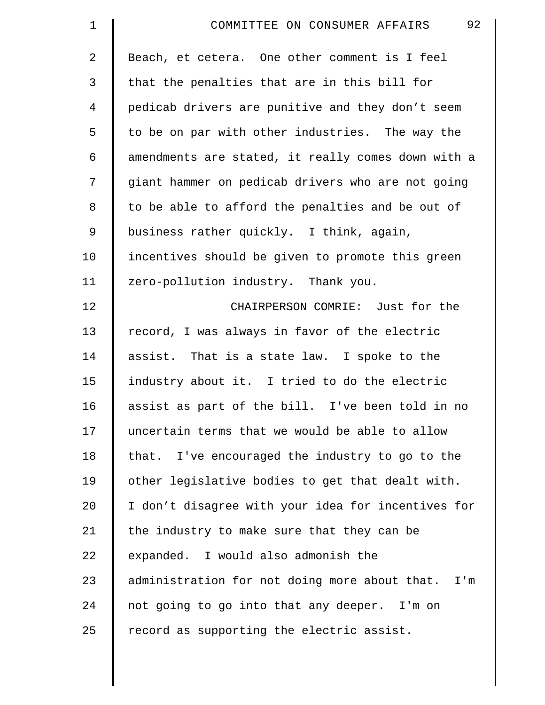| $\mathbf 1$    | 92<br>COMMITTEE ON CONSUMER AFFAIRS                |
|----------------|----------------------------------------------------|
| $\overline{2}$ | Beach, et cetera. One other comment is I feel      |
| 3              | that the penalties that are in this bill for       |
| 4              | pedicab drivers are punitive and they don't seem   |
| 5              | to be on par with other industries. The way the    |
| 6              | amendments are stated, it really comes down with a |
| 7              | giant hammer on pedicab drivers who are not going  |
| 8              | to be able to afford the penalties and be out of   |
| 9              | business rather quickly. I think, again,           |
| 10             | incentives should be given to promote this green   |
| 11             | zero-pollution industry. Thank you.                |
| 12             | CHAIRPERSON COMRIE: Just for the                   |
| 13             | record, I was always in favor of the electric      |
| 14             | assist. That is a state law. I spoke to the        |
| 15             | industry about it. I tried to do the electric      |
| 16             | assist as part of the bill. I've been told in no   |
| 17             | uncertain terms that we would be able to allow     |
| 18             | that. I've encouraged the industry to go to the    |
| 19             | other legislative bodies to get that dealt with.   |
| 20             | I don't disagree with your idea for incentives for |
| 21             | the industry to make sure that they can be         |
| 22             | expanded. I would also admonish the                |
| 23             | administration for not doing more about that. I'm  |
| 24             | not going to go into that any deeper. I'm on       |
| 25             | record as supporting the electric assist.          |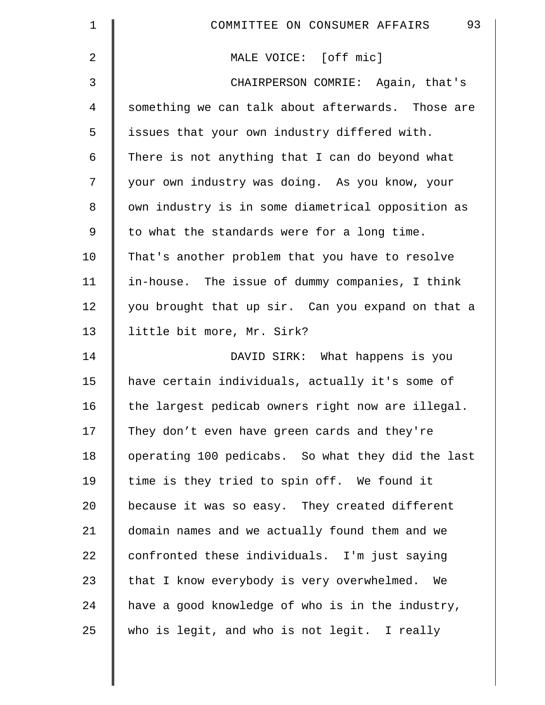| $\mathbf 1$    | 93<br>COMMITTEE ON CONSUMER AFFAIRS               |
|----------------|---------------------------------------------------|
| $\overline{2}$ | MALE VOICE: [off mic]                             |
| 3              | CHAIRPERSON COMRIE: Again, that's                 |
| $\overline{4}$ | something we can talk about afterwards. Those are |
| 5              | issues that your own industry differed with.      |
| 6              | There is not anything that I can do beyond what   |
| 7              | your own industry was doing. As you know, your    |
| 8              | own industry is in some diametrical opposition as |
| 9              | to what the standards were for a long time.       |
| 10             | That's another problem that you have to resolve   |
| 11             | in-house. The issue of dummy companies, I think   |
| 12             | you brought that up sir. Can you expand on that a |
| 13             | little bit more, Mr. Sirk?                        |
| 14             | DAVID SIRK: What happens is you                   |
| 15             | have certain individuals, actually it's some of   |
| 16             | the largest pedicab owners right now are illegal. |
| 17             | They don't even have green cards and they're      |
| 18             | operating 100 pedicabs. So what they did the last |
| 19             | time is they tried to spin off. We found it       |
| 20             | because it was so easy. They created different    |
| 21             | domain names and we actually found them and we    |
| 22             | confronted these individuals. I'm just saying     |
| 23             | that I know everybody is very overwhelmed. We     |
| 24             | have a good knowledge of who is in the industry,  |
| 25             | who is legit, and who is not legit. I really      |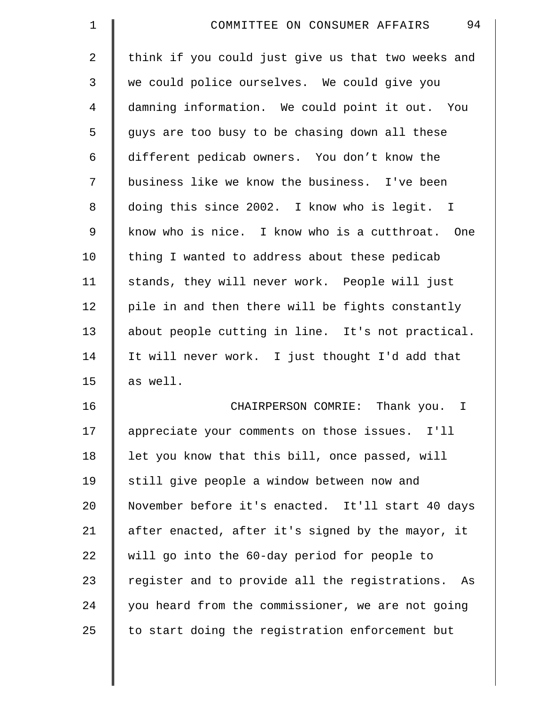| $\mathbf 1$    | 94<br>COMMITTEE ON CONSUMER AFFAIRS                |
|----------------|----------------------------------------------------|
| $\overline{2}$ | think if you could just give us that two weeks and |
| 3              | we could police ourselves. We could give you       |
| 4              | damning information. We could point it out. You    |
| 5              | guys are too busy to be chasing down all these     |
| 6              | different pedicab owners. You don't know the       |
| 7              | business like we know the business. I've been      |
| 8              | doing this since 2002. I know who is legit. I      |
| 9              | know who is nice. I know who is a cutthroat. One   |
| 10             | thing I wanted to address about these pedicab      |
| 11             | stands, they will never work. People will just     |
| 12             | pile in and then there will be fights constantly   |
| 13             | about people cutting in line. It's not practical.  |
| 14             | It will never work. I just thought I'd add that    |
| 15             | as well.                                           |
| 16             | CHAIRPERSON COMRIE: Thank you.<br>I.               |
| 17             | appreciate your comments on those issues.<br>I'11  |
| 18             | let you know that this bill, once passed, will     |
| 19             | still give people a window between now and         |
| 20             | November before it's enacted. It'll start 40 days  |
| 21             | after enacted, after it's signed by the mayor, it  |
| 22             | will go into the 60-day period for people to       |
| 23             | register and to provide all the registrations. As  |
| 24             | you heard from the commissioner, we are not going  |
| 25             | to start doing the registration enforcement but    |
|                |                                                    |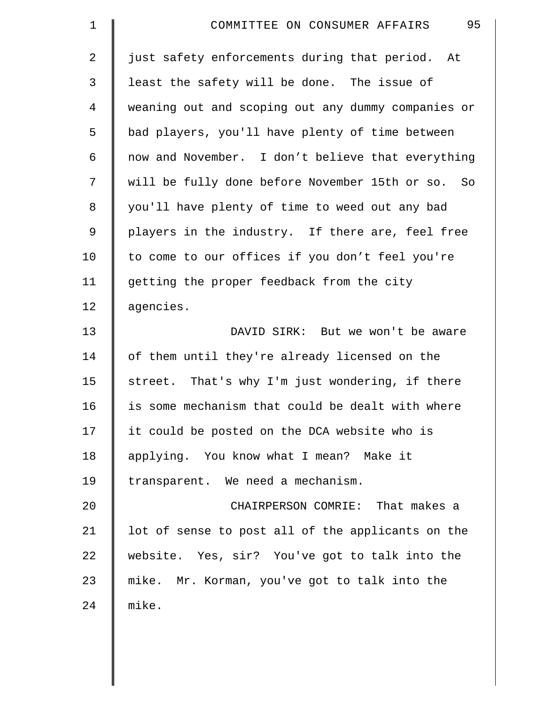| 1  | 95<br>COMMITTEE ON CONSUMER AFFAIRS                  |
|----|------------------------------------------------------|
| 2  | just safety enforcements during that period. At      |
| 3  | least the safety will be done. The issue of          |
| 4  | weaning out and scoping out any dummy companies or   |
| 5  | bad players, you'll have plenty of time between      |
| 6  | now and November. I don't believe that everything    |
| 7  | will be fully done before November 15th or so.<br>So |
| 8  | you'll have plenty of time to weed out any bad       |
| 9  | players in the industry. If there are, feel free     |
| 10 | to come to our offices if you don't feel you're      |
| 11 | getting the proper feedback from the city            |
| 12 | agencies.                                            |
| 13 | DAVID SIRK: But we won't be aware                    |
| 14 | of them until they're already licensed on the        |
| 15 | street. That's why I'm just wondering, if there      |
| 16 | is some mechanism that could be dealt with where     |
| 17 | it could be posted on the DCA website who is         |
| 18 | applying. You know what I mean? Make it              |
| 19 | transparent. We need a mechanism.                    |
| 20 | CHAIRPERSON COMRIE: That makes a                     |
| 21 | lot of sense to post all of the applicants on the    |
| 22 | website. Yes, sir? You've got to talk into the       |
| 23 | mike. Mr. Korman, you've got to talk into the        |
| 24 | mike.                                                |
|    |                                                      |
|    |                                                      |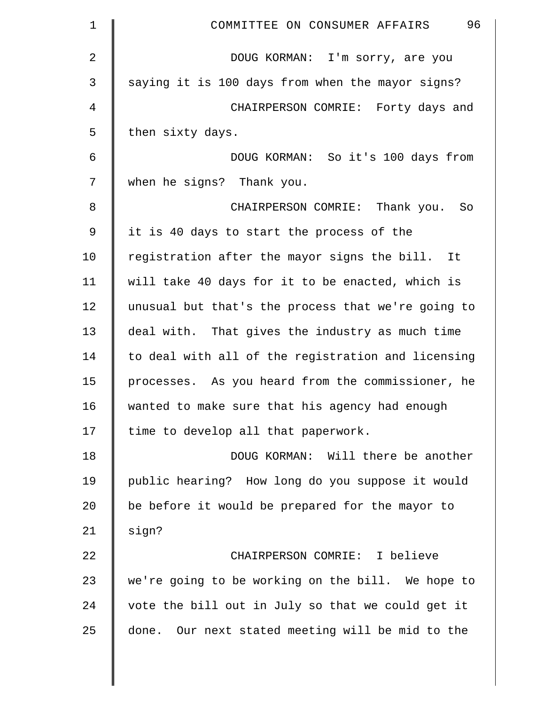| $\mathbf 1$ | 96<br>COMMITTEE ON CONSUMER AFFAIRS                |
|-------------|----------------------------------------------------|
| 2           | DOUG KORMAN: I'm sorry, are you                    |
| 3           | saying it is 100 days from when the mayor signs?   |
| 4           | CHAIRPERSON COMRIE: Forty days and                 |
| 5           | then sixty days.                                   |
| 6           | DOUG KORMAN: So it's 100 days from                 |
| 7           | when he signs? Thank you.                          |
| 8           | CHAIRPERSON COMRIE: Thank you. So                  |
| $\mathsf 9$ | it is 40 days to start the process of the          |
| 10          | registration after the mayor signs the bill.<br>It |
| 11          | will take 40 days for it to be enacted, which is   |
| 12          | unusual but that's the process that we're going to |
| 13          | deal with. That gives the industry as much time    |
| 14          | to deal with all of the registration and licensing |
| 15          | processes. As you heard from the commissioner, he  |
| 16          | wanted to make sure that his agency had enough     |
| 17          | time to develop all that paperwork.                |
| 18          | DOUG KORMAN: Will there be another                 |
| 19          | public hearing? How long do you suppose it would   |
| 20          | be before it would be prepared for the mayor to    |
| 21          | sign?                                              |
| 22          | CHAIRPERSON COMRIE: I believe                      |
| 23          | we're going to be working on the bill. We hope to  |
| 24          | vote the bill out in July so that we could get it  |
| 25          | done. Our next stated meeting will be mid to the   |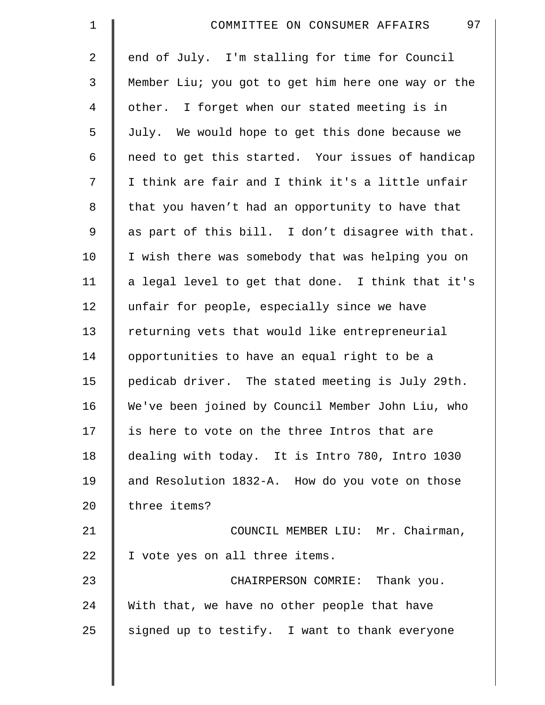| $\mathbf 1$    | 97<br>COMMITTEE ON CONSUMER AFFAIRS                |
|----------------|----------------------------------------------------|
| 2              | end of July. I'm stalling for time for Council     |
| 3              | Member Liu; you got to get him here one way or the |
| $\overline{4}$ | other. I forget when our stated meeting is in      |
| 5              | July. We would hope to get this done because we    |
| 6              | need to get this started. Your issues of handicap  |
| 7              | I think are fair and I think it's a little unfair  |
| $\,8\,$        | that you haven't had an opportunity to have that   |
| 9              | as part of this bill. I don't disagree with that.  |
| 10             | I wish there was somebody that was helping you on  |
| 11             | a legal level to get that done. I think that it's  |
| 12             | unfair for people, especially since we have        |
| 13             | returning vets that would like entrepreneurial     |
| 14             | opportunities to have an equal right to be a       |
| 15             | pedicab driver. The stated meeting is July 29th.   |
| 16             | We've been joined by Council Member John Liu, who  |
| 17             | is here to vote on the three Intros that are       |
| 18             | dealing with today. It is Intro 780, Intro 1030    |
| 19             | and Resolution 1832-A. How do you vote on those    |
| 20             | three items?                                       |
| 21             | COUNCIL MEMBER LIU: Mr. Chairman,                  |
| 22             | I vote yes on all three items.                     |
| 23             | CHAIRPERSON COMRIE: Thank you.                     |
| 24             | With that, we have no other people that have       |
| 25             | signed up to testify. I want to thank everyone     |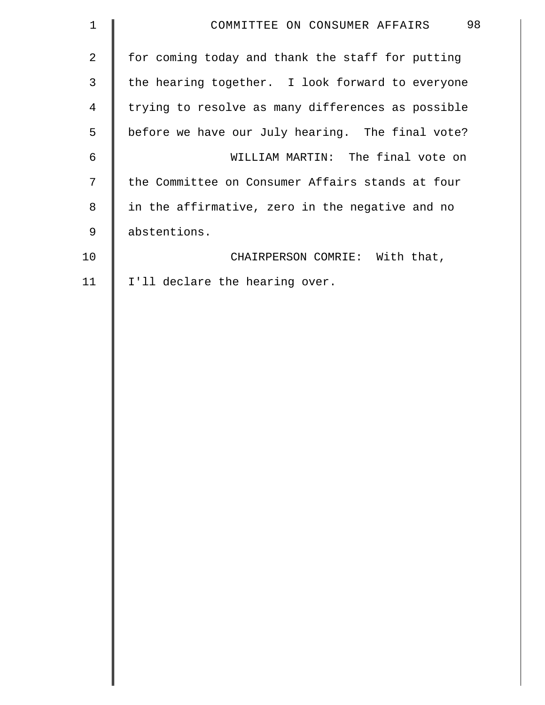| $\mathbf 1$    | 98<br>COMMITTEE ON CONSUMER AFFAIRS               |
|----------------|---------------------------------------------------|
| $\overline{2}$ | for coming today and thank the staff for putting  |
| $\mathsf{3}$   | the hearing together. I look forward to everyone  |
| $\overline{4}$ | trying to resolve as many differences as possible |
| 5              | before we have our July hearing. The final vote?  |
| 6              | WILLIAM MARTIN: The final vote on                 |
| 7              | the Committee on Consumer Affairs stands at four  |
| 8              | in the affirmative, zero in the negative and no   |
| 9              | abstentions.                                      |
| 10             | CHAIRPERSON COMRIE: With that,                    |
| 11             | I'll declare the hearing over.                    |
|                |                                                   |
|                |                                                   |
|                |                                                   |
|                |                                                   |
|                |                                                   |
|                |                                                   |
|                |                                                   |
|                |                                                   |
|                |                                                   |
|                |                                                   |
|                |                                                   |
|                |                                                   |
|                |                                                   |
|                |                                                   |
|                |                                                   |
|                |                                                   |